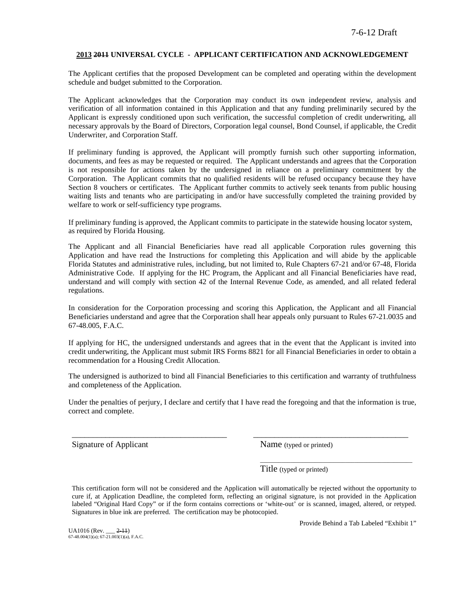#### **2013 2011 UNIVERSAL CYCLE - APPLICANT CERTIFICATION AND ACKNOWLEDGEMENT**

The Applicant certifies that the proposed Development can be completed and operating within the development schedule and budget submitted to the Corporation.

The Applicant acknowledges that the Corporation may conduct its own independent review, analysis and verification of all information contained in this Application and that any funding preliminarily secured by the Applicant is expressly conditioned upon such verification, the successful completion of credit underwriting, all necessary approvals by the Board of Directors, Corporation legal counsel, Bond Counsel, if applicable, the Credit Underwriter, and Corporation Staff.

If preliminary funding is approved, the Applicant will promptly furnish such other supporting information, documents, and fees as may be requested or required. The Applicant understands and agrees that the Corporation is not responsible for actions taken by the undersigned in reliance on a preliminary commitment by the Corporation. The Applicant commits that no qualified residents will be refused occupancy because they have Section 8 vouchers or certificates. The Applicant further commits to actively seek tenants from public housing waiting lists and tenants who are participating in and/or have successfully completed the training provided by welfare to work or self-sufficiency type programs.

If preliminary funding is approved, the Applicant commits to participate in the statewide housing locator system, as required by Florida Housing.

The Applicant and all Financial Beneficiaries have read all applicable Corporation rules governing this Application and have read the Instructions for completing this Application and will abide by the applicable Florida Statutes and administrative rules, including, but not limited to, Rule Chapters 67-21 and/or 67-48, Florida Administrative Code. If applying for the HC Program, the Applicant and all Financial Beneficiaries have read, understand and will comply with section 42 of the Internal Revenue Code, as amended, and all related federal regulations.

In consideration for the Corporation processing and scoring this Application, the Applicant and all Financial Beneficiaries understand and agree that the Corporation shall hear appeals only pursuant to Rules 67-21.0035 and 67-48.005, F.A.C.

If applying for HC, the undersigned understands and agrees that in the event that the Applicant is invited into credit underwriting, the Applicant must submit IRS Forms 8821 for all Financial Beneficiaries in order to obtain a recommendation for a Housing Credit Allocation.

The undersigned is authorized to bind all Financial Beneficiaries to this certification and warranty of truthfulness and completeness of the Application.

Under the penalties of perjury, I declare and certify that I have read the foregoing and that the information is true, correct and complete.

\_\_\_\_\_\_\_\_\_\_\_\_\_\_\_\_\_\_\_\_\_\_\_\_\_\_\_\_\_\_\_\_\_\_\_\_\_ \_\_\_\_\_\_\_\_\_\_\_\_\_\_\_\_\_\_\_\_\_\_\_\_\_\_\_\_\_\_\_\_\_\_\_\_\_

Signature of Applicant Name (typed or printed)

Title (typed or printed)

This certification form will not be considered and the Application will automatically be rejected without the opportunity to cure if, at Application Deadline, the completed form, reflecting an original signature, is not provided in the Application labeled "Original Hard Copy" or if the form contains corrections or 'white-out' or is scanned, imaged, altered, or retyped. Signatures in blue ink are preferred. The certification may be photocopied.

UA1016 (Rev. \_\_\_ <del>2-11</del>)<br>67-48.004(1)(a); 67-21.003(1)(a), F.A.C.

Provide Behind a Tab Labeled "Exhibit 1"

\_\_\_\_\_\_\_\_\_\_\_\_\_\_\_\_\_\_\_\_\_\_\_\_\_\_\_\_\_\_\_\_\_\_\_\_\_\_\_\_\_\_\_\_\_\_\_\_\_\_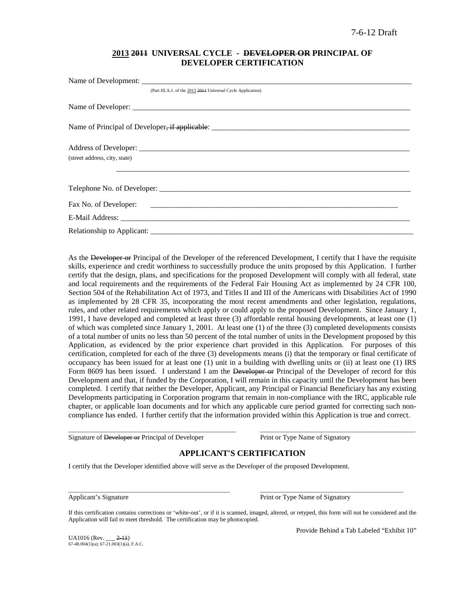## **2013 2011 UNIVERSAL CYCLE - DEVELOPER OR PRINCIPAL OF DEVELOPER CERTIFICATION**

| (Part III.A.1. of the 2013 2014 Universal Cycle Application) |
|--------------------------------------------------------------|
|                                                              |
|                                                              |
|                                                              |
| (street address, city, state)                                |
|                                                              |
|                                                              |
|                                                              |
|                                                              |

As the Developer or Principal of the Developer of the referenced Development, I certify that I have the requisite skills, experience and credit worthiness to successfully produce the units proposed by this Application. I further certify that the design, plans, and specifications for the proposed Development will comply with all federal, state and local requirements and the requirements of the Federal Fair Housing Act as implemented by 24 CFR 100, Section 504 of the Rehabilitation Act of 1973, and Titles II and III of the Americans with Disabilities Act of 1990 as implemented by 28 CFR 35, incorporating the most recent amendments and other legislation, regulations, rules, and other related requirements which apply or could apply to the proposed Development. Since January 1, 1991, I have developed and completed at least three (3) affordable rental housing developments, at least one (1) of which was completed since January 1, 2001. At least one (1) of the three (3) completed developments consists of a total number of units no less than 50 percent of the total number of units in the Development proposed by this Application, as evidenced by the prior experience chart provided in this Application. For purposes of this certification, completed for each of the three (3) developments means (i) that the temporary or final certificate of occupancy has been issued for at least one (1) unit in a building with dwelling units or (ii) at least one (1) IRS Form 8609 has been issued. I understand I am the Developer or Principal of the Developer of record for this Development and that, if funded by the Corporation, I will remain in this capacity until the Development has been completed. I certify that neither the Developer, Applicant, any Principal or Financial Beneficiary has any existing Developments participating in Corporation programs that remain in non-compliance with the IRC, applicable rule chapter, or applicable loan documents and for which any applicable cure period granted for correcting such noncompliance has ended. I further certify that the information provided within this Application is true and correct.

Signature of Developer or Principal of Developer Print or Type Name of Signatory

## **APPLICANT'S CERTIFICATION**

\_\_\_\_\_\_\_\_\_\_\_\_\_\_\_\_\_\_\_\_\_\_\_\_\_\_\_\_\_\_\_\_\_\_\_\_\_\_\_\_\_\_\_\_\_\_\_\_\_\_\_\_\_\_\_ \_\_\_\_\_\_\_\_\_\_\_\_\_\_\_\_\_\_\_\_\_\_\_\_\_\_\_\_\_\_\_\_\_\_\_\_\_\_\_\_\_\_\_\_\_\_\_\_\_\_\_

I certify that the Developer identified above will serve as the Developer of the proposed Development.

\_\_\_\_\_\_\_\_\_\_\_\_\_\_\_\_\_\_\_\_\_\_\_\_\_\_\_\_\_\_\_\_\_\_\_\_\_\_\_\_\_\_\_\_\_\_\_\_\_\_\_\_\_ \_\_\_\_\_\_\_\_\_\_\_\_\_\_\_\_\_\_\_\_\_\_\_\_\_\_\_\_\_\_\_\_\_\_\_\_\_\_\_\_\_\_\_\_\_\_\_ Applicant's Signature **Print or Type Name of Signatory** Print or Type Name of Signatory

If this certification contains corrections or 'white-out', or if it is scanned, imaged, altered, or retyped, this form will not be considered and the Application will fail to meet threshold. The certification may be photocopied.

 $UA1016$  (Rev.  $2-11$ )  $67-48.004(1)(a)$ ;  $67-21.003(1)(a)$ , F.A.C. Provide Behind a Tab Labeled "Exhibit 10"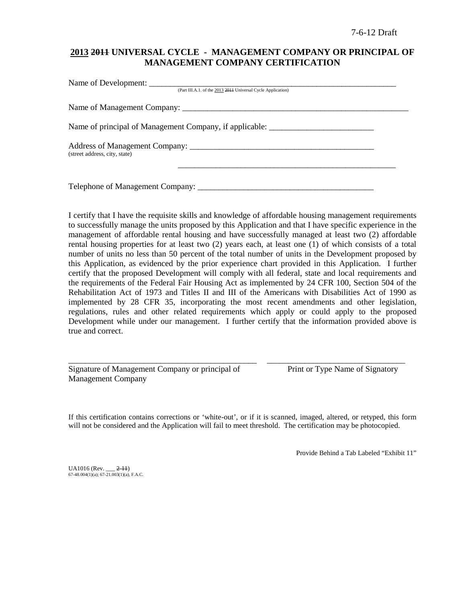# **2013 2011 UNIVERSAL CYCLE - MANAGEMENT COMPANY OR PRINCIPAL OF MANAGEMENT COMPANY CERTIFICATION**

| (Part III.A.1. of the 2013 2014 Universal Cycle Application)                      |  |
|-----------------------------------------------------------------------------------|--|
|                                                                                   |  |
| Name of principal of Management Company, if applicable: _________________________ |  |
| (street address, city, state)                                                     |  |
| Telephone of Management Company: ___________                                      |  |

I certify that I have the requisite skills and knowledge of affordable housing management requirements to successfully manage the units proposed by this Application and that I have specific experience in the management of affordable rental housing and have successfully managed at least two (2) affordable rental housing properties for at least two (2) years each, at least one (1) of which consists of a total number of units no less than 50 percent of the total number of units in the Development proposed by this Application, as evidenced by the prior experience chart provided in this Application. I further certify that the proposed Development will comply with all federal, state and local requirements and the requirements of the Federal Fair Housing Act as implemented by 24 CFR 100, Section 504 of the Rehabilitation Act of 1973 and Titles II and III of the Americans with Disabilities Act of 1990 as implemented by 28 CFR 35, incorporating the most recent amendments and other legislation, regulations, rules and other related requirements which apply or could apply to the proposed Development while under our management. I further certify that the information provided above is true and correct.

Signature of Management Company or principal of Print or Type Name of Signatory Management Company

If this certification contains corrections or 'white-out', or if it is scanned, imaged, altered, or retyped, this form will not be considered and the Application will fail to meet threshold. The certification may be photocopied.

\_\_\_\_\_\_\_\_\_\_\_\_\_\_\_\_\_\_\_\_\_\_\_\_\_\_\_\_\_\_\_\_\_\_\_\_\_\_\_\_\_\_\_\_\_ \_\_\_\_\_\_\_\_\_\_\_\_\_\_\_\_\_\_\_\_\_\_\_\_\_\_\_\_\_\_\_\_\_

Provide Behind a Tab Labeled "Exhibit 11"

 $UA1016$  (Rev.  $2-11$ ) 67-48.004(1)(a); 67-21.003(1)(a), F.A.C.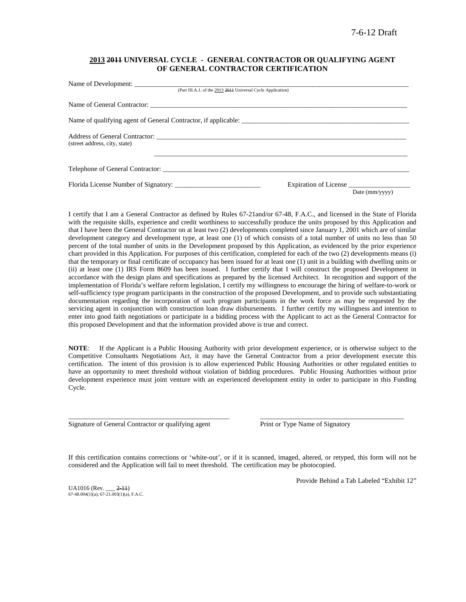### **2013 2011 UNIVERSAL CYCLE - GENERAL CONTRACTOR OR QUALIFYING AGENT OF GENERAL CONTRACTOR CERTIFICATION**

| (Part III.A.1. of the 2013 2014 Universal Cycle Application)   |                |
|----------------------------------------------------------------|----------------|
|                                                                |                |
| Name of qualifying agent of General Contractor, if applicable: |                |
|                                                                |                |
|                                                                |                |
| Expiration of License                                          | Date (mm/yyyy) |
|                                                                |                |

I certify that I am a General Contractor as defined by Rules 67-21and/or 67-48, F.A.C., and licensed in the State of Florida with the requisite skills, experience and credit worthiness to successfully produce the units proposed by this Application and that I have been the General Contractor on at least two (2) developments completed since January 1, 2001 which are of similar development category and development type, at least one (1) of which consists of a total number of units no less than 50 percent of the total number of units in the Development proposed by this Application, as evidenced by the prior experience chart provided in this Application. For purposes of this certification, completed for each of the two (2) developments means (i) that the temporary or final certificate of occupancy has been issued for at least one (1) unit in a building with dwelling units or (ii) at least one (1) IRS Form 8609 has been issued. I further certify that I will construct the proposed Development in accordance with the design plans and specifications as prepared by the licensed Architect. In recognition and support of the implementation of Florida's welfare reform legislation, I certify my willingness to encourage the hiring of welfare-to-work or self-sufficiency type program participants in the construction of the proposed Development, and to provide such substantiating documentation regarding the incorporation of such program participants in the work force as may be requested by the servicing agent in conjunction with construction loan draw disbursements. I further certify my willingness and intention to enter into good faith negotiations or participate in a bidding process with the Applicant to act as the General Contractor for this proposed Development and that the information provided above is true and correct.

**NOTE**: If the Applicant is a Public Housing Authority with prior development experience, or is otherwise subject to the Competitive Consultants Negotiations Act, it may have the General Contractor from a prior development execute this certification. The intent of this provision is to allow experienced Public Housing Authorities or other regulated entities to have an opportunity to meet threshold without violation of bidding procedures. Public Housing Authorities without prior development experience must joint venture with an experienced development entity in order to participate in this Funding Cycle.

Signature of General Contractor or qualifying agent Print or Type Name of Signatory

If this certification contains corrections or 'white-out', or if it is scanned, imaged, altered, or retyped, this form will not be considered and the Application will fail to meet threshold. The certification may be photocopied.

\_\_\_\_\_\_\_\_\_\_\_\_\_\_\_\_\_\_\_\_\_\_\_\_\_\_\_\_\_\_\_\_\_\_\_\_\_\_\_\_\_\_\_\_\_\_\_ \_\_\_\_\_\_\_\_\_\_\_\_\_\_\_\_\_\_\_\_\_\_\_\_\_\_\_\_\_\_\_\_\_\_\_\_\_\_\_\_\_\_

 $UA1016$  (Rev.  $2-11$ )  $67-48.004(1)(a)$ ;  $67-21.003(1)(a)$ , F.A.C. Provide Behind a Tab Labeled "Exhibit 12"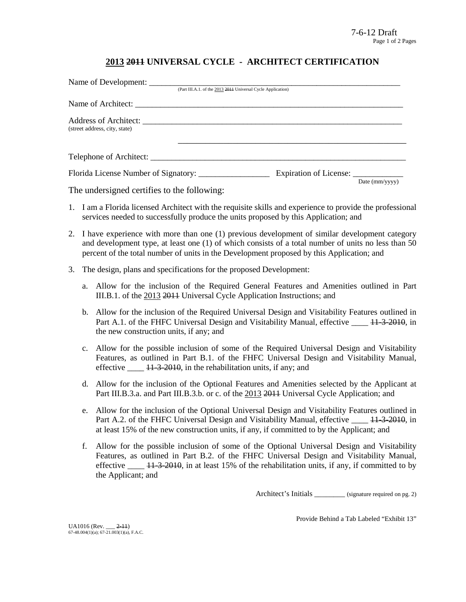# **2013 2011 UNIVERSAL CYCLE - ARCHITECT CERTIFICATION**

|                                                                                                                                                     | (Part III.A.1. of the 2013 2014 Universal Cycle Application) |                        |                        |
|-----------------------------------------------------------------------------------------------------------------------------------------------------|--------------------------------------------------------------|------------------------|------------------------|
|                                                                                                                                                     |                                                              |                        |                        |
| (street address, city, state)                                                                                                                       |                                                              |                        |                        |
|                                                                                                                                                     |                                                              |                        |                        |
| Florida License Number of Signatory:<br>$\mathbf{r}$ , and $\mathbf{r}$ , and $\mathbf{r}$ , and $\mathbf{r}$ , and $\mathbf{r}$ , and $\mathbf{r}$ |                                                              | Expiration of License: | Date $\text{(mm/vyy)}$ |

The undersigned certifies to the following:

- 1. I am a Florida licensed Architect with the requisite skills and experience to provide the professional services needed to successfully produce the units proposed by this Application; and
- 2. I have experience with more than one (1) previous development of similar development category and development type, at least one (1) of which consists of a total number of units no less than 50 percent of the total number of units in the Development proposed by this Application; and
- 3. The design, plans and specifications for the proposed Development:
	- a. Allow for the inclusion of the Required General Features and Amenities outlined in Part III.B.1. of the 2013 2011 Universal Cycle Application Instructions; and
	- b. Allow for the inclusion of the Required Universal Design and Visitability Features outlined in Part A.1. of the FHFC Universal Design and Visitability Manual, effective \_\_\_\_ 11-3-2010, in the new construction units, if any; and
	- c. Allow for the possible inclusion of some of the Required Universal Design and Visitability Features, as outlined in Part B.1. of the FHFC Universal Design and Visitability Manual, effective  $\frac{11-3-2010}{11-2010}$ , in the rehabilitation units, if any; and
	- d. Allow for the inclusion of the Optional Features and Amenities selected by the Applicant at Part III.B.3.a. and Part III.B.3.b. or c. of the 2013 2014 Universal Cycle Application; and
	- e. Allow for the inclusion of the Optional Universal Design and Visitability Features outlined in Part A.2. of the FHFC Universal Design and Visitability Manual, effective  $\frac{11-3-2010}{11-2010}$ , in at least 15% of the new construction units, if any, if committed to by the Applicant; and
	- f. Allow for the possible inclusion of some of the Optional Universal Design and Visitability Features, as outlined in Part B.2. of the FHFC Universal Design and Visitability Manual, effective  $\frac{11-3-2010}{11}$ , in at least 15% of the rehabilitation units, if any, if committed to by the Applicant; and

Architect's Initials \_\_\_\_\_\_\_\_ (signature required on pg. 2)

Provide Behind a Tab Labeled "Exhibit 13"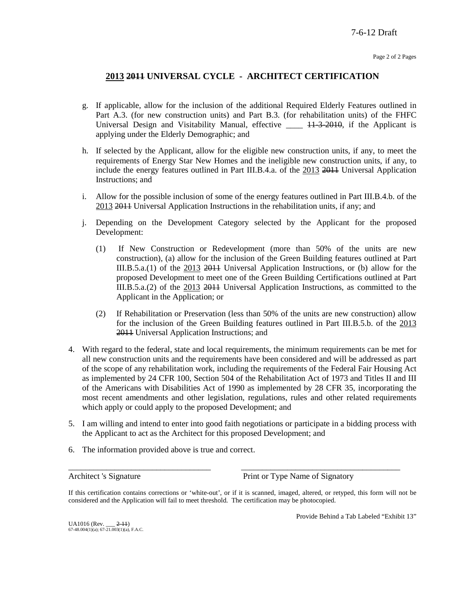# **2013 2011 UNIVERSAL CYCLE - ARCHITECT CERTIFICATION**

- g. If applicable, allow for the inclusion of the additional Required Elderly Features outlined in Part A.3. (for new construction units) and Part B.3. (for rehabilitation units) of the FHFC Universal Design and Visitability Manual, effective  $\_\_\_\_\$  +  $\frac{1}{3}$  +  $\frac{2010}{3}$ , if the Applicant is applying under the Elderly Demographic; and
- h. If selected by the Applicant, allow for the eligible new construction units, if any, to meet the requirements of Energy Star New Homes and the ineligible new construction units, if any, to include the energy features outlined in Part III.B.4.a. of the 2013 2011 Universal Application Instructions; and
- i. Allow for the possible inclusion of some of the energy features outlined in Part III.B.4.b. of the 2013 2011 Universal Application Instructions in the rehabilitation units, if any; and
- j. Depending on the Development Category selected by the Applicant for the proposed Development:
	- (1) If New Construction or Redevelopment (more than 50% of the units are new construction), (a) allow for the inclusion of the Green Building features outlined at Part III.B.5.a.(1) of the 2013 2011 Universal Application Instructions, or (b) allow for the proposed Development to meet one of the Green Building Certifications outlined at Part III.B.5.a.(2) of the 2013 2011 Universal Application Instructions, as committed to the Applicant in the Application; or
	- (2) If Rehabilitation or Preservation (less than 50% of the units are new construction) allow for the inclusion of the Green Building features outlined in Part III.B.5.b. of the 2013 2011 Universal Application Instructions; and
- 4. With regard to the federal, state and local requirements, the minimum requirements can be met for all new construction units and the requirements have been considered and will be addressed as part of the scope of any rehabilitation work, including the requirements of the Federal Fair Housing Act as implemented by 24 CFR 100, Section 504 of the Rehabilitation Act of 1973 and Titles II and III of the Americans with Disabilities Act of 1990 as implemented by 28 CFR 35, incorporating the most recent amendments and other legislation, regulations, rules and other related requirements which apply or could apply to the proposed Development; and
- 5. I am willing and intend to enter into good faith negotiations or participate in a bidding process with the Applicant to act as the Architect for this proposed Development; and
- 6. The information provided above is true and correct.

Architect 's Signature Print or Type Name of Signatory

If this certification contains corrections or 'white-out', or if it is scanned, imaged, altered, or retyped, this form will not be considered and the Application will fail to meet threshold. The certification may be photocopied.

\_\_\_\_\_\_\_\_\_\_\_\_\_\_\_\_\_\_\_\_\_\_\_\_\_\_\_\_\_\_\_\_\_\_ \_\_\_\_\_\_\_\_\_\_\_\_\_\_\_\_\_\_\_\_\_\_\_\_\_\_\_\_\_\_\_\_\_\_\_\_\_\_

Provide Behind a Tab Labeled "Exhibit 13"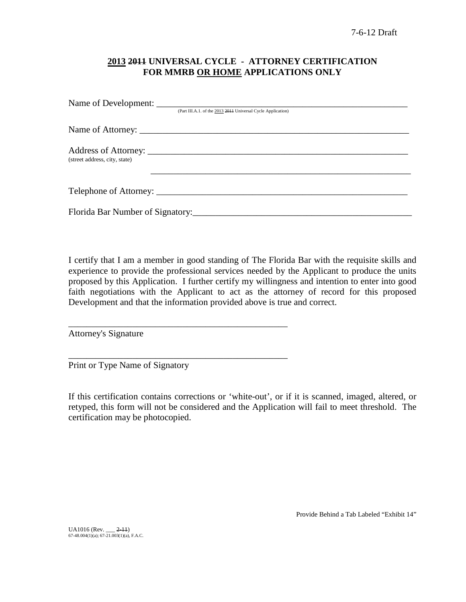# **2013 2011 UNIVERSAL CYCLE - ATTORNEY CERTIFICATION FOR MMRB OR HOME APPLICATIONS ONLY**

|                               | (Part III.A.1. of the 2013 2014 Universal Cycle Application) |
|-------------------------------|--------------------------------------------------------------|
|                               |                                                              |
| (street address, city, state) |                                                              |
|                               |                                                              |
|                               |                                                              |

I certify that I am a member in good standing of The Florida Bar with the requisite skills and experience to provide the professional services needed by the Applicant to produce the units proposed by this Application. I further certify my willingness and intention to enter into good faith negotiations with the Applicant to act as the attorney of record for this proposed Development and that the information provided above is true and correct.

Attorney's Signature

Print or Type Name of Signatory

\_\_\_\_\_\_\_\_\_\_\_\_\_\_\_\_\_\_\_\_\_\_\_\_\_\_\_\_\_\_\_\_\_\_\_\_\_\_\_\_\_\_\_\_\_\_\_\_

\_\_\_\_\_\_\_\_\_\_\_\_\_\_\_\_\_\_\_\_\_\_\_\_\_\_\_\_\_\_\_\_\_\_\_\_\_\_\_\_\_\_\_\_\_\_\_\_

If this certification contains corrections or 'white-out', or if it is scanned, imaged, altered, or retyped, this form will not be considered and the Application will fail to meet threshold. The certification may be photocopied.

Provide Behind a Tab Labeled "Exhibit 14"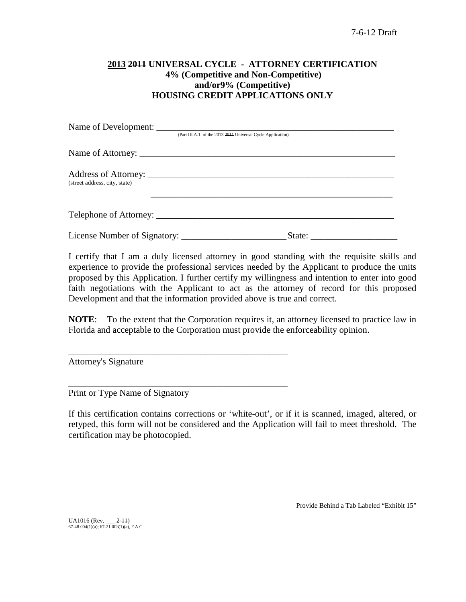# **2013 2011 UNIVERSAL CYCLE - ATTORNEY CERTIFICATION 4% (Competitive and Non-Competitive) and/or9% (Competitive) HOUSING CREDIT APPLICATIONS ONLY**

|                               | (Part III.A.1. of the 2013 2014 Universal Cycle Application) |
|-------------------------------|--------------------------------------------------------------|
|                               |                                                              |
| (street address, city, state) |                                                              |
|                               | Telephone of Attorney:                                       |
|                               |                                                              |

I certify that I am a duly licensed attorney in good standing with the requisite skills and experience to provide the professional services needed by the Applicant to produce the units proposed by this Application. I further certify my willingness and intention to enter into good faith negotiations with the Applicant to act as the attorney of record for this proposed Development and that the information provided above is true and correct.

**NOTE**: To the extent that the Corporation requires it, an attorney licensed to practice law in Florida and acceptable to the Corporation must provide the enforceability opinion.

Attorney's Signature

Print or Type Name of Signatory

\_\_\_\_\_\_\_\_\_\_\_\_\_\_\_\_\_\_\_\_\_\_\_\_\_\_\_\_\_\_\_\_\_\_\_\_\_\_\_\_\_\_\_\_\_\_\_\_

\_\_\_\_\_\_\_\_\_\_\_\_\_\_\_\_\_\_\_\_\_\_\_\_\_\_\_\_\_\_\_\_\_\_\_\_\_\_\_\_\_\_\_\_\_\_\_\_

If this certification contains corrections or 'white-out', or if it is scanned, imaged, altered, or retyped, this form will not be considered and the Application will fail to meet threshold. The certification may be photocopied.

Provide Behind a Tab Labeled "Exhibit 15"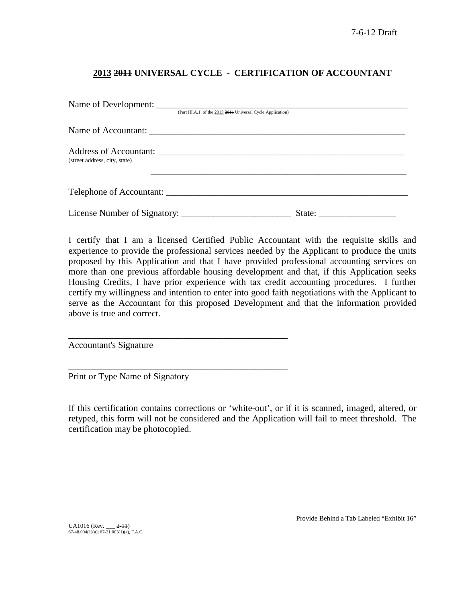# **2013 2011 UNIVERSAL CYCLE - CERTIFICATION OF ACCOUNTANT**

| Name of Development:          |                                                              |        |  |
|-------------------------------|--------------------------------------------------------------|--------|--|
|                               | (Part III.A.1. of the 2013 2011 Universal Cycle Application) |        |  |
|                               |                                                              |        |  |
| (street address, city, state) |                                                              |        |  |
|                               |                                                              |        |  |
|                               |                                                              | State: |  |

I certify that I am a licensed Certified Public Accountant with the requisite skills and experience to provide the professional services needed by the Applicant to produce the units proposed by this Application and that I have provided professional accounting services on more than one previous affordable housing development and that, if this Application seeks Housing Credits, I have prior experience with tax credit accounting procedures. I further certify my willingness and intention to enter into good faith negotiations with the Applicant to serve as the Accountant for this proposed Development and that the information provided above is true and correct.

Accountant's Signature

Print or Type Name of Signatory

\_\_\_\_\_\_\_\_\_\_\_\_\_\_\_\_\_\_\_\_\_\_\_\_\_\_\_\_\_\_\_\_\_\_\_\_\_\_\_\_\_\_\_\_\_\_\_\_

\_\_\_\_\_\_\_\_\_\_\_\_\_\_\_\_\_\_\_\_\_\_\_\_\_\_\_\_\_\_\_\_\_\_\_\_\_\_\_\_\_\_\_\_\_\_\_\_

If this certification contains corrections or 'white-out', or if it is scanned, imaged, altered, or retyped, this form will not be considered and the Application will fail to meet threshold. The certification may be photocopied.

UA1016 (Rev. \_\_\_ <del>2-11</del>)<br>67-48.004(1)(a); 67-21.003(1)(a), F.A.C.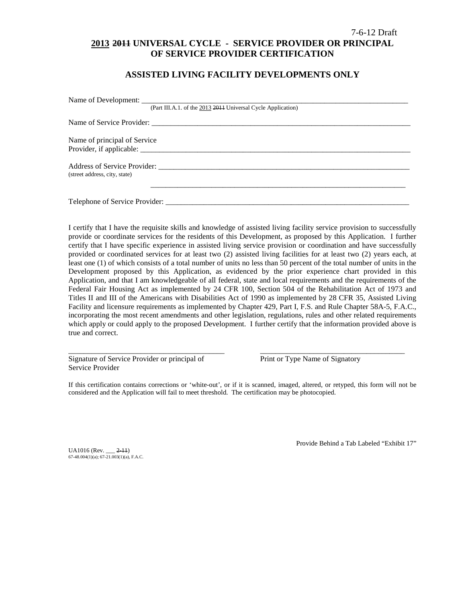## 7-6-12 Draft **2013 2011 UNIVERSAL CYCLE - SERVICE PROVIDER OR PRINCIPAL OF SERVICE PROVIDER CERTIFICATION**

## **ASSISTED LIVING FACILITY DEVELOPMENTS ONLY**

|                               | (Part III.A.1. of the 2013 2014 Universal Cycle Application) |
|-------------------------------|--------------------------------------------------------------|
|                               |                                                              |
| Name of principal of Service  |                                                              |
|                               |                                                              |
|                               |                                                              |
| (street address, city, state) |                                                              |
|                               |                                                              |
|                               |                                                              |

I certify that I have the requisite skills and knowledge of assisted living facility service provision to successfully provide or coordinate services for the residents of this Development, as proposed by this Application. I further certify that I have specific experience in assisted living service provision or coordination and have successfully provided or coordinated services for at least two (2) assisted living facilities for at least two (2) years each, at least one (1) of which consists of a total number of units no less than 50 percent of the total number of units in the Development proposed by this Application, as evidenced by the prior experience chart provided in this Application, and that I am knowledgeable of all federal, state and local requirements and the requirements of the Federal Fair Housing Act as implemented by 24 CFR 100, Section 504 of the Rehabilitation Act of 1973 and Titles II and III of the Americans with Disabilities Act of 1990 as implemented by 28 CFR 35, Assisted Living Facility and licensure requirements as implemented by Chapter 429, Part I, F.S. and Rule Chapter 58A-5, F.A.C., incorporating the most recent amendments and other legislation, regulations, rules and other related requirements which apply or could apply to the proposed Development. I further certify that the information provided above is true and correct.

Signature of Service Provider or principal of Print or Type Name of Signatory Service Provider

If this certification contains corrections or 'white-out', or if it is scanned, imaged, altered, or retyped, this form will not be considered and the Application will fail to meet threshold. The certification may be photocopied.

\_\_\_\_\_\_\_\_\_\_\_\_\_\_\_\_\_\_\_\_\_\_\_\_\_\_\_\_\_\_\_\_\_\_\_\_\_\_\_\_\_ \_\_\_\_\_\_\_\_\_\_\_\_\_\_\_\_\_\_\_\_\_\_\_\_\_\_\_\_\_\_\_\_\_\_\_\_\_\_

UA1016 (Rev. \_\_\_ 2-11) 67-48.004(1)(a); 67-21.003(1)(a), F.A.C. Provide Behind a Tab Labeled "Exhibit 17"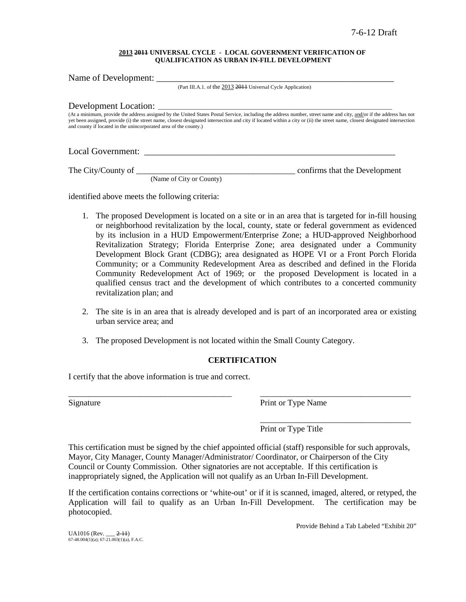#### **2013 2011 UNIVERSAL CYCLE - LOCAL GOVERNMENT VERIFICATION OF QUALIFICATION AS URBAN IN-FILL DEVELOPMENT**

Name of Development: (Part III.A.1. of the 2013 2011 Universal Cycle Application) Development Location: (At a minimum, provide the address assigned by the United States Postal Service, including the address number, street name and city, and/or if the address has not yet been assigned, provide (i) the street name, closest designated intersection and city if located within a city or (ii) the street name, closest designated intersection and county if located in the unincorporated area of the county.)

Local Government: \_\_\_\_\_\_\_\_\_\_\_\_\_\_\_\_\_\_\_\_\_\_\_\_\_\_\_\_\_\_\_\_\_\_\_\_\_\_\_\_\_\_\_\_\_\_\_\_\_\_\_\_\_\_\_

The City/County of \_\_\_\_\_\_\_\_\_\_\_\_\_\_\_\_\_\_\_\_\_\_\_\_\_\_\_\_\_\_\_\_\_\_\_\_\_\_ confirms that the Development

(Name of City or County)

identified above meets the following criteria:

- 1. The proposed Development is located on a site or in an area that is targeted for in-fill housing or neighborhood revitalization by the local, county, state or federal government as evidenced by its inclusion in a HUD Empowerment/Enterprise Zone; a HUD-approved Neighborhood Revitalization Strategy; Florida Enterprise Zone; area designated under a Community Development Block Grant (CDBG); area designated as HOPE VI or a Front Porch Florida Community; or a Community Redevelopment Area as described and defined in the Florida Community Redevelopment Act of 1969; or the proposed Development is located in a qualified census tract and the development of which contributes to a concerted community revitalization plan; and
- 2. The site is in an area that is already developed and is part of an incorporated area or existing urban service area; and
- 3. The proposed Development is not located within the Small County Category.

## **CERTIFICATION**

\_\_\_\_\_\_\_\_\_\_\_\_\_\_\_\_\_\_\_\_\_\_\_\_\_\_\_\_\_\_\_\_\_\_\_\_\_\_\_ \_\_\_\_\_\_\_\_\_\_\_\_\_\_\_\_\_\_\_\_\_\_\_\_\_\_\_\_\_\_\_\_\_\_\_\_

I certify that the above information is true and correct.

Signature Print or Type Name

\_\_\_\_\_\_\_\_\_\_\_\_\_\_\_\_\_\_\_\_\_\_\_\_\_\_\_\_\_\_\_\_\_\_\_\_ Print or Type Title

This certification must be signed by the chief appointed official (staff) responsible for such approvals, Mayor, City Manager, County Manager/Administrator/ Coordinator, or Chairperson of the City Council or County Commission. Other signatories are not acceptable. If this certification is inappropriately signed, the Application will not qualify as an Urban In-Fill Development.

If the certification contains corrections or 'white-out' or if it is scanned, imaged, altered, or retyped, the Application will fail to qualify as an Urban In-Fill Development. The certification may be photocopied.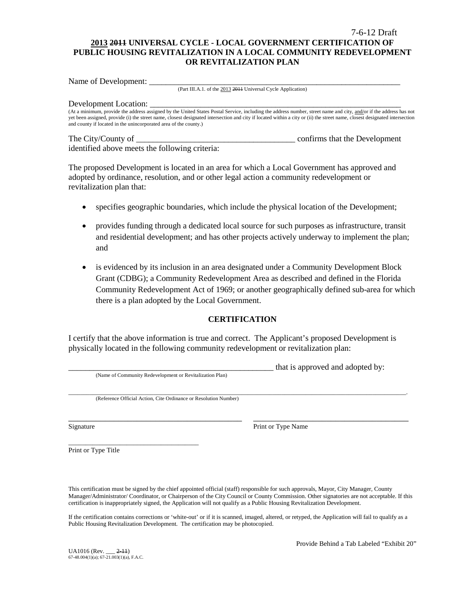## 7-6-12 Draft **2013 2011 UNIVERSAL CYCLE - LOCAL GOVERNMENT CERTIFICATION OF PUBLIC HOUSING REVITALIZATION IN A LOCAL COMMUNITY REDEVELOPMENT OR REVITALIZATION PLAN**

Name of Development:

(Part III.A.1. of the 2013 2011 Universal Cycle Application)

#### Development Location:

(At a minimum, provide the address assigned by the United States Postal Service, including the address number, street name and city, and/or if the address has not yet been assigned, provide (i) the street name, closest designated intersection and city if located within a city or (ii) the street name, closest designated intersection and county if located in the unincorporated area of the county.)

The City/County of \_\_\_\_\_\_\_\_\_\_\_\_\_\_\_\_\_\_\_\_\_\_\_\_\_\_\_\_\_\_\_\_\_\_\_\_\_\_ confirms that the Development identified above meets the following criteria:

The proposed Development is located in an area for which a Local Government has approved and adopted by ordinance, resolution, and or other legal action a community redevelopment or revitalization plan that:

- specifies geographic boundaries, which include the physical location of the Development;
- provides funding through a dedicated local source for such purposes as infrastructure, transit and residential development; and has other projects actively underway to implement the plan; and
- is evidenced by its inclusion in an area designated under a Community Development Block Grant (CDBG); a Community Redevelopment Area as described and defined in the Florida Community Redevelopment Act of 1969; or another geographically defined sub-area for which there is a plan adopted by the Local Government.

### **CERTIFICATION**

I certify that the above information is true and correct. The Applicant's proposed Development is physically located in the following community redevelopment or revitalization plan:

|                                                                  | that is approved and adopted by: |
|------------------------------------------------------------------|----------------------------------|
| (Name of Community Redevelopment or Revitalization Plan)         |                                  |
|                                                                  |                                  |
| (Reference Official Action, Cite Ordinance or Resolution Number) |                                  |
|                                                                  |                                  |
|                                                                  |                                  |
|                                                                  |                                  |

Signature Print or Type Name

\_\_\_\_\_\_\_\_\_\_\_\_\_\_\_\_\_\_\_\_\_\_\_\_\_\_\_\_\_\_\_\_\_\_\_\_\_\_ Print or Type Title

This certification must be signed by the chief appointed official (staff) responsible for such approvals, Mayor, City Manager, County Manager/Administrator/ Coordinator, or Chairperson of the City Council or County Commission. Other signatories are not acceptable. If this certification is inappropriately signed, the Application will not qualify as a Public Housing Revitalization Development.

If the certification contains corrections or 'white-out' or if it is scanned, imaged, altered, or retyped, the Application will fail to qualify as a Public Housing Revitalization Development. The certification may be photocopied.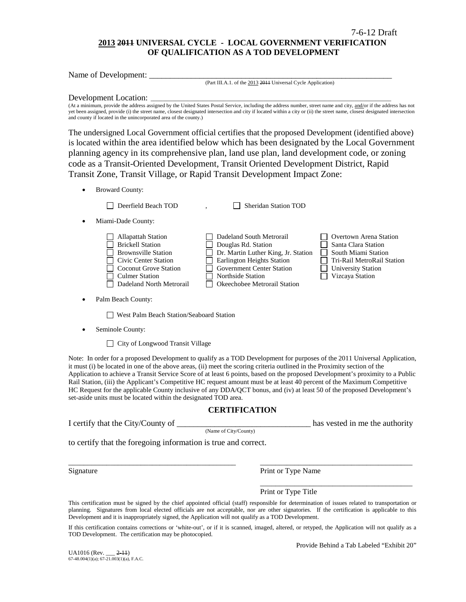## **2013 2011 UNIVERSAL CYCLE - LOCAL GOVERNMENT VERIFICATION OF QUALIFICATION AS A TOD DEVELOPMENT**

Name of Development:

(Part III.A.1. of the 2013 2011 Universal Cycle Application)

#### Development Location:

(At a minimum, provide the address assigned by the United States Postal Service, including the address number, street name and city, and/or if the address has not yet been assigned, provide (i) the street name, closest designated intersection and city if located within a city or (ii) the street name, closest designated intersection and county if located in the unincorporated area of the county.)

The undersigned Local Government official certifies that the proposed Development (identified above) is located within the area identified below which has been designated by the Local Government planning agency in its comprehensive plan, land use plan, land development code, or zoning code as a Transit-Oriented Development, Transit Oriented Development District, Rapid Transit Zone, Transit Village, or Rapid Transit Development Impact Zone:

• Broward County:

Deerfield Beach TOD , Sheridan Station TOD

| Sheridan Station TOI |  |
|----------------------|--|
|----------------------|--|

• Miami-Dade County:

Palm Beach County:

West Palm Beach Station/Seaboard Station

Seminole County:

□ City of Longwood Transit Village

Note: In order for a proposed Development to qualify as a TOD Development for purposes of the 2011 Universal Application, it must (i) be located in one of the above areas, (ii) meet the scoring criteria outlined in the Proximity section of the Application to achieve a Transit Service Score of at least 6 points, based on the proposed Development's proximity to a Public Rail Station, (iii) the Applicant's Competitive HC request amount must be at least 40 percent of the Maximum Competitive HC Request for the applicable County inclusive of any DDA/QCT bonus, and (iv) at least 50 of the proposed Development's set-aside units must be located within the designated TOD area.

### **CERTIFICATION**

I certify that the City/County of the comparison of the authority has vested in me the authority

(Name of City/County)

to certify that the foregoing information is true and correct.

Signature Print or Type Name

Print or Type Title

This certification must be signed by the chief appointed official (staff) responsible for determination of issues related to transportation or planning. Signatures from local elected officials are not acceptable, nor are other signatories. If the certification is applicable to this Development and it is inappropriately signed, the Application will not qualify as a TOD Development.

\_\_\_\_\_\_\_\_\_\_\_\_\_\_\_\_\_\_\_\_\_\_\_\_\_\_\_\_\_\_\_\_\_\_\_\_\_\_\_\_\_\_\_\_ \_\_\_\_\_\_\_\_\_\_\_\_\_\_\_\_\_\_\_\_\_\_\_\_\_\_\_\_\_\_\_\_\_\_\_\_\_\_\_\_

If this certification contains corrections or 'white-out', or if it is scanned, imaged, altered, or retyped, the Application will not qualify as a TOD Development. The certification may be photocopied.

 $U_A$ 1016 (Rev.  $2-11$ )  $67-48.004(1)(a)$ ;  $67-21.003(1)(a)$ , F.A.C. Provide Behind a Tab Labeled "Exhibit 20"

\_\_\_\_\_\_\_\_\_\_\_\_\_\_\_\_\_\_\_\_\_\_\_\_\_\_\_\_\_\_\_\_\_\_\_\_\_\_\_\_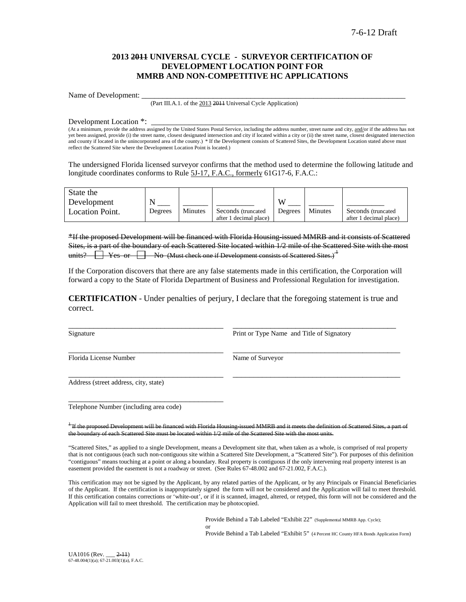### **2013 2011 UNIVERSAL CYCLE - SURVEYOR CERTIFICATION OF DEVELOPMENT LOCATION POINT FOR MMRB AND NON-COMPETITIVE HC APPLICATIONS**

Name of Development:

(Part III.A.1. of the 2013 2011 Universal Cycle Application)

Development Location \*:

(At a minimum, provide the address assigned by the United States Postal Service, including the address number, street name and city, and/or if the address has not yet been assigned, provide (i) the street name, closest designated intersection and city if located within a city or (ii) the street name, closest designated intersection and county if located in the unincorporated area of the county.) \* If the Development consists of Scattered Sites, the Development Location stated above must reflect the Scattered Site where the Development Location Point is located.)

The undersigned Florida licensed surveyor confirms that the method used to determine the following latitude and longitude coordinates conforms to Rule 5J-17, F.A.C., formerly 61G17-6, F.A.C.:

| State the              |         |         |                        |         |         |                        |
|------------------------|---------|---------|------------------------|---------|---------|------------------------|
| Development            |         |         |                        | VY.     |         |                        |
| <b>Location Point.</b> | Degrees | Minutes | Seconds (truncated)    | Degrees | Minutes | Seconds (truncated)    |
|                        |         |         | after 1 decimal place) |         |         | after 1 decimal place) |

\*If the proposed Development will be financed with Florida Housing-issued MMRB and it consists of Scattered Sites, is a part of the boundary of each Scattered Site located within 1/2 mile of the Scattered Site with the most units?  $\Box$  Yes or  $\Box$  No (Must check one if Development consists of Scattered Sites.)<sup> $\pm$ </sup>

If the Corporation discovers that there are any false statements made in this certification, the Corporation will forward a copy to the State of Florida Department of Business and Professional Regulation for investigation.

**CERTIFICATION** - Under penalties of perjury, I declare that the foregoing statement is true and correct.

\_\_\_\_\_\_\_\_\_\_\_\_\_\_\_\_\_\_\_\_\_\_\_\_\_\_\_\_\_\_\_\_\_\_\_\_\_ \_\_\_\_\_\_\_\_\_\_\_\_\_\_\_\_\_\_\_\_\_\_\_\_\_\_\_\_\_\_\_\_\_\_\_\_\_\_\_\_

\_\_\_\_\_\_\_\_\_\_\_\_\_\_\_\_\_\_\_\_\_\_\_\_\_\_\_\_\_\_\_\_\_\_\_\_\_ \_\_\_\_\_\_\_\_\_\_\_\_\_\_\_\_\_\_\_\_\_\_\_\_\_\_\_\_\_\_\_\_\_\_\_\_\_\_\_\_

\_\_\_\_\_\_\_\_\_\_\_\_\_\_\_\_\_\_\_\_\_\_\_\_\_\_\_\_\_\_\_\_\_\_\_\_\_ \_\_\_\_\_\_\_\_\_\_\_\_\_\_\_\_\_\_\_\_\_\_\_\_\_\_\_\_\_\_\_\_\_\_\_\_\_\_\_ Signature **Print or Type Name and Title of Signatory** Print or Type Name and Title of Signatory

Florida License Number Name of Surveyor

Address (street address, city, state)

Telephone Number (including area code)

\_\_\_\_\_\_\_\_\_\_\_\_\_\_\_\_\_\_\_\_\_\_\_\_\_\_\_\_\_\_\_\_\_\_\_\_\_

<sup>1</sup> If the proposed Development will be financed with Florida Housing-issued MMRB and it the boundary of each Scattered Site must be located within 1/2 mile of the Scattered Site with the most units.

"Scattered Sites," as applied to a single Development, means a Development site that, when taken as a whole, is comprised of real property that is not contiguous (each such non-contiguous site within a Scattered Site Development, a "Scattered Site"). For purposes of this definition "contiguous" means touching at a point or along a boundary. Real property is contiguous if the only intervening real property interest is an easement provided the easement is not a roadway or street. (See Rules 67-48.002 and 67-21.002, F.A.C.).

This certification may not be signed by the Applicant, by any related parties of the Applicant, or by any Principals or Financial Beneficiaries of the Applicant. If the certification is inappropriately signed the form will not be considered and the Application will fail to meet threshold. If this certification contains corrections or 'white-out', or if it is scanned, imaged, altered, or retyped, this form will not be considered and the Application will fail to meet threshold. The certification may be photocopied.

> Provide Behind a Tab Labeled "Exhibit 22" (Supplemental MMRB App. Cycle); or

Provide Behind a Tab Labeled "Exhibit 5" (4 Percent HC County HFA Bonds Application Form)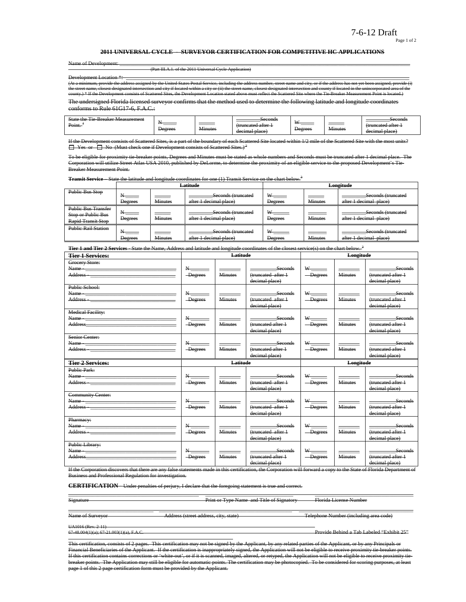#### 7-6-12 Draft Page 1 of 2

#### **2011 UNIVERSAL CYCLE - SURVEYOR CERTIFICATION FOR COMPETITIVE HC APPLICATIONS**

| Name of Developp |  |  |
|------------------|--|--|
|                  |  |  |

Name of Development: \_\_\_\_\_\_\_\_\_\_\_\_\_\_\_\_\_\_\_\_\_\_\_\_\_\_\_\_\_\_\_\_\_\_\_\_\_\_\_\_\_\_\_\_\_\_\_\_\_\_\_\_\_\_\_\_\_\_\_\_\_\_\_\_\_\_\_\_\_\_\_\_\_\_\_\_\_\_\_\_\_\_\_\_\_\_\_\_\_\_\_\_\_\_\_\_\_\_\_\_\_\_\_\_\_\_\_\_\_ (Part III.A.1. of the 2011 Universal Cycle Application)

Development Location \*: \_\_\_\_\_\_\_\_\_\_\_\_\_\_\_\_\_\_\_\_\_\_\_\_\_\_\_\_\_\_\_\_\_\_\_\_\_\_\_\_\_\_\_\_\_\_\_\_\_\_\_\_\_\_\_\_\_\_\_\_\_\_\_\_\_\_\_\_\_\_\_\_\_\_\_\_\_\_\_\_\_\_\_\_\_\_\_\_\_\_\_\_\_ (At a minimum, provide the address assigned by the United States Postal Service, including the address number, street name and city, or if the address has not yet been assigned, provide (i)<br>the street name, closest designa county.<br>If Scattered Sites, the Development Location stated above must reflect the Scattered Sites

The undersigned Florida licensed surveyor confirms that the method used to determine the following latitude and longitude coordinates conforms to Rule 61G17-6, F.A.C.:

| ---<br>State<br><del>sreaker Measurement</del><br>10<br>᠇᠇᠇᠇<br>$\overline{\phantom{a}}$<br>Point. | _______<br>Degrees | ______<br>$\mathbf{v}$<br>41nutes | Seconds<br>runcotad oftar<br><del>uuncatou anoi</del><br>decimal place) | <b>TY</b><br>Degrees | $ -$<br>. <del>Minute:</del> | <del>seconds</del><br>fruncated atter:<br><del>uuncatou artor 1</del><br>$n \cdot \alpha$<br>ыасс<br>uceman |
|----------------------------------------------------------------------------------------------------|--------------------|-----------------------------------|-------------------------------------------------------------------------|----------------------|------------------------------|-------------------------------------------------------------------------------------------------------------|
|----------------------------------------------------------------------------------------------------|--------------------|-----------------------------------|-------------------------------------------------------------------------|----------------------|------------------------------|-------------------------------------------------------------------------------------------------------------|

ists of Scattered Sites, is a part of the boundary of each Scattered Site located within 1/2 mile of the Scattered Site with the  $\Box$  Yes or  $\Box$  No (Must check one if Development consists of Scattered Sites.)<sup>2</sup>

To be eligible for proximity tie-breaker points, Degrees and Minutes must be stated as whole numbers and Seconds must be truncated after 1 decimal place. The Corporation will utilize Street Atlas USA 2010, published by DeLorme, to determine the proximity of an eligible service to the proposed Development's Tie-Breaker Measurement Point.

**Transit Service** – State the latitude and longitude coordinates for one (1) Transit Service on the chart below.<sup>3</sup>

|                                                                               |                |                | Latitude                                     | Longitude           |                |                                              |  |
|-------------------------------------------------------------------------------|----------------|----------------|----------------------------------------------|---------------------|----------------|----------------------------------------------|--|
| Public Bus Stop                                                               | <b>Degrees</b> | <b>Minutes</b> | Seconds (truncated<br>after 1 decimal place) | <b>Degrees</b>      | <b>Minutes</b> | Seconds (truncated<br>after 1 decimal place) |  |
| <b>Public Bus Transfer</b><br>Stop or Public Bus<br><b>Rapid Transit Stop</b> | Degrees        | <b>Minutes</b> | Seconds (truncated<br>after 1 decimal place) | Degrees             | <b>Minutes</b> | Seconds (truncated<br>after 1 decimal place) |  |
| <b>Public Rail Station</b>                                                    | <b>Degrees</b> | <b>Minutes</b> | Seconds (truncated<br>after 1 decimal place) | W<br><b>Degrees</b> | <b>Minutes</b> | Seconds (truncated<br>after 1 decimal place) |  |

**Tier 1 and Tier 2 Services** - State the Name, Address and latitude and longitude coordinates of the closest service(s) on the chart below. <sup>3</sup>

| <b>Tier 1 Services:</b>                                                                                                                                                                                                                                                                                                                                           |                                                     | Latitude                |                                                        |                                       | Longitude               |                                                                |
|-------------------------------------------------------------------------------------------------------------------------------------------------------------------------------------------------------------------------------------------------------------------------------------------------------------------------------------------------------------------|-----------------------------------------------------|-------------------------|--------------------------------------------------------|---------------------------------------|-------------------------|----------------------------------------------------------------|
| Grocery Store:<br>Name - Name - Name - Name - Name - Name - Name - Name - Name - Name - Name - Name - Name - Name - Name - Name - Name - Name - Name - Name - Name - Name - Name - Name - Name - Name - Name - Name - Name - Name - Name - Name<br>Address - The Committee of the Committee of the Committee of the Committee of the Committee of the Committee o | $\rm N_{\rm \, max}$<br>-Degrees                    | <b>Minutes</b>          | Seconds<br>(truncated after 1<br>decimal place)        | -Degrees                              | <b>Minutes</b>          | Seconds<br>(truncated after 1<br>decimal place)                |
| Public School:                                                                                                                                                                                                                                                                                                                                                    | $N_{\overline{}}$<br>-Degrees                       | Minutes                 | <b>Seconds</b><br>(truncated after 1<br>decimal place) | $W$ <sub>-----</sub><br>-Degrees      | <b>Minutes</b>          | <b>Seconds</b><br>(truncated after 1<br>decimal place)         |
| <b>Medical Facility:</b>                                                                                                                                                                                                                                                                                                                                          | $N_{-}$<br>-Degrees                                 | <b>Minutes</b>          | Seconds<br>(truncated after +<br>decimal place)        | $\mathbf{w}_{\text{max}}$<br>-Degrees | <b>Minutes</b>          | Seconds<br>(truncated after 1<br>decimal place)                |
| Senior Center:                                                                                                                                                                                                                                                                                                                                                    | $\mathbf{N}_{\text{max}}$<br>-Degrees               | <b>Minutes</b>          | Seconds<br>(truncated after 1<br>decimal place)        | W <sub>1</sub><br>-Degrees            | <b>Minutes</b>          | Seconds<br>(truncated after 1<br>decimal place)                |
|                                                                                                                                                                                                                                                                                                                                                                   |                                                     |                         |                                                        |                                       |                         |                                                                |
| <b>Tier 2 Services:</b>                                                                                                                                                                                                                                                                                                                                           |                                                     | <b>Latitude</b>         |                                                        |                                       | Longitude               |                                                                |
| <b>Public Park:</b><br>Address - The Commission of the Commission of the Commission of the Commission of the Commission of the Commission of the Commission of the Commission of the Commission of the Commission of the Commission of the Commission                                                                                                             | $\mathbf{N}_{\text{max}}$<br>-Degrees               | _____<br><b>Minutes</b> | Seconds<br>(truncated after 1<br>decimal place)        | -Degrees                              | _____<br><b>Minutes</b> | seconds<br>(truncated after 1<br>decimal place)                |
| <b>Community Center:</b>                                                                                                                                                                                                                                                                                                                                          | $N_{\overline{\phantom{a}}}\phantom{a}$<br>-Degrees | <b>Minutes</b>          | <b>Seconds</b><br>(truncated after 1<br>decimal place) | $W$ <sub>_______</sub><br>-Degrees    | <b>Minutes</b>          | _______________Seconds<br>(truncated after 1<br>decimal place) |
| Pharmacy:<br>Name - The Commission of the Commission of the Commission of the Commission of the Commission of the Commission of the Commission of the Commission of the Commission of the Commission of the Commission of the Commission of<br>Public Library:                                                                                                    | N<br>-Degrees                                       | <b>Minutes</b>          | Seconds<br>(truncated after 1<br>decimal place)        | -Degrees                              | <b>Minutes</b>          | Seconds<br>(truncated after 1<br>decimal place)                |

If the Corporation discovers that there are any false statements made in this certification, the Corporation will forward a copy to the State of Florida Department of<br>Business and Professional Pequlation for investigation .<br>and Professional Regulation for investigation.

\_\_\_\_\_\_\_\_\_\_\_\_\_\_\_\_\_\_\_\_\_\_\_\_\_\_\_\_\_\_\_\_\_\_\_\_\_\_\_\_\_\_\_\_\_\_\_\_\_ \_\_\_\_\_\_\_\_\_\_\_\_\_\_\_\_\_\_\_\_\_\_\_\_\_\_\_\_\_\_\_\_\_ \_\_\_\_\_\_\_\_\_\_\_\_\_\_\_\_\_\_\_\_\_\_\_\_\_\_\_\_\_\_\_\_\_\_\_\_\_

**CERTIFICATION** - Under penalties of perjury, I declare that the foregoing statement is true and correct.

Signature **Print or Type Name and Title of Signatory Florida License Number** 

\_\_\_\_\_\_\_\_\_\_\_\_\_\_\_\_\_\_\_\_\_\_\_\_\_\_\_\_\_\_\_\_ \_\_\_\_\_\_\_\_\_\_\_\_\_\_\_\_\_\_\_\_\_\_\_\_\_\_\_\_\_\_\_\_\_\_\_\_\_\_\_\_\_\_\_\_\_\_\_\_\_\_ \_\_\_\_\_\_\_\_\_\_\_\_\_\_\_\_\_\_\_\_\_\_\_\_\_\_\_\_\_\_\_\_\_\_\_\_\_\_\_\_\_\_\_ Name of Surveyor Address (street address, city, state) Telephone Number (including area code)

UA1016 (Rev. 2-11)<br>67-48.004(1)(a); 67-21.003(1)(a), F.A.C.

Provide Behind a Tab Labeled "Exhibit 25"

This certification, consists of 2 pages. This certification may not be signed by the Applicant, by any related parties of the Applicant, or by any Principals or Financial Beneficiaries of the Applicant. If the certification is inappropriately signed, the Application will not be eligible to receive proximity tie-breaker points.<br>If this certification contains corrections or 'white o ed, imaged, altered, or retyped, the Application will not be eligible to receive proximity tiebreaker points. The Application may still be eligible for automatic points. The certification may be photocopied. To be considered for scoring purposes, at least page 1 of this 2 page certification form must be provided by the Applicant.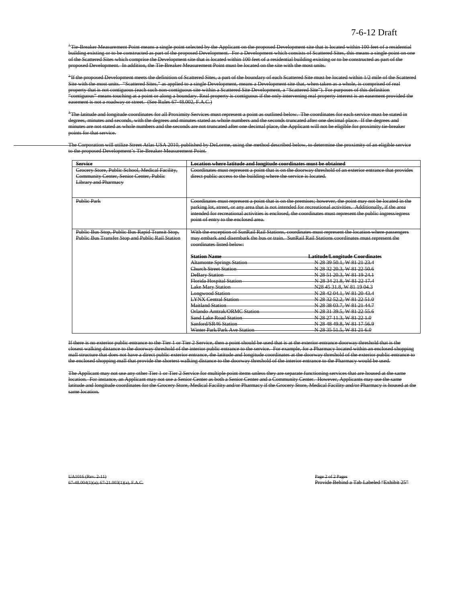<sup>+</sup>Tie-Breaker Measurement Point means a single point selected by the Applicant on the proposed Development site that is located within 100 feet of a residential building existing or to be constructed as part of the proposed Development. For a Development which consists of Scattered Sites, this means a single point on one of the Scattered Sites which comprise the Development site that is located within 100 feet of a residential building existing or to be constructed as part of the proposed Development. In addition, the Tie-Breaker Measurement Point must be located on the site with the most units.

<sup>2</sup>If the proposed Development meets the definition of Scattered Sites, a part of the boundary of each Scattered Site must be located within 1/2 mile of the Scattered Site with the most units. "Scattered Sites," as applied to a single Development, means a Development site that, when taken as a whole, is comprised of real property that is not contiguous (each such non-contiguous site within a Scattered Site Development, a "Scattered Site"). For purposes of this definition "contiguous" means touching at a point or along a boundary. Real property is contiguous if the only intervening real property interest is an easement provided the easement is not a roadway or street. (See Rules 67-48.002, F.A.C.)

 $^3$ The latitude and longitude coordinates for all Proximity Services must represent a point as outlined below. The coordinates for each service must be stated in degrees, minutes and seconds, with the degrees and minutes stated as whole numbers and the seconds truncated after one decimal place. If the degrees and minutes are not stated as whole numbers and the seconds are not truncated after one decimal place, the Applicant will not be eligible for proximity tie-breaker points for that service.

The Corporation will utilize Street Atlas USA 2010, published by DeLorme, using the method described below, to determine the proximity of an eligible service to the proposed Development's Tie-Breaker Measurement Point.

| <b>Service</b>                                                                             | Location where latitude and longitude coordinates must be obtained |                                                                                                                                                                                                                            |  |  |  |  |
|--------------------------------------------------------------------------------------------|--------------------------------------------------------------------|----------------------------------------------------------------------------------------------------------------------------------------------------------------------------------------------------------------------------|--|--|--|--|
| Grocery Store, Public School, Medical Facility,<br>Community Center, Senior Center, Public | direct public access to the building where the service is located. | Coordinates must represent a point that is on the doorway threshold of an exterior entrance that provides                                                                                                                  |  |  |  |  |
| <b>Library and Pharmacy</b>                                                                |                                                                    |                                                                                                                                                                                                                            |  |  |  |  |
|                                                                                            |                                                                    |                                                                                                                                                                                                                            |  |  |  |  |
|                                                                                            |                                                                    |                                                                                                                                                                                                                            |  |  |  |  |
| <b>Public Park</b>                                                                         |                                                                    | Coordinates must represent a point that is on the premises; however, the point may not be located in the                                                                                                                   |  |  |  |  |
|                                                                                            |                                                                    | parking lot, street, or any area that is not intended for recreational activities. Additionally, if the area<br>intended for recreational activities is enclosed, the coordinates must represent the public ingress/egress |  |  |  |  |
|                                                                                            | point of entry to the enclosed area.                               |                                                                                                                                                                                                                            |  |  |  |  |
|                                                                                            |                                                                    |                                                                                                                                                                                                                            |  |  |  |  |
| Public Bus Stop, Public Bus Rapid Transit Stop,                                            |                                                                    | With the exception of SunRail Rail Stations, coordinates must represent the location where passengers                                                                                                                      |  |  |  |  |
| Public Bus Transfer Stop and Public Rail Station                                           |                                                                    | may embark and disembark the bus or train. SunRail Rail Stations coordinates must represent the                                                                                                                            |  |  |  |  |
|                                                                                            | coordinates listed below:                                          |                                                                                                                                                                                                                            |  |  |  |  |
|                                                                                            |                                                                    |                                                                                                                                                                                                                            |  |  |  |  |
|                                                                                            | <b>Station Name</b>                                                | <b>Latitude/Longitude Coordinates</b>                                                                                                                                                                                      |  |  |  |  |
|                                                                                            | <b>Altamonte Springs Station</b>                                   | N 28 39 50.1, W 81 21 23.4                                                                                                                                                                                                 |  |  |  |  |
|                                                                                            | Church Street Station                                              | N 28 32 20 3, W 81 22 50.6                                                                                                                                                                                                 |  |  |  |  |
|                                                                                            | <b>DeBary Station</b>                                              | N 28 51 20.3, W 81 19 24.1                                                                                                                                                                                                 |  |  |  |  |
|                                                                                            | Florida Hospital Station                                           | N 28 34 21.8, W 81 22 17.4                                                                                                                                                                                                 |  |  |  |  |
|                                                                                            | <b>Lake Mary Station</b>                                           | N28 45 31.8, W 81 19 04.3                                                                                                                                                                                                  |  |  |  |  |
|                                                                                            | <b>Longwood Station</b>                                            | N 28 42 04.1, W 81 20 43.4                                                                                                                                                                                                 |  |  |  |  |
|                                                                                            | <b>LYNX Central Station</b>                                        | N 28 32 52.2, W 81 22 51.0                                                                                                                                                                                                 |  |  |  |  |
|                                                                                            | Maitland Station                                                   | N 28 38 03.7, W 81 21 44.7                                                                                                                                                                                                 |  |  |  |  |
|                                                                                            | Orlando Amtrak/ORMC Station                                        | N 28 31 39.5, W 81 22 55.6                                                                                                                                                                                                 |  |  |  |  |
|                                                                                            | <b>Sand Lake Road Station</b>                                      | N 28 27 11.3, W 81 22 1.0                                                                                                                                                                                                  |  |  |  |  |
|                                                                                            | Sanford/SR46 Station                                               | N 28 48 49 8, W 81 17 56 9                                                                                                                                                                                                 |  |  |  |  |
|                                                                                            | Winter Park/Park Ave Station                                       | N 28 35 51.5, W 81 21 6.0                                                                                                                                                                                                  |  |  |  |  |

If there is no exterior public entrance to the Tier 1 or Tier 2 Service, then a point should be used that is at the exterior entrance doorway threshold that is the closest walking distance to the doorway threshold of the interior public entrance to the service. For example, for a Pharmacy located within an enclosed shopping mall structure that does not have a direct public exterior entrance, the latitude and longitude coordinates at the doorway threshold of the exterior public entrance the enclosed shopping mall that provide the shortest walking distance to the doorway threshold of the interior entrance to the Pharmacy would be used.

The Applicant may not use any other Tier 1 or Tier 2 Service for multiple point items unless they are separate functioning services that are housed at the same location. For instance, an Applicant may not use a Senior Center as both a Senior Center and a Community Center. However, Applicants may use the same latitude and longitude coordinates for the Grocery Store, Medical Facility and/or Pharmacy if the Grocery Store, Medical Facility and/or Pharmacy is housed at the same location.

UA1016 (Rev. 2-11)<br>67-48.004(1)(a); 67-21.003(1)(a), F.A.C. Provide Behind a Tab Labeled "Exhibit 25"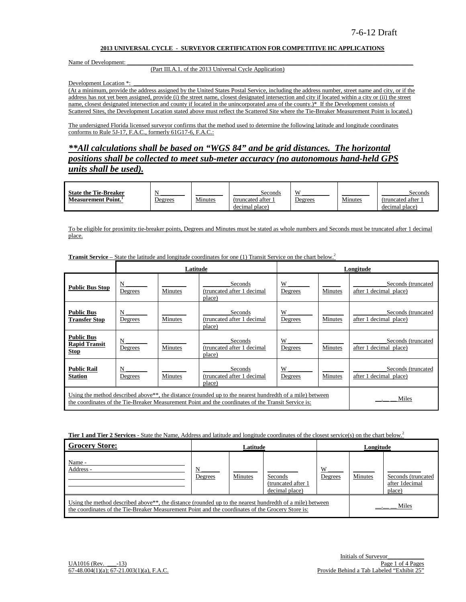#### **2013 UNIVERSAL CYCLE - SURVEYOR CERTIFICATION FOR COMPETITIVE HC APPLICATIONS**

Name of Development:

#### (Part III.A.1. of the 2013 Universal Cycle Application)

Development Location \*:

(At a minimum, provide the address assigned by the United States Postal Service, including the address number, street name and city, or if the address has not yet been assigned, provide (i) the street name, closest designated intersection and city if located within a city or (ii) the street name, closest designated intersection and county if located in the unincorporated area of the county.)\* If the Development consists of Scattered Sites, the Development Location stated above must reflect the Scattered Site where the Tie-Breaker Measurement Point is located.)

The undersigned Florida licensed surveyor confirms that the method used to determine the following latitude and longitude coordinates conforms to Rule 5J-17, F.A.C., formerly 61G17-6, F.A.C.:

*\*\*All calculations shall be based on "WGS 84" and be grid distances. The horizontal positions shall be collected to meet sub-meter accuracy (no autonomous hand-held GPS units shall be used).*

| <b>State the Tie-Breaker</b>    |         |         | Seconds           | X              |         | Seconds           |
|---------------------------------|---------|---------|-------------------|----------------|---------|-------------------|
| Measurement Point. <sup>1</sup> | Degrees | Minutes | (truncated after) | <u>Jegrees</u> | Minutes | (truncated after) |
|                                 |         |         | decimal place)    |                |         | decimal place)    |

To be eligible for proximity tie-breaker points, Degrees and Minutes must be stated as whole numbers and Seconds must be truncated after 1 decimal place.

|                                                          |              | Latitude |                                                                                                                                                                                                                              |              |         | Longitude                                    |
|----------------------------------------------------------|--------------|----------|------------------------------------------------------------------------------------------------------------------------------------------------------------------------------------------------------------------------------|--------------|---------|----------------------------------------------|
| <b>Public Bus Stop</b>                                   | N<br>Degrees | Minutes  | Seconds<br>(truncated after 1 decimal<br>place)                                                                                                                                                                              | W<br>Degrees | Minutes | Seconds (truncated<br>after 1 decimal place) |
| <b>Public Bus</b><br><b>Transfer Stop</b>                | N<br>Degrees | Minutes  | Seconds<br>(truncated after 1 decimal<br>place)                                                                                                                                                                              | W<br>Degrees | Minutes | Seconds (truncated<br>after 1 decimal place) |
| <b>Public Bus</b><br><b>Rapid Transit</b><br><b>Stop</b> | N<br>Degrees | Minutes  | Seconds<br>(truncated after 1 decimal<br>place)                                                                                                                                                                              | W<br>Degrees | Minutes | Seconds (truncated<br>after 1 decimal place) |
| <b>Public Rail</b><br><b>Station</b>                     | N<br>Degrees | Minutes  | Seconds<br>(truncated after 1 decimal<br>place)                                                                                                                                                                              | W<br>Degrees | Minutes | Seconds (truncated<br>after 1 decimal place) |
|                                                          |              |          | Using the method described above <sup>**</sup> , the distance (rounded up to the nearest hundredth of a mile) between<br>the coordinates of the Tie-Breaker Measurement Point and the coordinates of the Transit Service is: |              |         | Miles                                        |

**Transit Service –** State the latitude and longitude coordinates for one (1) Transit Service on the chart below.<sup>2</sup>

**Tier 1 and Tier 2 Services** - State the Name, Address and latitude and longitude coordinates of the closest service(s) on the chart below.<sup>2</sup>

| <b>Grocery Store:</b>                                                                                                                                                                                                      |              | Latitude |                                                  |              | Longitude |                                                |
|----------------------------------------------------------------------------------------------------------------------------------------------------------------------------------------------------------------------------|--------------|----------|--------------------------------------------------|--------------|-----------|------------------------------------------------|
| Name -<br>Address -                                                                                                                                                                                                        | N<br>Degrees | Minutes  | Seconds<br>(truncated after 1)<br>decimal place) | W<br>Degrees | Minutes   | Seconds (truncated<br>after 1decimal<br>place) |
| Using the method described above <sup>**</sup> , the distance (rounded up to the nearest hundredth of a mile) between<br>the coordinates of the Tie-Breaker Measurement Point and the coordinates of the Grocery Store is: |              |          |                                                  |              |           | Miles                                          |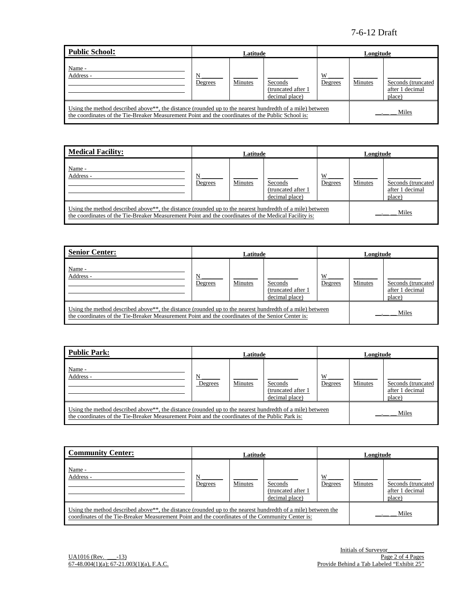# 7-6-12 Draft

| Public School:                                                                                                                                                                                                             |              | Latitude<br>Longitude |                                                 |              |         |                                                 |
|----------------------------------------------------------------------------------------------------------------------------------------------------------------------------------------------------------------------------|--------------|-----------------------|-------------------------------------------------|--------------|---------|-------------------------------------------------|
| Name -<br>Address -                                                                                                                                                                                                        | N<br>Degrees | Minutes               | Seconds<br>(truncated after 1<br>decimal place) | W<br>Degrees | Minutes | Seconds (truncated<br>after 1 decimal<br>place) |
| Using the method described above <sup>**</sup> , the distance (rounded up to the nearest hundredth of a mile) between<br>the coordinates of the Tie-Breaker Measurement Point and the coordinates of the Public School is: |              |                       |                                                 |              |         | Miles                                           |

| <b>Medical Facility:</b>                                                                                                                                                                                                      | Latitude     |         |                                                 | Longitude    |         |                                                 |
|-------------------------------------------------------------------------------------------------------------------------------------------------------------------------------------------------------------------------------|--------------|---------|-------------------------------------------------|--------------|---------|-------------------------------------------------|
| Name -<br>Address -                                                                                                                                                                                                           | N<br>Degrees | Minutes | Seconds<br>(truncated after 1<br>decimal place) | W<br>Degrees | Minutes | Seconds (truncated<br>after 1 decimal<br>place) |
| Using the method described above <sup>**</sup> , the distance (rounded up to the nearest hundredth of a mile) between<br>the coordinates of the Tie-Breaker Measurement Point and the coordinates of the Medical Facility is: |              |         |                                                 |              |         | Miles                                           |

| <b>Senior Center:</b>                                                                                                                                                                                                      |              | Latitude |                                                 |              | Longitude |                                                 |
|----------------------------------------------------------------------------------------------------------------------------------------------------------------------------------------------------------------------------|--------------|----------|-------------------------------------------------|--------------|-----------|-------------------------------------------------|
| Name -<br>Address -                                                                                                                                                                                                        | N<br>Degrees | Minutes  | Seconds<br>(truncated after 1<br>decimal place) | W<br>Degrees | Minutes   | Seconds (truncated<br>after 1 decimal<br>place) |
| Using the method described above <sup>**</sup> , the distance (rounded up to the nearest hundredth of a mile) between<br>the coordinates of the Tie-Breaker Measurement Point and the coordinates of the Senior Center is: |              |          |                                                 |              |           | Miles                                           |

| <b>Public Park:</b>                                                                                                                                                                                                      | Latitude     |         |                                                 | Longitude    |         |                                                 |
|--------------------------------------------------------------------------------------------------------------------------------------------------------------------------------------------------------------------------|--------------|---------|-------------------------------------------------|--------------|---------|-------------------------------------------------|
| Name -<br>Address -                                                                                                                                                                                                      | N<br>Degrees | Minutes | Seconds<br>(truncated after 1<br>decimal place) | W<br>Degrees | Minutes | Seconds (truncated<br>after 1 decimal<br>place) |
| Using the method described above <sup>**</sup> , the distance (rounded up to the nearest hundredth of a mile) between<br>the coordinates of the Tie-Breaker Measurement Point and the coordinates of the Public Park is: |              |         |                                                 |              |         | Miles                                           |

| <b>Community Center:</b>                                                                                                                                                                                                               |              | Latitude |                                                  | Longitude    |         |                                                 |
|----------------------------------------------------------------------------------------------------------------------------------------------------------------------------------------------------------------------------------------|--------------|----------|--------------------------------------------------|--------------|---------|-------------------------------------------------|
| Name -<br>Address -                                                                                                                                                                                                                    | N<br>Degrees | Minutes  | Seconds<br>(truncated after 1)<br>decimal place) | W<br>Degrees | Minutes | Seconds (truncated<br>after 1 decimal<br>place) |
| Using the method described above <sup>**</sup> , the distance (rounded up to the nearest hundredth of a mile) between the<br>Miles<br>coordinates of the Tie-Breaker Measurement Point and the coordinates of the Community Center is: |              |          |                                                  |              |         |                                                 |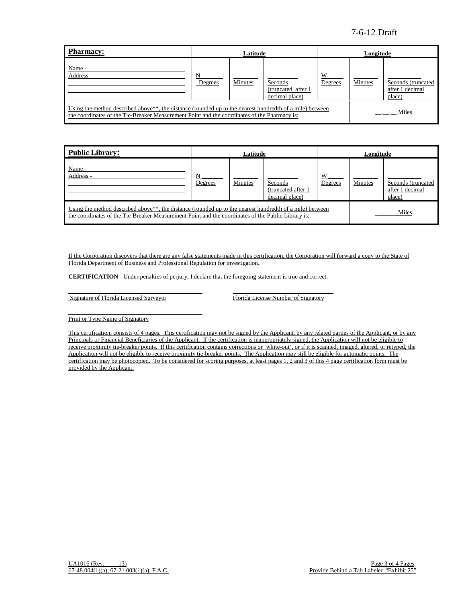# 7-6-12 Draft

| Pharmacy:                                                                                                                                                                                                             | Latitude     |         |                                                  | Longitude    |         |                                                 |
|-----------------------------------------------------------------------------------------------------------------------------------------------------------------------------------------------------------------------|--------------|---------|--------------------------------------------------|--------------|---------|-------------------------------------------------|
| Name -<br>Address -                                                                                                                                                                                                   | N<br>Degrees | Minutes | Seconds<br>(truncated after 1)<br>decimal place) | W<br>Degrees | Minutes | Seconds (truncated<br>after 1 decimal<br>place) |
| Using the method described above <sup>**</sup> , the distance (rounded up to the nearest hundredth of a mile) between<br>the coordinates of the Tie-Breaker Measurement Point and the coordinates of the Pharmacy is: |              |         |                                                  |              | Miles   |                                                 |

| <b>Public Library:</b>                                                                                                                                                                                                               | Latitude     |                | Longitude                                        |              |         |                                                 |
|--------------------------------------------------------------------------------------------------------------------------------------------------------------------------------------------------------------------------------------|--------------|----------------|--------------------------------------------------|--------------|---------|-------------------------------------------------|
| Name -<br>Address -                                                                                                                                                                                                                  | N<br>Degrees | <b>Minutes</b> | Seconds<br>(truncated after 1)<br>decimal place) | W<br>Degrees | Minutes | Seconds (truncated<br>after 1 decimal<br>place) |
| Using the method described above <sup>**</sup> , the distance (rounded up to the nearest hundredth of a mile) between<br>Miles<br>the coordinates of the Tie-Breaker Measurement Point and the coordinates of the Public Library is: |              |                |                                                  |              |         |                                                 |

If the Corporation discovers that there are any false statements made in this certification, the Corporation will forward a copy to the State of Florida Department of Business and Professional Regulation for investigation.

**CERTIFICATION** - Under penalties of perjury, I declare that the foregoing statement is true and correct.

\_\_\_\_\_\_\_\_\_\_\_\_\_\_\_\_\_\_\_\_\_\_\_\_\_\_\_\_\_\_\_\_\_\_\_\_\_\_\_\_\_\_\_\_ \_\_\_\_\_\_\_\_\_\_\_\_\_\_\_\_\_\_\_\_\_\_\_\_\_\_\_\_\_\_\_\_\_ Signature of Florida Licensed Surveyor Florida License Number of Signatory

\_\_\_\_\_\_\_\_\_\_\_\_\_\_\_\_\_\_\_\_\_\_\_\_\_\_\_\_\_\_\_\_\_\_\_\_\_\_\_\_\_\_\_\_

Print or Type Name of Signatory

This certification, consists of 4 pages. This certification may not be signed by the Applicant, by any related parties of the Applicant, or by any Principals or Financial Beneficiaries of the Applicant. If the certification is inappropriately signed, the Application will not be eligible to receive proximity tie-breaker points. If this certification contains corrections or 'white-out', or if it is scanned, imaged, altered, or retyped, the Application will not be eligible to receive proximity tie-breaker points. The Application may still be eligible for automatic points. The certification may be photocopied. To be considered for scoring purposes, at least pages 1, 2 and 3 of this 4 page certification form must be provided by the Applicant.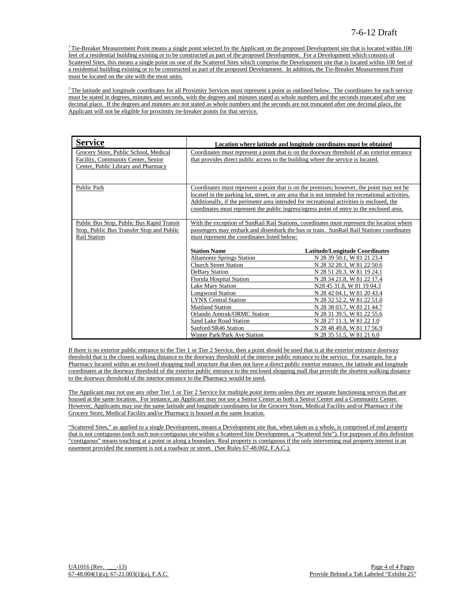$1$ <sup>1</sup> Tie-Breaker Measurement Point means a single point selected by the Applicant on the proposed Development site that is located within 100 feet of a residential building existing or to be constructed as part of the proposed Development. For a Development which consists of Scattered Sites, this means a single point on one of the Scattered Sites which comprise the Development site that is located within 100 feet of a residential building existing or to be constructed as part of the proposed Development. In addition, the Tie-Breaker Measurement Point must be located on the site with the most units.

 $2$ The latitude and longitude coordinates for all Proximity Services must represent a point as outlined below. The coordinates for each service must be stated in degrees, minutes and seconds, with the degrees and minutes stated as whole numbers and the seconds truncated after one decimal place. If the degrees and minutes are not stated as whole numbers and the seconds are not truncated after one decimal place, the Applicant will not be eligible for proximity tie-breaker points for that service.

| <b>Service</b>                                                                                                     |                                                                                                                                                                                                                                                                                                     | Location where latitude and longitude coordinates must be obtained                                                                                                                                                                                                                                          |  |  |  |
|--------------------------------------------------------------------------------------------------------------------|-----------------------------------------------------------------------------------------------------------------------------------------------------------------------------------------------------------------------------------------------------------------------------------------------------|-------------------------------------------------------------------------------------------------------------------------------------------------------------------------------------------------------------------------------------------------------------------------------------------------------------|--|--|--|
| Grocery Store, Public School, Medical<br>Facility, Community Center, Senior<br>Center, Public Library and Pharmacy | that provides direct public access to the building where the service is located.                                                                                                                                                                                                                    | Coordinates must represent a point that is on the doorway threshold of an exterior entrance                                                                                                                                                                                                                 |  |  |  |
| <b>Public Park</b>                                                                                                 | Additionally, if the perimeter area intended for recreational activities is enclosed, the                                                                                                                                                                                                           | Coordinates must represent a point that is on the premises; however, the point may not be<br>located in the parking lot, street, or any area that is not intended for recreational activities.<br>coordinates must represent the public ingress/egress point of entry to the enclosed area.                 |  |  |  |
| Public Bus Stop, Public Bus Rapid Transit<br>Stop, Public Bus Transfer Stop and Public<br><b>Rail Station</b>      | With the exception of SunRail Rail Stations, coordinates must represent the location where<br>passengers may embark and disembark the bus or train. SunRail Rail Stations coordinates<br>must represent the coordinates listed below:                                                               |                                                                                                                                                                                                                                                                                                             |  |  |  |
|                                                                                                                    | <b>Station Name</b><br><b>Altamonte Springs Station</b><br><b>Church Street Station</b><br><b>DeBary Station</b><br><b>Florida Hospital Station</b><br><b>Lake Mary Station</b><br><b>Longwood Station</b><br><b>LYNX Central Station</b><br><b>Maitland Station</b><br>Orlando Amtrak/ORMC Station | Latitude/Longitude Coordinates<br>N 28 39 50.1, W 81 21 23.4<br>N 28 32 20.3, W 81 22 50.6<br>N 28 51 20.3, W 81 19 24.1<br>N 28 34 21.8, W 81 22 17.4<br>N28 45 31.8, W 81 19 04.3<br>N 28 42 04.1, W 81 20 43.4<br>N 28 32 52.2, W 81 22 51.0<br>N 28 38 03.7, W 81 21 44.7<br>N 28 31 39.5, W 81 22 55.6 |  |  |  |
|                                                                                                                    | Sand Lake Road Station<br>Sanford/SR46 Station<br>Winter Park/Park Ave Station                                                                                                                                                                                                                      | N 28 27 11.3, W 81 22 1.0<br>N 28 48 49.8, W 81 17 56.9<br>N 28 35 51.5, W 81 21 6.0                                                                                                                                                                                                                        |  |  |  |

If there is no exterior public entrance to the Tier 1 or Tier 2 Service, then a point should be used that is at the exterior entrance doorway threshold that is the closest walking distance to the doorway threshold of the interior public entrance to the service. For example, for a Pharmacy located within an enclosed shopping mall structure that does not have a direct public exterior entrance, the latitude and longitude coordinates at the doorway threshold of the exterior public entrance to the enclosed shopping mall that provide the shortest walking distance to the doorway threshold of the interior entrance to the Pharmacy would be used.

The Applicant may not use any other Tier 1 or Tier 2 Service for multiple point items unless they are separate functioning services that are housed at the same location. For instance, an Applicant may not use a Senior Center as both a Senior Center and a Community Center. However, Applicants may use the same latitude and longitude coordinates for the Grocery Store, Medical Facility and/or Pharmacy if the Grocery Store, Medical Facility and/or Pharmacy is housed at the same location.

"Scattered Sites," as applied to a single Development, means a Development site that, when taken as a whole, is comprised of real property that is not contiguous (each such non-contiguous site within a Scattered Site Development, a "Scattered Site"). For purposes of this definition "contiguous" means touching at a point or along a boundary. Real property is contiguous if the only intervening real property interest is an easement provided the easement is not a roadway or street. (See Rules 67-48.002, F.A.C.).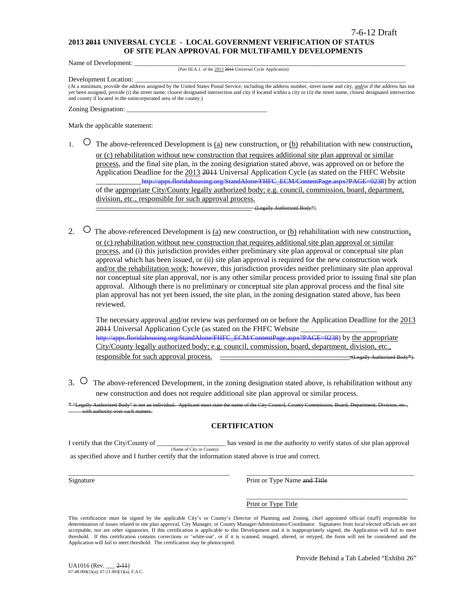### **2013 2011 UNIVERSAL CYCLE - LOCAL GOVERNMENT VERIFICATION OF STATUS OF SITE PLAN APPROVAL FOR MULTIFAMILY DEVELOPMENTS**

Name of Development:

(Part III.A.1. of the 2013 2011 Universal Cycle Application)

Development Location:

(At a minimum, provide the address assigned by the United States Postal Service, including the address number, street name and city, and/or if the address has not yet been assigned, provide (i) the street name, closest designated intersection and city if located within a city or (ii) the street name, closest designated intersection and county if located in the unincorporated area of the county.)

Zoning Designation:

Mark the applicable statement:

1.  $\circ$  The above-referenced Development is <u>(a)</u> new construction, or <u>(b)</u> rehabilitation with new construction, or (c) rehabilitation without new construction that requires additional site plan approval or similar process, and the final site plan, in the zoning designation stated above, was approved on or before the Application Deadline for the 2013 2011 Universal Application Cycle (as stated on the FHFC Website \_\_\_\_\_\_\_\_\_\_\_[\\_http://apps.floridahousing.org/StandAlone/FHFC\\_ECM/ContentPage.aspx?PAGE=0238\)](http://apps.floridahousing.org/StandAlone/FHFC_ECM/ContentPage.aspx?PAGE=0238) by action of the appropriate City/County legally authorized body; e.g. council, commission, board, department, division, etc., responsible for such approval process.

\_\_\_\_\_\_\_\_\_\_\_\_\_\_\_\_\_\_\_\_\_\_\_\_\_\_\_\_\_\_\_\_\_\_\_\_\_\_\_\_\_ (Legally Authorized Body\*).

2.  $\circ$  The above-referenced Development is (a) new construction, or (b) rehabilitation with new construction, or (c) rehabilitation without new construction that requires additional site plan approval or similar process, and (i) this jurisdiction provides either preliminary site plan approval or conceptual site plan approval which has been issued, or (ii) site plan approval is required for the new construction work and/or the rehabilitation work; however, this jurisdiction provides neither preliminary site plan approval nor conceptual site plan approval, nor is any other similar process provided prior to issuing final site plan approval. Although there is no preliminary or conceptual site plan approval process and the final site plan approval has not yet been issued, the site plan, in the zoning designation stated above, has been reviewed.

The necessary approval and/or review was performed on or before the Application Deadline for the 2013 2011 Universal Application Cycle (as stated on the FHFC Website [http://apps.floridahousing.org/StandAlone/FHFC\\_ECM/ContentPage.aspx?PAGE=0238\)](http://apps.floridahousing.org/StandAlone/FHFC_ECM/ContentPage.aspx?PAGE=0238) by the appropriate City/County legally authorized body; e.g. council, commission, board, department, division, etc., responsible for such approval process. \_\_\_\_\_\_\_\_\_\_\_\_\_\_\_\_\_\_\_\_\_\_\_\_\_\_\_\_\_\_\_.(Legally Authorized Body\*).

3. ○ The above-referenced Development, in the zoning designation stated above, is rehabilitation without any new construction and does not require additional site plan approval or similar process.

"Legally Authorized Body" is not an individual. Applicant must state the name of the City Council, County Council, and the Division, Board, Department, Department, Division, Board, Department, Division, etc.,, and the Divi ith authority over

### **CERTIFICATION**

I certify that the City/County of \_\_\_\_\_\_\_\_\_\_\_\_\_\_\_\_\_\_\_\_ has vested in me the authority to verify status of site plan approval (Name of City or County) as specified above and I further certify that the information stated above is true and correct.

\_\_\_\_\_\_\_\_\_\_\_\_\_\_\_\_\_\_\_\_\_\_\_\_\_\_\_\_\_\_\_\_\_\_\_\_\_\_\_\_\_\_\_\_\_\_\_ \_\_\_\_\_\_\_\_\_\_\_\_\_\_\_\_\_\_\_\_\_\_\_\_\_\_\_\_\_\_\_\_\_\_\_\_\_\_\_\_\_\_\_\_\_\_\_\_\_ Signature **Print or Type Name and Title** 

> \_\_\_\_\_\_\_\_\_\_\_\_\_\_\_\_\_\_\_\_\_\_\_\_\_\_\_\_\_\_\_\_\_\_\_\_\_\_\_\_\_\_\_\_\_\_\_ Print or Type Title

This certification must be signed by the applicable City's or County's Director of Planning and Zoning, chief appointed official (staff) responsible for determination of issues related to site plan approval, City Manager, or County Manager/Administrator/Coordinator. Signatures from local elected officials are not acceptable, nor are other signatories. If this certification is applicable to this Development and it is inappropriately signed, the Application will fail to meet threshold. If this certification contains corrections or 'white-out', or if it is scanned, imaged, altered, or retyped, the form will not be considered and the Application will fail to meet threshold. The certification may be photocopied.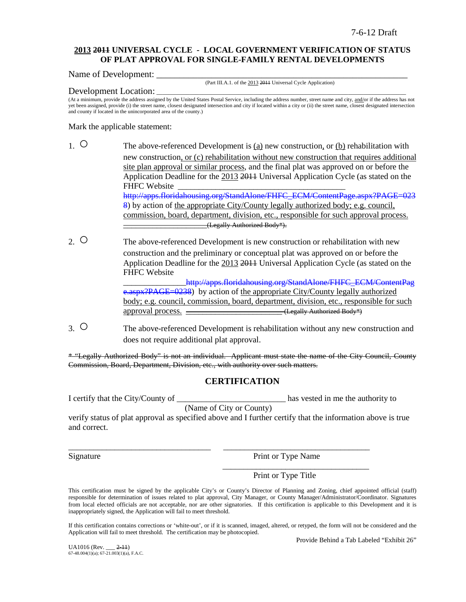### **2013 2011 UNIVERSAL CYCLE - LOCAL GOVERNMENT VERIFICATION OF STATUS OF PLAT APPROVAL FOR SINGLE-FAMILY RENTAL DEVELOPMENTS**

Name of Development:

(Part III.A.1. of the 2013 2011 Universal Cycle Application)

#### Development Location:

(At a minimum, provide the address assigned by the United States Postal Service, including the address number, street name and city, and/or if the address has not yet been assigned, provide (i) the street name, closest designated intersection and city if located within a city or (ii) the street name, closest designated intersection and county if located in the unincorporated area of the county.)

Mark the applicable statement:

- 1. The above-referenced Development is (a) new construction, or (b) rehabilitation with new construction, or (c) rehabilitation without new construction that requires additional site plan approval or similar process, and the final plat was approved on or before the Application Deadline for the 2013 2011 Universal Application Cycle (as stated on the FHFC Website [http://apps.floridahousing.org/StandAlone/FHFC\\_ECM/ContentPage.aspx?PAGE=023](http://apps.floridahousing.org/StandAlone/FHFC_ECM/ContentPage.aspx?PAGE=0238) [8\)](http://apps.floridahousing.org/StandAlone/FHFC_ECM/ContentPage.aspx?PAGE=0238) by action of the appropriate City/County legally authorized body; e.g. council, commission, board, department, division, etc., responsible for such approval process. \_\_\_\_\_\_\_\_\_\_\_\_\_\_\_\_\_\_\_\_(Legally Authorized Body\*).
- 2. O The above-referenced Development is new construction or rehabilitation with new construction and the preliminary or conceptual plat was approved on or before the Application Deadline for the 2013 2011 Universal Application Cycle (as stated on the FHFC Website http://apps.floridahousing.org/StandAlone/FHFC\_ECM/ContentPag

[e.aspx?PAGE=0238\)](http://apps.floridahousing.org/StandAlone/FHFC_ECM/ContentPage.aspx?PAGE=0238) by action of the appropriate City/County legally authorized body; e.g. council, commission, board, department, division, etc., responsible for such approval process.  $\overline{\phantom{a}}$  (Legally Authorized Body\*)

3. ○ The above-referenced Development is rehabilitation without any new construction and does not require additional plat approval.

\* "Legally Authorized Body" is not an individual. Applicant must state the name of the City Council, County Commission, Board, Department, Division, etc., with authority over such matters.

## **CERTIFICATION**

I certify that the City/County of \_\_\_\_\_\_\_\_\_\_\_\_\_\_\_\_\_\_\_\_\_\_\_\_\_\_ has vested in me the authority to

(Name of City or County)

\_\_\_\_\_\_\_\_\_\_\_\_\_\_\_\_\_\_\_\_\_\_\_\_\_\_\_\_\_\_\_\_\_\_ \_\_\_\_\_\_\_\_\_\_\_\_\_\_\_\_\_\_\_\_\_\_\_\_\_\_\_\_\_\_\_\_\_\_\_

verify status of plat approval as specified above and I further certify that the information above is true and correct.

Signature Print or Type Name

\_\_\_\_\_\_\_\_\_\_\_\_\_\_\_\_\_\_\_\_\_\_\_\_\_\_\_\_\_\_\_\_\_\_\_

Print or Type Title

This certification must be signed by the applicable City's or County's Director of Planning and Zoning, chief appointed official (staff) responsible for determination of issues related to plat approval, City Manager, or County Manager/Administrator/Coordinator. Signatures from local elected officials are not acceptable, nor are other signatories. If this certification is applicable to this Development and it is inappropriately signed, the Application will fail to meet threshold.

If this certification contains corrections or 'white-out', or if it is scanned, imaged, altered, or retyped, the form will not be considered and the Application will fail to meet threshold. The certification may be photocopied.

Provide Behind a Tab Labeled "Exhibit 26"

UA1016 (Rev. \_\_\_ 2-11) 67-48.004(1)(a); 67-21.003(1)(a), F.A.C.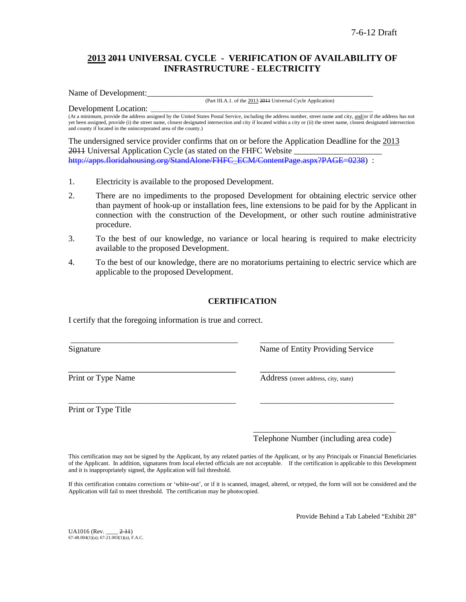# **2013 2011 UNIVERSAL CYCLE - VERIFICATION OF AVAILABILITY OF INFRASTRUCTURE - ELECTRICITY**

Name of Development:

(Part III.A.1. of the 2013 2011 Universal Cycle Application)

Development Location: (At a minimum, provide the address assigned by the United States Postal Service, including the address number, street name and city, and/or if the address has not yet been assigned, provide (i) the street name, closest designated intersection and city if located within a city or (ii) the street name, closest designated intersection and county if located in the unincorporated area of the county.)

The undersigned service provider confirms that on or before the Application Deadline for the 2013 2011 Universal Application Cycle (as stated on the FHFC Website [http://apps.floridahousing.org/StandAlone/FHFC\\_ECM/ContentPage.aspx?PAGE=0238\)](http://apps.floridahousing.org/StandAlone/FHFC_ECM/ContentPage.aspx?PAGE=0238) :

- 1. Electricity is available to the proposed Development.
- 2. There are no impediments to the proposed Development for obtaining electric service other than payment of hook-up or installation fees, line extensions to be paid for by the Applicant in connection with the construction of the Development, or other such routine administrative procedure.
- 3. To the best of our knowledge, no variance or local hearing is required to make electricity available to the proposed Development.
- 4. To the best of our knowledge, there are no moratoriums pertaining to electric service which are applicable to the proposed Development.

## **CERTIFICATION**

\_\_\_\_\_\_\_\_\_\_\_\_\_\_\_\_\_\_\_\_\_\_\_\_\_\_\_\_\_\_\_\_\_\_\_\_\_\_\_\_ \_\_\_\_\_\_\_\_\_\_\_\_\_\_\_\_\_\_\_\_\_\_\_\_\_\_\_\_\_\_\_\_

\_\_\_\_\_\_\_\_\_\_\_\_\_\_\_\_\_\_\_\_\_\_\_\_\_\_\_\_\_\_\_\_\_\_\_\_\_\_\_\_ \_\_\_\_\_\_\_\_\_\_\_\_\_\_\_\_\_\_\_\_\_\_\_\_\_\_\_\_\_\_\_\_

I certify that the foregoing information is true and correct.

Signature Name of Entity Providing Service

Print or Type Name Address (street address, city, state)

Print or Type Title

\_\_\_\_\_\_\_\_\_\_\_\_\_\_\_\_\_\_\_\_\_\_\_\_\_\_\_\_\_\_\_\_\_\_ Telephone Number (including area code)

This certification may not be signed by the Applicant, by any related parties of the Applicant, or by any Principals or Financial Beneficiaries of the Applicant. In addition, signatures from local elected officials are not acceptable. If the certification is applicable to this Development and it is inappropriately signed, the Application will fail threshold.

If this certification contains corrections or 'white-out', or if it is scanned, imaged, altered, or retyped, the form will not be considered and the Application will fail to meet threshold. The certification may be photocopied.

Provide Behind a Tab Labeled "Exhibit 28"

UA1016 (Rev. \_\_\_\_ 2-11)  $67-48.004(1)(a)$ ;  $67-21.003(1)(a)$ , F.A.C.

\_\_\_\_\_\_\_\_\_\_\_\_\_\_\_\_\_\_\_\_\_\_\_\_\_\_\_\_\_\_\_\_\_\_\_\_ \_\_\_\_\_\_\_\_\_\_\_\_\_\_\_\_\_\_\_\_\_\_\_\_\_\_\_\_\_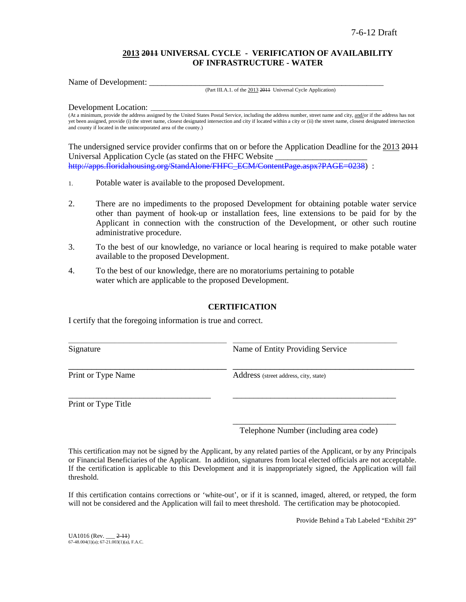## **2013 2011 UNIVERSAL CYCLE - VERIFICATION OF AVAILABILITY OF INFRASTRUCTURE - WATER**

Name of Development:

#### (Part III.A.1. of the 2013 2011 Universal Cycle Application)

Development Location:

(At a minimum, provide the address assigned by the United States Postal Service, including the address number, street name and city, and/or if the address has not yet been assigned, provide (i) the street name, closest designated intersection and city if located within a city or (ii) the street name, closest designated intersection and county if located in the unincorporated area of the county.)

The undersigned service provider confirms that on or before the Application Deadline for the 2013 2011 Universal Application Cycle (as stated on the FHFC Website \_\_\_\_\_\_\_\_\_\_\_\_\_\_\_\_\_\_\_\_\_\_ [http://apps.floridahousing.org/StandAlone/FHFC\\_ECM/ContentPage.aspx?PAGE=0238\)](http://apps.floridahousing.org/StandAlone/FHFC_ECM/ContentPage.aspx?PAGE=0238) :

- 1. Potable water is available to the proposed Development.
- 2. There are no impediments to the proposed Development for obtaining potable water service other than payment of hook-up or installation fees, line extensions to be paid for by the Applicant in connection with the construction of the Development, or other such routine administrative procedure.
- 3. To the best of our knowledge, no variance or local hearing is required to make potable water available to the proposed Development.
- 4. To the best of our knowledge, there are no moratoriums pertaining to potable water which are applicable to the proposed Development.

### **CERTIFICATION**

I certify that the foregoing information is true and correct.

| Signature          | Name of Entity Providing Service      |  |  |
|--------------------|---------------------------------------|--|--|
| Print or Type Name | Address (street address, city, state) |  |  |
|                    |                                       |  |  |

Print or Type Title

\_\_\_\_\_\_\_\_\_\_\_\_\_\_\_\_\_\_\_\_\_\_\_\_\_\_\_\_\_\_\_\_\_\_\_\_\_\_\_ Telephone Number (including area code)

This certification may not be signed by the Applicant, by any related parties of the Applicant, or by any Principals or Financial Beneficiaries of the Applicant. In addition, signatures from local elected officials are not acceptable. If the certification is applicable to this Development and it is inappropriately signed, the Application will fail threshold.

If this certification contains corrections or 'white-out', or if it is scanned, imaged, altered, or retyped, the form will not be considered and the Application will fail to meet threshold. The certification may be photocopied.

Provide Behind a Tab Labeled "Exhibit 29"

UA1016 (Rev. \_\_\_ 2-11) 67-48.004(1)(a); 67-21.003(1)(a), F.A.C.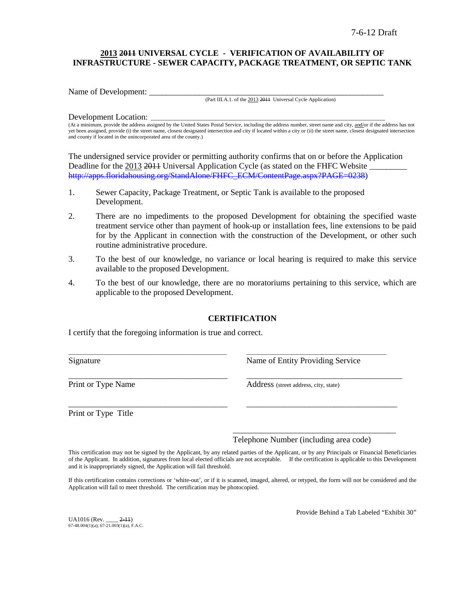## **2013 2011 UNIVERSAL CYCLE - VERIFICATION OF AVAILABILITY OF INFRASTRUCTURE - SEWER CAPACITY, PACKAGE TREATMENT, OR SEPTIC TANK**

Name of Development:

(Part III.A.1. of the 2013 2011 Universal Cycle Application)

#### Development Location:

(At a minimum, provide the address assigned by the United States Postal Service, including the address number, street name and city, and/or if the address has not yet been assigned, provide (i) the street name, closest designated intersection and city if located within a city or (ii) the street name, closest designated intersection and county if located in the unincorporated area of the county.)

The undersigned service provider or permitting authority confirms that on or before the Application Deadline for the 2013 2011 Universal Application Cycle (as stated on the FHFC Website [http://apps.floridahousing.org/StandAlone/FHFC\\_ECM/ContentPage.aspx?PAGE=0238\)](http://apps.floridahousing.org/StandAlone/FHFC_ECM/ContentPage.aspx?PAGE=0238)

- 1. Sewer Capacity, Package Treatment, or Septic Tank is available to the proposed Development.
- 2. There are no impediments to the proposed Development for obtaining the specified waste treatment service other than payment of hook-up or installation fees, line extensions to be paid for by the Applicant in connection with the construction of the Development, or other such routine administrative procedure.
- 3. To the best of our knowledge, no variance or local hearing is required to make this service available to the proposed Development.
- 4. To the best of our knowledge, there are no moratoriums pertaining to this service, which are applicable to the proposed Development.

### **CERTIFICATION**

\_\_\_\_\_\_\_\_\_\_\_\_\_\_\_\_\_\_\_\_\_\_\_\_\_\_\_\_\_\_\_\_\_\_\_\_\_\_\_\_\_\_\_\_\_\_\_\_\_\_\_\_ \_\_\_\_\_\_\_\_\_\_\_\_\_\_\_\_\_\_\_\_\_\_\_\_\_\_\_\_\_\_\_\_\_\_\_\_\_\_\_\_\_\_\_\_\_\_

\_\_\_\_\_\_\_\_\_\_\_\_\_\_\_\_\_\_\_\_\_\_\_\_\_\_\_\_\_\_\_\_\_\_\_\_\_\_\_\_\_\_\_\_\_\_\_ \_\_\_\_\_\_\_\_\_\_\_\_\_\_\_\_\_\_\_\_\_\_\_\_\_\_\_\_\_\_\_\_\_\_\_\_\_\_\_\_\_\_\_\_\_\_

\_\_\_\_\_\_\_\_\_\_\_\_\_\_\_\_\_\_\_\_\_\_\_\_\_\_\_\_\_\_\_\_\_\_\_\_\_\_ \_\_\_\_\_\_\_\_\_\_\_\_\_\_\_\_\_\_\_\_\_\_\_\_\_\_\_\_\_\_\_\_\_\_\_\_

I certify that the foregoing information is true and correct.

Signature **Name of Entity Providing Service** Research Name of Entity Providing Service

Print or Type Name<br>
Address (street address, city, state)

Print or Type Title

Telephone Number (including area code)

\_\_\_\_\_\_\_\_\_\_\_\_\_\_\_\_\_\_\_\_\_\_\_\_\_\_\_\_\_\_\_\_\_\_\_\_\_\_\_

This certification may not be signed by the Applicant, by any related parties of the Applicant, or by any Principals or Financial Beneficiaries of the Applicant. In addition, signatures from local elected officials are not acceptable. If the certification is applicable to this Development and it is inappropriately signed, the Application will fail threshold.

If this certification contains corrections or 'white-out', or if it is scanned, imaged, altered, or retyped, the form will not be considered and the Application will fail to meet threshold. The certification may be photocopied.

 $UA1016$  (Rev.  $2-11$ )  $67-48.004(1)(a)$ ;  $67-21.003(1)(a)$ , F.A.C. Provide Behind a Tab Labeled "Exhibit 30"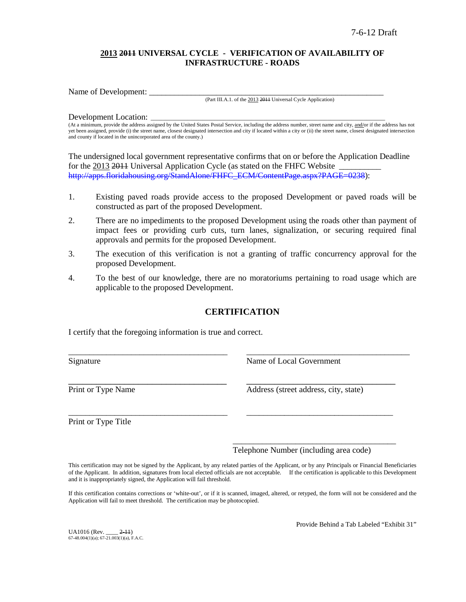## **2013 2011 UNIVERSAL CYCLE - VERIFICATION OF AVAILABILITY OF INFRASTRUCTURE - ROADS**

Name of Development:

(Part III.A.1. of the 2013 2011 Universal Cycle Application)

#### Development Location:

(At a minimum, provide the address assigned by the United States Postal Service, including the address number, street name and city, and/or if the address has not yet been assigned, provide (i) the street name, closest designated intersection and city if located within a city or (ii) the street name, closest designated intersection and county if located in the unincorporated area of the county.)

The undersigned local government representative confirms that on or before the Application Deadline for the 2013 2014 Universal Application Cycle (as stated on the FHFC Website [http://apps.floridahousing.org/StandAlone/FHFC\\_ECM/ContentPage.aspx?PAGE=0238\)](http://apps.floridahousing.org/StandAlone/FHFC_ECM/ContentPage.aspx?PAGE=0238):

- 1. Existing paved roads provide access to the proposed Development or paved roads will be constructed as part of the proposed Development.
- 2. There are no impediments to the proposed Development using the roads other than payment of impact fees or providing curb cuts, turn lanes, signalization, or securing required final approvals and permits for the proposed Development.
- 3. The execution of this verification is not a granting of traffic concurrency approval for the proposed Development.
- 4. To the best of our knowledge, there are no moratoriums pertaining to road usage which are applicable to the proposed Development.

# **CERTIFICATION**

\_\_\_\_\_\_\_\_\_\_\_\_\_\_\_\_\_\_\_\_\_\_\_\_\_\_\_\_\_\_\_\_\_\_\_\_\_\_ \_\_\_\_\_\_\_\_\_\_\_\_\_\_\_\_\_\_\_\_\_\_\_\_\_\_\_\_\_\_\_\_\_\_\_\_\_\_\_

\_\_\_\_\_\_\_\_\_\_\_\_\_\_\_\_\_\_\_\_\_\_\_\_\_\_\_\_\_\_\_\_\_\_\_\_\_\_ \_\_\_\_\_\_\_\_\_\_\_\_\_\_\_\_\_\_\_\_\_\_\_\_\_\_\_\_\_\_\_\_\_\_\_

I certify that the foregoing information is true and correct.

Signature Name of Local Government

\_\_\_\_\_\_\_\_\_\_\_\_\_\_\_\_\_\_\_\_\_\_\_\_\_\_\_\_\_\_\_\_\_\_ \_\_\_\_\_\_\_\_\_\_\_\_\_\_\_\_\_\_\_\_\_\_\_\_\_\_\_\_\_\_\_\_ Print or Type Name Address (street address, city, state)

Print or Type Title

Telephone Number (including area code)

\_\_\_\_\_\_\_\_\_\_\_\_\_\_\_\_\_\_\_\_\_\_\_\_\_\_\_\_\_\_\_\_\_\_\_\_\_\_\_

This certification may not be signed by the Applicant, by any related parties of the Applicant, or by any Principals or Financial Beneficiaries of the Applicant. In addition, signatures from local elected officials are not acceptable. If the certification is applicable to this Development and it is inappropriately signed, the Application will fail threshold.

If this certification contains corrections or 'white-out', or if it is scanned, imaged, altered, or retyped, the form will not be considered and the Application will fail to meet threshold. The certification may be photocopied.

UA1016 (Rev. \_\_\_\_ 2-11)  $67-48.004(1)(a)$ ;  $67-21.003(1)(a)$ , F.A.C. Provide Behind a Tab Labeled "Exhibit 31"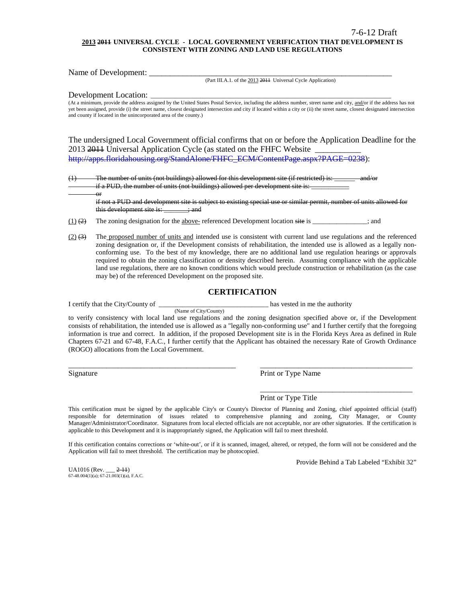#### **2013 2011 UNIVERSAL CYCLE - LOCAL GOVERNMENT VERIFICATION THAT DEVELOPMENT IS CONSISTENT WITH ZONING AND LAND USE REGULATIONS**

Name of Development: \_\_\_\_\_\_\_\_\_\_\_\_\_\_\_\_\_\_\_\_\_\_\_\_\_\_\_\_\_\_\_\_\_\_\_\_\_\_\_\_\_\_\_\_\_\_\_\_\_\_\_\_\_\_\_\_\_\_

(Part III.A.1. of the 2013 2011 Universal Cycle Application)

Development Location:

or

(At a minimum, provide the address assigned by the United States Postal Service, including the address number, street name and city, and/or if the address has not yet been assigned, provide (i) the street name, closest designated intersection and city if located within a city or (ii) the street name, closest designated intersection and county if located in the unincorporated area of the county.)

The undersigned Local Government official confirms that on or before the Application Deadline for the 2013 2014 Universal Application Cycle (as stated on the FHFC Website [http://apps.floridahousing.org/StandAlone/FHFC\\_ECM/ContentPage.aspx?PAGE=0238\)](http://apps.floridahousing.org/StandAlone/FHFC_ECM/ContentPage.aspx?PAGE=0238):

 $(1)$  The number of units (not buildings) allowed for this development site (if restricted) is: if a PUD, the number of units (not buildings) allowed per development site is:

if not a PUD and development site is subject to existing special use or similar permit, number of units allowed for this development site is: \_\_\_\_\_\_; and

 $(1)$  (2) The zoning designation for the above- referenced Development location site is \_\_\_\_\_\_\_\_\_\_\_; and

(Name of City/County)

 $(2)$   $(3)$  The proposed number of units and intended use is consistent with current land use regulations and the referenced zoning designation or, if the Development consists of rehabilitation, the intended use is allowed as a legally nonconforming use. To the best of my knowledge, there are no additional land use regulation hearings or approvals required to obtain the zoning classification or density described herein. Assuming compliance with the applicable land use regulations, there are no known conditions which would preclude construction or rehabilitation (as the case may be) of the referenced Development on the proposed site.

#### **CERTIFICATION**

I certify that the City/County of \_\_\_\_\_\_\_\_\_\_\_\_\_\_\_\_\_\_\_\_\_\_\_\_\_\_\_\_\_\_\_\_ has vested in me the authority

to verify consistency with local land use regulations and the zoning designation specified above or, if the Development consists of rehabilitation, the intended use is allowed as a "legally non-conforming use" and I further certify that the foregoing information is true and correct. In addition, if the proposed Development site is in the Florida Keys Area as defined in Rule Chapters 67-21 and 67-48, F.A.C., I further certify that the Applicant has obtained the necessary Rate of Growth Ordinance (ROGO) allocations from the Local Government.

\_\_\_\_\_\_\_\_\_\_\_\_\_\_\_\_\_\_\_\_\_\_\_\_\_\_\_\_\_\_\_\_\_\_\_\_\_\_\_\_\_\_\_\_ \_\_\_\_\_\_\_\_\_\_\_\_\_\_\_\_\_\_\_\_\_\_\_\_\_\_\_\_\_\_\_\_\_\_\_\_\_\_\_\_

Signature Print or Type Name

Print or Type Title

This certification must be signed by the applicable City's or County's Director of Planning and Zoning, chief appointed official (staff) responsible for determination of issues related to comprehensive planning and zoning, City Manager, or County Manager/Administrator/Coordinator. Signatures from local elected officials are not acceptable, nor are other signatories. If the certification is applicable to this Development and it is inappropriately signed, the Application will fail to meet threshold.

If this certification contains corrections or 'white-out', or if it is scanned, imaged, altered, or retyped, the form will not be considered and the Application will fail to meet threshold. The certification may be photocopied.

Provide Behind a Tab Labeled "Exhibit 32"

\_\_\_\_\_\_\_\_\_\_\_\_\_\_\_\_\_\_\_\_\_\_\_\_\_\_\_\_\_\_\_\_\_\_\_\_\_\_\_\_

UA1016 (Rev. \_\_\_ 2-11) 67-48.004(1)(a); 67-21.003(1)(a), F.A.C.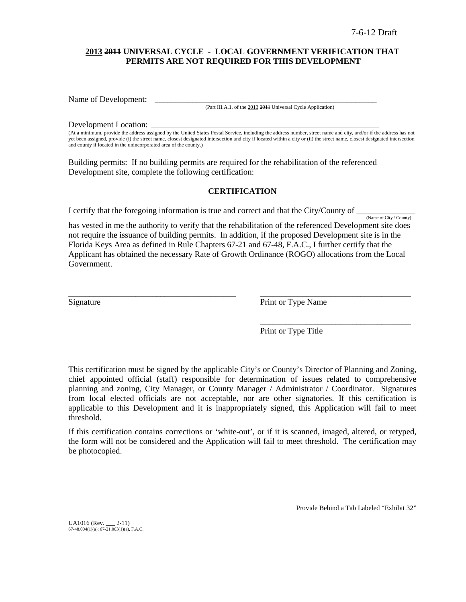### **2013 2011 UNIVERSAL CYCLE - LOCAL GOVERNMENT VERIFICATION THAT PERMITS ARE NOT REQUIRED FOR THIS DEVELOPMENT**

Name of Development:

(Part III.A.1. of the 2013 2011 Universal Cycle Application)

#### Development Location:

(At a minimum, provide the address assigned by the United States Postal Service, including the address number, street name and city, and/or if the address has not yet been assigned, provide (i) the street name, closest designated intersection and city if located within a city or (ii) the street name, closest designated intersection and county if located in the unincorporated area of the county.)

Building permits: If no building permits are required for the rehabilitation of the referenced Development site, complete the following certification:

### **CERTIFICATION**

I certify that the foregoing information is true and correct and that the City/County of  $\frac{N_{\text{ame of City}/\text{Country}}}{N_{\text{amp of City}/\text{Country}}}$ 

has vested in me the authority to verify that the rehabilitation of the referenced Development site does not require the issuance of building permits. In addition, if the proposed Development site is in the Florida Keys Area as defined in Rule Chapters 67-21 and 67-48, F.A.C., I further certify that the Applicant has obtained the necessary Rate of Growth Ordinance (ROGO) allocations from the Local Government.

\_\_\_\_\_\_\_\_\_\_\_\_\_\_\_\_\_\_\_\_\_\_\_\_\_\_\_\_\_\_\_\_\_\_\_\_\_\_\_\_ \_\_\_\_\_\_\_\_\_\_\_\_\_\_\_\_\_\_\_\_\_\_\_\_\_\_\_\_\_\_\_\_\_\_\_\_

Signature Print or Type Name

Print or Type Title

\_\_\_\_\_\_\_\_\_\_\_\_\_\_\_\_\_\_\_\_\_\_\_\_\_\_\_\_\_\_\_\_\_\_\_\_

This certification must be signed by the applicable City's or County's Director of Planning and Zoning, chief appointed official (staff) responsible for determination of issues related to comprehensive planning and zoning, City Manager, or County Manager / Administrator / Coordinator. Signatures from local elected officials are not acceptable, nor are other signatories. If this certification is applicable to this Development and it is inappropriately signed, this Application will fail to meet threshold.

If this certification contains corrections or 'white-out', or if it is scanned, imaged, altered, or retyped, the form will not be considered and the Application will fail to meet threshold. The certification may be photocopied.

Provide Behind a Tab Labeled "Exhibit 32"

UA1016 (Rev. \_\_\_ 2-11) 67-48.004(1)(a); 67-21.003(1)(a), F.A.C.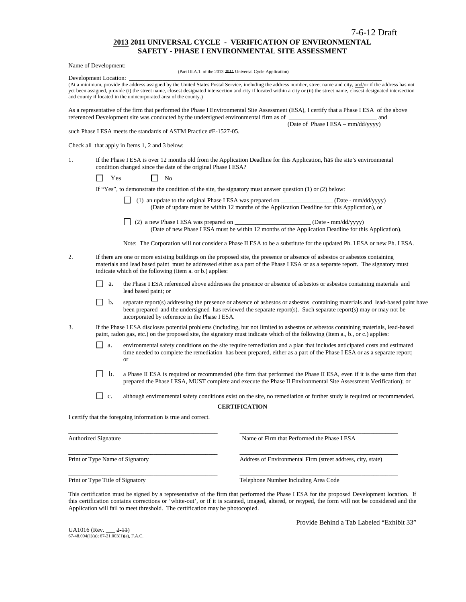#### **2013 2011 UNIVERSAL CYCLE - VERIFICATION OF ENVIRONMENTAL SAFETY - PHASE I ENVIRONMENTAL SITE ASSESSMENT**

|                                                                                                                                                                                                  | Name of Development:                                                                                                                                                                                                                                                                                                        |                                                                                       |                                                                                                                                                                                                                                                                                                                                                  |  |  |  |
|--------------------------------------------------------------------------------------------------------------------------------------------------------------------------------------------------|-----------------------------------------------------------------------------------------------------------------------------------------------------------------------------------------------------------------------------------------------------------------------------------------------------------------------------|---------------------------------------------------------------------------------------|--------------------------------------------------------------------------------------------------------------------------------------------------------------------------------------------------------------------------------------------------------------------------------------------------------------------------------------------------|--|--|--|
|                                                                                                                                                                                                  | Development Location:                                                                                                                                                                                                                                                                                                       |                                                                                       | (Part III.A.1. of the 2013 2011 Universal Cycle Application)                                                                                                                                                                                                                                                                                     |  |  |  |
|                                                                                                                                                                                                  |                                                                                                                                                                                                                                                                                                                             | and county if located in the unincorporated area of the county.)                      | (At a minimum, provide the address assigned by the United States Postal Service, including the address number, street name and city, and/or if the address has not<br>yet been assigned, provide (i) the street name, closest designated intersection and city if located within a city or (ii) the street name, closest designated intersection |  |  |  |
|                                                                                                                                                                                                  |                                                                                                                                                                                                                                                                                                                             | referenced Development site was conducted by the undersigned environmental firm as of | As a representative of the firm that performed the Phase I Environmental Site Assessment (ESA), I certify that a Phase I ESA of the above<br><u> 1990 - Johann Barbara, martxa alemaniar a</u><br>and                                                                                                                                            |  |  |  |
|                                                                                                                                                                                                  |                                                                                                                                                                                                                                                                                                                             | such Phase I ESA meets the standards of ASTM Practice #E-1527-05.                     | (Date of Phase I ESA - mm/dd/yyyy)                                                                                                                                                                                                                                                                                                               |  |  |  |
|                                                                                                                                                                                                  |                                                                                                                                                                                                                                                                                                                             | Check all that apply in Items 1, 2 and 3 below:                                       |                                                                                                                                                                                                                                                                                                                                                  |  |  |  |
| If the Phase I ESA is over 12 months old from the Application Deadline for this Application, has the site's environmental<br>1.<br>condition changed since the date of the original Phase I ESA? |                                                                                                                                                                                                                                                                                                                             |                                                                                       |                                                                                                                                                                                                                                                                                                                                                  |  |  |  |
|                                                                                                                                                                                                  | Yes                                                                                                                                                                                                                                                                                                                         | N <sub>0</sub>                                                                        |                                                                                                                                                                                                                                                                                                                                                  |  |  |  |
|                                                                                                                                                                                                  |                                                                                                                                                                                                                                                                                                                             |                                                                                       | If "Yes", to demonstrate the condition of the site, the signatory must answer question $(1)$ or $(2)$ below:                                                                                                                                                                                                                                     |  |  |  |
|                                                                                                                                                                                                  |                                                                                                                                                                                                                                                                                                                             |                                                                                       | (1) an update to the original Phase I ESA was prepared on ___________________ (Date - mm/dd/yyyy)<br>(Date of update must be within 12 months of the Application Deadline for this Application), or                                                                                                                                              |  |  |  |
|                                                                                                                                                                                                  |                                                                                                                                                                                                                                                                                                                             |                                                                                       | (Date of new Phase I ESA must be within 12 months of the Application Deadline for this Application).                                                                                                                                                                                                                                             |  |  |  |
|                                                                                                                                                                                                  |                                                                                                                                                                                                                                                                                                                             |                                                                                       | Note: The Corporation will not consider a Phase II ESA to be a substitute for the updated Ph. I ESA or new Ph. I ESA.                                                                                                                                                                                                                            |  |  |  |
| 2.                                                                                                                                                                                               | If there are one or more existing buildings on the proposed site, the presence or absence of asbestos or asbestos containing<br>materials and lead based paint must be addressed either as a part of the Phase IESA or as a separate report. The signatory must<br>indicate which of the following (Item a. or b.) applies: |                                                                                       |                                                                                                                                                                                                                                                                                                                                                  |  |  |  |
|                                                                                                                                                                                                  | $\Box$<br>а.                                                                                                                                                                                                                                                                                                                | lead based paint; or                                                                  | the Phase I ESA referenced above addresses the presence or absence of asbestos or asbestos containing materials and                                                                                                                                                                                                                              |  |  |  |
|                                                                                                                                                                                                  | $\mathbf{b}$ .                                                                                                                                                                                                                                                                                                              | incorporated by reference in the Phase I ESA.                                         | separate report(s) addressing the presence or absence of asbestos or asbestos containing materials and lead-based paint have<br>been prepared and the undersigned has reviewed the separate report(s). Such separate report(s) may or may not be                                                                                                 |  |  |  |
| 3.                                                                                                                                                                                               |                                                                                                                                                                                                                                                                                                                             |                                                                                       | If the Phase I ESA discloses potential problems (including, but not limited to asbestos or asbestos containing materials, lead-based<br>paint, radon gas, etc.) on the proposed site, the signatory must indicate which of the following (Item a., b., or c.) applies:                                                                           |  |  |  |
|                                                                                                                                                                                                  | $\Box$<br>a.                                                                                                                                                                                                                                                                                                                | <b>or</b>                                                                             | environmental safety conditions on the site require remediation and a plan that includes anticipated costs and estimated<br>time needed to complete the remediation has been prepared, either as a part of the Phase I ESA or as a separate report;                                                                                              |  |  |  |
|                                                                                                                                                                                                  | b.                                                                                                                                                                                                                                                                                                                          |                                                                                       | a Phase II ESA is required or recommended (the firm that performed the Phase II ESA, even if it is the same firm that<br>prepared the Phase I ESA, MUST complete and execute the Phase II Environmental Site Assessment Verification); or                                                                                                        |  |  |  |
|                                                                                                                                                                                                  | c.                                                                                                                                                                                                                                                                                                                          |                                                                                       | although environmental safety conditions exist on the site, no remediation or further study is required or recommended.                                                                                                                                                                                                                          |  |  |  |
|                                                                                                                                                                                                  |                                                                                                                                                                                                                                                                                                                             |                                                                                       | <b>CERTIFICATION</b>                                                                                                                                                                                                                                                                                                                             |  |  |  |
|                                                                                                                                                                                                  |                                                                                                                                                                                                                                                                                                                             | I certify that the foregoing information is true and correct.                         |                                                                                                                                                                                                                                                                                                                                                  |  |  |  |
|                                                                                                                                                                                                  | <b>Authorized Signature</b>                                                                                                                                                                                                                                                                                                 |                                                                                       | Name of Firm that Performed the Phase I ESA                                                                                                                                                                                                                                                                                                      |  |  |  |
|                                                                                                                                                                                                  |                                                                                                                                                                                                                                                                                                                             | Print or Type Name of Signatory                                                       | Address of Environmental Firm (street address, city, state)                                                                                                                                                                                                                                                                                      |  |  |  |
|                                                                                                                                                                                                  |                                                                                                                                                                                                                                                                                                                             |                                                                                       |                                                                                                                                                                                                                                                                                                                                                  |  |  |  |

Print or Type Title of Signatory Telephone Number Including Area Code

This certification must be signed by a representative of the firm that performed the Phase I ESA for the proposed Development location.If this certification contains corrections or 'white-out', or if it is scanned, imaged, altered, or retyped, the form will not be considered and the Application will fail to meet threshold. The certification may be photocopied.

\_\_\_\_\_\_\_\_\_\_\_\_\_\_\_\_\_\_\_\_\_\_\_\_\_\_\_\_\_\_\_\_\_\_\_\_\_\_\_\_\_\_\_\_\_\_\_\_\_ \_\_\_\_\_\_\_\_\_\_\_\_\_\_\_\_\_\_\_\_\_\_\_\_\_\_\_\_\_\_\_\_\_\_\_\_\_\_\_\_\_\_\_\_\_\_\_\_\_\_\_\_

UA1016 (Rev. \_\_\_ <del>2-11</del>)<br>67-48.004(1)(a); 67-21.003(1)(a), F.A.C.

Provide Behind a Tab Labeled "Exhibit 33"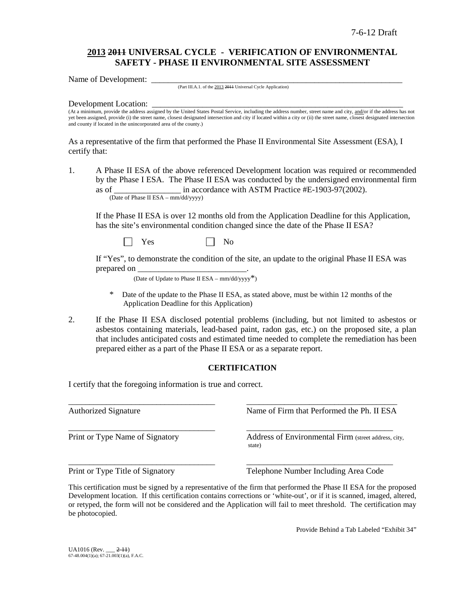# **2013 2011 UNIVERSAL CYCLE - VERIFICATION OF ENVIRONMENTAL SAFETY - PHASE II ENVIRONMENTAL SITE ASSESSMENT**

Name of Development:

(Part III.A.1. of the 2013 2011 Universal Cycle Application)

#### Development Location:

(At a minimum, provide the address assigned by the United States Postal Service, including the address number, street name and city, and/or if the address has not yet been assigned, provide (i) the street name, closest designated intersection and city if located within a city or (ii) the street name, closest designated intersection and county if located in the unincorporated area of the county.)

As a representative of the firm that performed the Phase II Environmental Site Assessment (ESA), I certify that:

1. A Phase II ESA of the above referenced Development location was required or recommended by the Phase I ESA. The Phase II ESA was conducted by the undersigned environmental firm as of <br>in accordance with ASTM Practice #E-1903-97(2002). (Date of Phase II ESA – mm/dd/yyyy)

If the Phase II ESA is over 12 months old from the Application Deadline for this Application, has the site's environmental condition changed since the date of the Phase II ESA?

 $Yes \t\t \Box No$ 

If "Yes", to demonstrate the condition of the site, an update to the original Phase II ESA was prepared on

(Date of Update to Phase II ESA –  $mm/dd/yyyy^*$ )

- Date of the update to the Phase II ESA, as stated above, must be within 12 months of the Application Deadline for this Application)
- 2. If the Phase II ESA disclosed potential problems (including, but not limited to asbestos or asbestos containing materials, lead-based paint, radon gas, etc.) on the proposed site, a plan that includes anticipated costs and estimated time needed to complete the remediation has been prepared either as a part of the Phase II ESA or as a separate report.

### **CERTIFICATION**

I certify that the foregoing information is true and correct.

\_\_\_\_\_\_\_\_\_\_\_\_\_\_\_\_\_\_\_\_\_\_\_\_\_\_\_\_\_\_\_\_\_\_\_ \_\_\_\_\_\_\_\_\_\_\_\_\_\_\_\_\_\_\_\_\_\_\_\_\_\_\_\_\_\_\_\_\_\_\_\_ Authorized Signature Name of Firm that Performed the Ph. II ESA \_\_\_\_\_\_\_\_\_\_\_\_\_\_\_\_\_\_\_\_\_\_\_\_\_\_\_\_\_\_\_\_\_\_\_ \_\_\_\_\_\_\_\_\_\_\_\_\_\_\_\_\_\_\_\_\_\_\_\_\_\_\_\_\_\_\_\_\_\_\_ Print or Type Name of Signatory Address of Environmental Firm (street address, city, state) \_\_\_\_\_\_\_\_\_\_\_\_\_\_\_\_\_\_\_\_\_\_\_\_\_\_\_\_\_\_\_\_\_\_\_ \_\_\_\_\_\_\_\_\_\_\_\_\_\_\_\_\_\_\_\_\_\_\_\_\_\_\_\_\_\_\_\_\_\_\_ Print or Type Title of Signatory Telephone Number Including Area Code

This certification must be signed by a representative of the firm that performed the Phase II ESA for the proposed Development location.If this certification contains corrections or 'white-out', or if it is scanned, imaged, altered, or retyped, the form will not be considered and the Application will fail to meet threshold. The certification may be photocopied.

Provide Behind a Tab Labeled "Exhibit 34"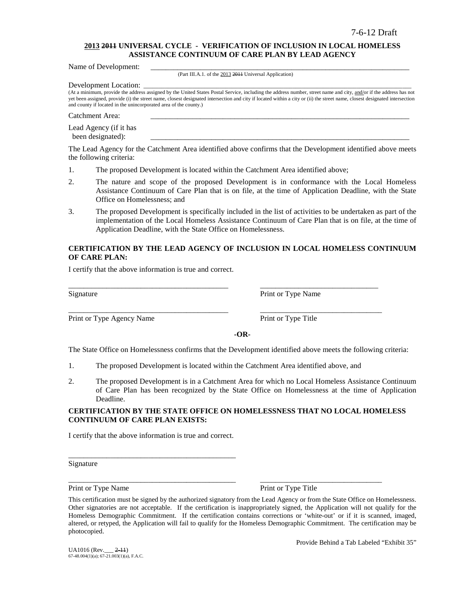### **2013 2011 UNIVERSAL CYCLE - VERIFICATION OF INCLUSION IN LOCAL HOMELESS ASSISTANCE CONTINUUM OF CARE PLAN BY LEAD AGENCY**

Name of Development:

(Part III.A.1. of the 2013 2011 Universal Application)

Development Location:

(At a minimum, provide the address assigned by the United States Postal Service, including the address number, street name and city, and/or if the address has not yet been assigned, provide (i) the street name, closest designated intersection and city if located within a city or (ii) the street name, closest designated intersection and county if located in the unincorporated area of the county.)

Catchment Area:

Lead Agency (if it has been designated):

The Lead Agency for the Catchment Area identified above confirms that the Development identified above meets the following criteria:

- 1. The proposed Development is located within the Catchment Area identified above;
- 2. The nature and scope of the proposed Development is in conformance with the Local Homeless Assistance Continuum of Care Plan that is on file, at the time of Application Deadline, with the State Office on Homelessness; and
- 3. The proposed Development is specifically included in the list of activities to be undertaken as part of the implementation of the Local Homeless Assistance Continuum of Care Plan that is on file, at the time of Application Deadline, with the State Office on Homelessness.

### **CERTIFICATION BY THE LEAD AGENCY OF INCLUSION IN LOCAL HOMELESS CONTINUUM OF CARE PLAN:**

I certify that the above information is true and correct.

Print or Type Agency Name Print or Type Title

Signature Print or Type Name

**-OR-**

The State Office on Homelessness confirms that the Development identified above meets the following criteria:

1. The proposed Development is located within the Catchment Area identified above, and

\_\_\_\_\_\_\_\_\_\_\_\_\_\_\_\_\_\_\_\_\_\_\_\_\_\_\_\_\_\_\_\_\_\_\_\_\_\_\_\_\_\_ \_\_\_\_\_\_\_\_\_\_\_\_\_\_\_\_\_\_\_\_\_\_\_\_\_\_\_\_\_\_\_

\_\_\_\_\_\_\_\_\_\_\_\_\_\_\_\_\_\_\_\_\_\_\_\_\_\_\_\_\_\_\_\_\_\_\_\_\_\_\_\_\_\_ \_\_\_\_\_\_\_\_\_\_\_\_\_\_\_\_\_\_\_\_\_\_\_\_\_\_\_\_\_\_\_\_

2. The proposed Development is in a Catchment Area for which no Local Homeless Assistance Continuum of Care Plan has been recognized by the State Office on Homelessness at the time of Application Deadline.

#### **CERTIFICATION BY THE STATE OFFICE ON HOMELESSNESS THAT NO LOCAL HOMELESS CONTINUUM OF CARE PLAN EXISTS:**

I certify that the above information is true and correct.

\_\_\_\_\_\_\_\_\_\_\_\_\_\_\_\_\_\_\_\_\_\_\_\_\_\_\_\_\_\_\_\_\_\_\_\_\_\_\_\_\_\_\_\_

Signature

Print or Type Name Print or Type Title

\_\_\_\_\_\_\_\_\_\_\_\_\_\_\_\_\_\_\_\_\_\_\_\_\_\_\_\_\_\_\_\_\_\_\_\_\_\_\_\_\_\_\_\_ \_\_\_\_\_\_\_\_\_\_\_\_\_\_\_\_\_\_\_\_\_\_\_\_\_\_\_\_\_\_\_\_

Provide Behind a Tab Labeled "Exhibit 35"

This certification must be signed by the authorized signatory from the Lead Agency or from the State Office on Homelessness. Other signatories are not acceptable. If the certification is inappropriately signed, the Application will not qualify for the Homeless Demographic Commitment. If the certification contains corrections or 'white-out' or if it is scanned, imaged, altered, or retyped, the Application will fail to qualify for the Homeless Demographic Commitment. The certification may be photocopied.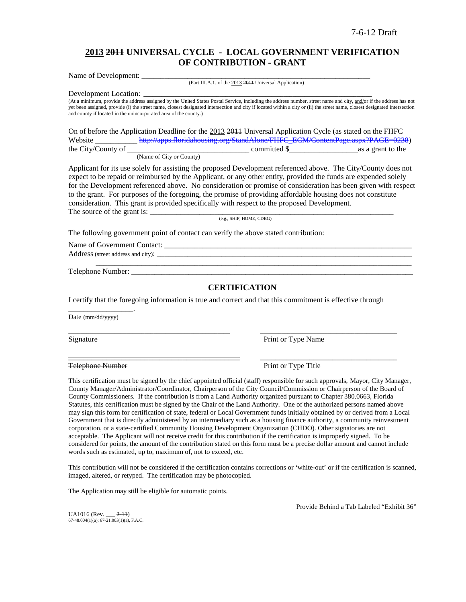## **2013 2011 UNIVERSAL CYCLE - LOCAL GOVERNMENT VERIFICATION OF CONTRIBUTION - GRANT**

Name of Development: (Part III.A.1. of the 2013 2011 Universal Application)

Development Location:

(At a minimum, provide the address assigned by the United States Postal Service, including the address number, street name and city, and/or if the address has not yet been assigned, provide (i) the street name, closest designated intersection and city if located within a city or (ii) the street name, closest designated intersection and county if located in the unincorporated area of the county.)

On of before the Application Deadline for the 2013 2011 Universal Application Cycle (as stated on the FHFC Website [http://apps.floridahousing.org/StandAlone/FHFC\\_ECM/ContentPage.aspx?PAGE=0238\)](http://apps.floridahousing.org/StandAlone/FHFC_ECM/ContentPage.aspx?PAGE=0238)<br>the City/County of as a grant to the  $\frac{1}{\sqrt{1-\frac{1}{\sqrt{1-\frac{1}{\sqrt{1-\frac{1}{\sqrt{1-\frac{1}{\sqrt{1-\frac{1}{\sqrt{1-\frac{1}{\sqrt{1-\frac{1}{\sqrt{1-\frac{1}{\sqrt{1-\frac{1}{\sqrt{1-\frac{1}{\sqrt{1-\frac{1}{\sqrt{1-\frac{1}{\sqrt{1-\frac{1}{\sqrt{1-\frac{1}{\sqrt{1-\frac{1}{\sqrt{1-\frac{1}{\sqrt{1-\frac{1}{\sqrt{1-\frac{1}{\sqrt{1-\frac{1}{\sqrt{1-\frac{1}{\sqrt{1-\frac{1}{\sqrt{1-\frac{1}{\sqrt{1-\frac{1}{\sqrt{1-\frac{1$ 

(Name of City or County)

Applicant for its use solely for assisting the proposed Development referenced above. The City/County does not expect to be repaid or reimbursed by the Applicant, or any other entity, provided the funds are expended solely for the Development referenced above. No consideration or promise of consideration has been given with respect to the grant. For purposes of the foregoing, the promise of providing affordable housing does not constitute consideration. This grant is provided specifically with respect to the proposed Development. The source of the grant is: \_\_\_\_\_\_\_\_\_\_\_\_\_\_\_\_\_\_\_\_\_\_\_\_\_\_\_\_\_\_\_\_\_\_\_\_\_\_\_\_\_\_\_\_\_\_\_\_\_\_\_\_\_\_\_\_\_\_\_\_\_\_\_\_

(e.g., SHIP, HOME, CDBG)

The following government point of contact can verify the above stated contribution:

Name of Government Contact: Address (street address and city): \_\_\_\_\_\_\_\_\_\_\_\_\_\_\_\_\_\_\_\_\_\_\_\_\_\_\_\_\_\_\_\_\_\_\_\_\_\_\_\_\_\_\_\_\_\_\_\_\_\_\_\_\_\_\_\_\_\_\_\_\_\_\_\_\_\_\_

Telephone Number:

#### **CERTIFICATION**

\_\_\_\_\_\_\_\_\_\_\_\_\_\_\_\_\_\_\_\_\_\_\_\_\_\_\_\_\_\_\_\_\_\_\_\_\_\_\_\_\_\_\_\_\_\_\_\_\_\_\_\_\_\_\_\_\_\_\_\_\_\_\_\_\_\_\_\_\_\_\_\_\_\_\_\_\_\_\_\_\_\_\_

I certify that the foregoing information is true and correct and that this commitment is effective through

\_\_\_\_\_\_\_\_\_\_\_\_\_\_\_\_\_\_\_\_\_\_\_\_\_\_\_\_\_\_\_\_\_\_\_\_\_\_\_\_\_\_\_\_\_\_\_\_\_\_\_\_\_ \_\_\_\_\_\_\_\_\_\_\_\_\_\_\_\_\_\_\_\_\_\_\_\_\_\_\_\_\_\_\_\_\_\_\_\_\_\_\_\_\_\_\_\_\_

\_\_\_\_\_\_\_\_\_\_\_\_\_\_\_\_\_\_\_\_\_\_\_\_\_\_\_\_\_\_\_\_\_\_\_\_\_\_\_\_\_\_\_\_\_ \_\_\_\_\_\_\_\_\_\_\_\_\_\_\_\_\_\_\_\_\_\_\_\_\_\_\_\_\_\_\_\_\_\_\_\_

Date (mm/dd/yyyy)

\_\_\_\_\_\_\_\_\_\_\_\_\_\_\_\_\_.

Signature Print or Type Name

Telephone Number Print or Type Title

This certification must be signed by the chief appointed official (staff) responsible for such approvals, Mayor, City Manager, County Manager/Administrator/Coordinator, Chairperson of the City Council/Commission or Chairperson of the Board of County Commissioners. If the contribution is from a Land Authority organized pursuant to Chapter 380.0663, Florida Statutes, this certification must be signed by the Chair of the Land Authority. One of the authorized persons named above may sign this form for certification of state, federal or Local Government funds initially obtained by or derived from a Local Government that is directly administered by an intermediary such as a housing finance authority, a community reinvestment corporation, or a state-certified Community Housing Development Organization (CHDO). Other signatories are not acceptable. The Applicant will not receive credit for this contribution if the certification is improperly signed. To be considered for points, the amount of the contribution stated on this form must be a precise dollar amount and cannot include words such as estimated, up to, maximum of, not to exceed, etc.

This contribution will not be considered if the certification contains corrections or 'white-out' or if the certification is scanned, imaged, altered, or retyped. The certification may be photocopied.

The Application may still be eligible for automatic points.

Provide Behind a Tab Labeled "Exhibit 36"

 $UA1016$  (Rev.  $2-11$ )  $67-48.004(1)(a)$ ;  $67-21.003(1)(a)$ , F.A.C.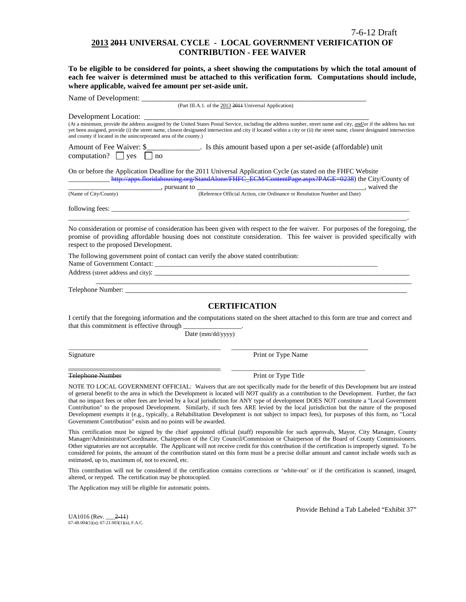#### 7-6-12 Draft

### **2013 2011 UNIVERSAL CYCLE - LOCAL GOVERNMENT VERIFICATION OF CONTRIBUTION - FEE WAIVER**

**To be eligible to be considered for points, a sheet showing the computations by which the total amount of each fee waiver is determined must be attached to this verification form. Computations should include, where applicable, waived fee amount per set-aside unit.**

| Name of Development: ____                                                                                                                                                                                                                                                                                                                                                                                                                                                                                                                        |                                                                                                                                                                                                                                                                                                                                                                                                                                                                                                                                                                                                                                                                                                                  |
|--------------------------------------------------------------------------------------------------------------------------------------------------------------------------------------------------------------------------------------------------------------------------------------------------------------------------------------------------------------------------------------------------------------------------------------------------------------------------------------------------------------------------------------------------|------------------------------------------------------------------------------------------------------------------------------------------------------------------------------------------------------------------------------------------------------------------------------------------------------------------------------------------------------------------------------------------------------------------------------------------------------------------------------------------------------------------------------------------------------------------------------------------------------------------------------------------------------------------------------------------------------------------|
|                                                                                                                                                                                                                                                                                                                                                                                                                                                                                                                                                  | (Part III.A.1. of the 2013 2011 Universal Application)                                                                                                                                                                                                                                                                                                                                                                                                                                                                                                                                                                                                                                                           |
| Development Location:                                                                                                                                                                                                                                                                                                                                                                                                                                                                                                                            |                                                                                                                                                                                                                                                                                                                                                                                                                                                                                                                                                                                                                                                                                                                  |
| and county if located in the unincorporated area of the county.)                                                                                                                                                                                                                                                                                                                                                                                                                                                                                 | (At a minimum, provide the address assigned by the United States Postal Service, including the address number, street name and city, and/or if the address has not<br>yet been assigned, provide (i) the street name, closest designated intersection and city if located within a city or (ii) the street name, closest designated intersection                                                                                                                                                                                                                                                                                                                                                                 |
| Amount of Fee Waiver: \$<br>computation? $\Box$ yes<br>no                                                                                                                                                                                                                                                                                                                                                                                                                                                                                        |                                                                                                                                                                                                                                                                                                                                                                                                                                                                                                                                                                                                                                                                                                                  |
| On or before the Application Deadline for the 2011 Universal Application Cycle (as stated on the FHFC Website<br>$\frac{1}{\sqrt{1-\frac{1}{2}}}\frac{1}{\sqrt{1-\frac{1}{2}}}\frac{1}{\sqrt{1-\frac{1}{2}}}\frac{1}{\sqrt{1-\frac{1}{2}}}\frac{1}{\sqrt{1-\frac{1}{2}}}\frac{1}{\sqrt{1-\frac{1}{2}}}\frac{1}{\sqrt{1-\frac{1}{2}}}\frac{1}{\sqrt{1-\frac{1}{2}}}\frac{1}{\sqrt{1-\frac{1}{2}}}\frac{1}{\sqrt{1-\frac{1}{2}}}\frac{1}{\sqrt{1-\frac{1}{2}}}\frac{1}{\sqrt{1-\frac{1}{2}}}\frac{1}{\sqrt{1-\frac{1}{2}}}\frac{1}{\sqrt{1-\frac{$ | http://apps.floridahousing.org/StandAlone/FHFC_ECM/ContentPage.aspx?PAGE=0238) the City/County of                                                                                                                                                                                                                                                                                                                                                                                                                                                                                                                                                                                                                |
| (Name of City/County)                                                                                                                                                                                                                                                                                                                                                                                                                                                                                                                            | (Reference Official Action, cite Ordinance or Resolution Number and Date), waived the                                                                                                                                                                                                                                                                                                                                                                                                                                                                                                                                                                                                                            |
|                                                                                                                                                                                                                                                                                                                                                                                                                                                                                                                                                  |                                                                                                                                                                                                                                                                                                                                                                                                                                                                                                                                                                                                                                                                                                                  |
| respect to the proposed Development.                                                                                                                                                                                                                                                                                                                                                                                                                                                                                                             | No consideration or promise of consideration has been given with respect to the fee waiver. For purposes of the foregoing, the<br>promise of providing affordable housing does not constitute consideration. This fee waiver is provided specifically with                                                                                                                                                                                                                                                                                                                                                                                                                                                       |
| The following government point of contact can verify the above stated contribution:                                                                                                                                                                                                                                                                                                                                                                                                                                                              |                                                                                                                                                                                                                                                                                                                                                                                                                                                                                                                                                                                                                                                                                                                  |
| Address (street address and city):                                                                                                                                                                                                                                                                                                                                                                                                                                                                                                               |                                                                                                                                                                                                                                                                                                                                                                                                                                                                                                                                                                                                                                                                                                                  |
| Telephone Number: The contract of the contract of the contract of the contract of the contract of the contract of the contract of the contract of the contract of the contract of the contract of the contract of the contract                                                                                                                                                                                                                                                                                                                   |                                                                                                                                                                                                                                                                                                                                                                                                                                                                                                                                                                                                                                                                                                                  |
|                                                                                                                                                                                                                                                                                                                                                                                                                                                                                                                                                  |                                                                                                                                                                                                                                                                                                                                                                                                                                                                                                                                                                                                                                                                                                                  |
|                                                                                                                                                                                                                                                                                                                                                                                                                                                                                                                                                  | <b>CERTIFICATION</b>                                                                                                                                                                                                                                                                                                                                                                                                                                                                                                                                                                                                                                                                                             |
| that this commitment is effective through                                                                                                                                                                                                                                                                                                                                                                                                                                                                                                        | I certify that the foregoing information and the computations stated on the sheet attached to this form are true and correct and                                                                                                                                                                                                                                                                                                                                                                                                                                                                                                                                                                                 |
| Date (mm/dd/yyyy)                                                                                                                                                                                                                                                                                                                                                                                                                                                                                                                                |                                                                                                                                                                                                                                                                                                                                                                                                                                                                                                                                                                                                                                                                                                                  |
| Signature                                                                                                                                                                                                                                                                                                                                                                                                                                                                                                                                        | Print or Type Name                                                                                                                                                                                                                                                                                                                                                                                                                                                                                                                                                                                                                                                                                               |
| Telephone Number                                                                                                                                                                                                                                                                                                                                                                                                                                                                                                                                 | Print or Type Title                                                                                                                                                                                                                                                                                                                                                                                                                                                                                                                                                                                                                                                                                              |
| Government Contribution" exists and no points will be awarded.                                                                                                                                                                                                                                                                                                                                                                                                                                                                                   | NOTE TO LOCAL GOVERNMENT OFFICIAL: Waivers that are not specifically made for the benefit of this Development but are instead<br>of general benefit to the area in which the Development is located will NOT qualify as a contribution to the Development. Further, the fact<br>that no impact fees or other fees are levied by a local jurisdiction for ANY type of development DOES NOT constitute a "Local Government<br>Contribution" to the proposed Development. Similarly, if such fees ARE levied by the local jurisdiction but the nature of the proposed<br>Development exempts it (e.g., typically, a Rehabilitation Development is not subject to impact fees), for purposes of this form, no "Local |
|                                                                                                                                                                                                                                                                                                                                                                                                                                                                                                                                                  | This certification must be signed by the chief appointed official (staff) responsible for such approvals, Mayor, City Manager, County<br>Manager/Administrator/Coordinator, Chairperson of the City Council/Commission or Chairperson of the Board of County Commissioners.<br>Other signatories are not acceptable. The Applicant will not receive credit for this contribution if the certification is improperly signed. To be<br>considered for points, the amount of the contribution stated on this form must be a precise dollar amount and cannot include words such as                                                                                                                                  |

estimated, up to, maximum of, not to exceed, etc. This contribution will not be considered if the certification contains corrections or 'white-out' or if the certification is scanned, imaged, altered, or retyped. The certification may be photocopied.

The Application may still be eligible for automatic points.

Provide Behind a Tab Labeled "Exhibit 37"

UA1016 (Rev. \_\_\_2-11) 67-48.004(1)(a); 67-21.003(1)(a), F.A.C.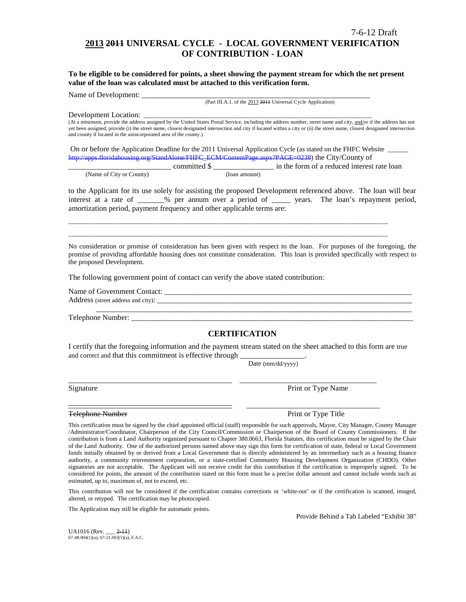# **2013 2011 UNIVERSAL CYCLE - LOCAL GOVERNMENT VERIFICATION OF CONTRIBUTION - LOAN**

**To be eligible to be considered for points, a sheet showing the payment stream for which the net present value of the loan was calculated must be attached to this verification form.** 

Name of Development:

(Part III.A.1. of the 2013 2011 Universal Cycle Application)

Development Location:

(At a minimum, provide the address assigned by the United States Postal Service, including the address number, street name and city, and/or if the address has not yet been assigned, provide (i) the street name, closest designated intersection and city if located within a city or (ii) the street name, closest designated intersection and county if located in the unincorporated area of the county.)

On or before the Application Deadline for the 2011 Universal Application Cycle (as stated on the FHFC Website \_\_\_\_\_\_ [http://apps.floridahousing.org/StandAlone/FHFC\\_ECM/ContentPage.aspx?PAGE=0238\)](http://apps.floridahousing.org/StandAlone/FHFC_ECM/ContentPage.aspx?PAGE=0238) the City/County of

\_\_\_\_\_\_\_\_\_\_\_\_\_\_\_\_\_\_\_\_\_\_\_\_\_\_\_\_\_\_\_\_\_\_\_\_\_\_\_\_\_\_\_\_\_\_\_\_\_\_\_\_\_\_\_\_\_\_\_\_\_\_\_\_\_\_\_\_\_\_\_\_\_\_\_\_\_\_\_\_\_\_\_\_\_\_\_\_\_\_\_\_\_\_\_\_\_\_\_\_\_\_\_\_\_ \_\_\_\_\_\_\_\_\_\_\_\_\_\_\_\_\_\_\_\_\_\_\_\_\_\_\_\_\_\_\_\_\_\_\_\_\_\_\_\_\_\_\_\_\_\_\_\_\_\_\_\_\_\_\_\_\_\_\_\_\_\_\_\_\_\_\_\_\_\_\_\_\_\_\_\_\_\_\_\_\_\_\_\_\_\_\_\_\_\_\_\_\_\_\_\_\_\_\_\_\_\_\_\_\_

|                          |              | in the form of a reduced interest rate loan |
|--------------------------|--------------|---------------------------------------------|
| (Name of City or County) | (Ioan amount |                                             |

to the Applicant for its use solely for assisting the proposed Development referenced above. The loan will bear interest at a rate of \_\_\_\_\_\_\_% per annum over a period of \_\_\_\_\_ years. The loan's repayment period, amortization period, payment frequency and other applicable terms are:

No consideration or promise of consideration has been given with respect to the loan. For purposes of the foregoing, the promise of providing affordable housing does not constitute consideration. This loan is provided specifically with respect to the proposed Development.

The following government point of contact can verify the above stated contribution:

Name of Government Contact: \_\_\_\_\_\_\_\_\_\_\_\_\_\_\_\_\_\_\_\_\_\_\_\_\_\_\_\_\_\_\_\_\_\_\_\_\_\_\_\_\_\_\_\_\_\_\_\_\_\_\_\_\_\_\_\_\_\_\_\_\_\_\_\_\_ Address (street address and city): \_\_\_\_\_\_\_\_\_\_\_\_\_\_\_\_\_\_\_\_\_\_\_\_\_\_\_\_\_\_\_\_\_\_\_\_\_\_\_\_\_\_\_\_\_\_\_\_\_\_\_\_\_\_\_\_\_\_\_\_\_\_\_\_\_\_\_ \_\_\_\_\_\_\_\_\_\_\_\_\_\_\_\_\_\_\_\_\_\_\_\_\_\_\_\_\_\_\_\_\_\_\_\_\_\_\_\_\_\_\_\_\_\_\_\_\_\_\_\_\_\_\_\_\_\_\_\_\_\_\_\_\_\_\_\_\_\_\_\_\_\_\_\_\_\_\_\_\_\_\_

Telephone Number: \_\_\_\_\_\_\_\_\_\_\_\_\_\_\_\_\_\_\_\_\_\_\_\_\_\_\_\_\_\_\_\_\_\_\_\_\_\_\_\_\_\_\_\_\_\_\_\_\_\_\_\_\_\_\_\_\_\_\_\_\_\_\_\_\_\_\_\_\_\_\_\_\_\_

### **CERTIFICATION**

I certify that the foregoing information and the payment stream stated on the sheet attached to this form are true and correct and that this commitment is effective through

\_\_\_\_\_\_\_\_\_\_\_\_\_\_\_\_\_\_\_\_\_\_\_\_\_\_\_\_\_\_\_\_\_\_\_\_\_\_\_\_\_\_\_ \_\_\_\_\_\_\_\_\_\_\_\_\_\_\_\_\_\_\_\_\_\_\_\_\_\_\_\_\_\_\_\_\_\_\_\_

\_\_\_\_\_\_\_\_\_\_\_\_\_\_\_\_\_\_\_\_\_\_\_\_\_\_\_\_\_\_\_\_\_\_\_\_\_\_\_\_\_\_\_ \_\_\_\_\_\_\_\_\_\_\_\_\_\_\_\_\_\_\_\_\_\_\_\_\_\_\_\_\_\_\_\_\_\_\_

Date (mm/dd/yyyy)

Signature **Print or Type Name** Print or Type Name

Telephone Number **Print of Type Title** Print or Type Title

This certification must be signed by the chief appointed official (staff) responsible for such approvals, Mayor, City Manager, County Manager /Administrator/Coordinator, Chairperson of the City Council/Commission or Chairperson of the Board of County Commissioners. If the contribution is from a Land Authority organized pursuant to Chapter 380.0663, Florida Statutes, this certification must be signed by the Chair of the Land Authority. One of the authorized persons named above may sign this form for certification of state, federal or Local Government funds initially obtained by or derived from a Local Government that is directly administered by an intermediary such as a housing finance authority, a community reinvestment corporation, or a state-certified Community Housing Development Organization (CHDO). Other signatories are not acceptable. The Applicant will not receive credit for this contribution if the certification is improperly signed. To be considered for points, the amount of the contribution stated on this form must be a precise dollar amount and cannot include words such as estimated, up to, maximum of, not to exceed, etc.

This contribution will not be considered if the certification contains corrections or 'white-out' or if the certification is scanned, imaged, altered, or retyped. The certification may be photocopied.

The Application may still be eligible for automatic points.

Provide Behind a Tab Labeled "Exhibit 38"

UA1016 (Rev. \_\_\_ 2-11)  $67-48.004(1)(a)$ ;  $67-21.003(1)(a)$ , F.A.C.

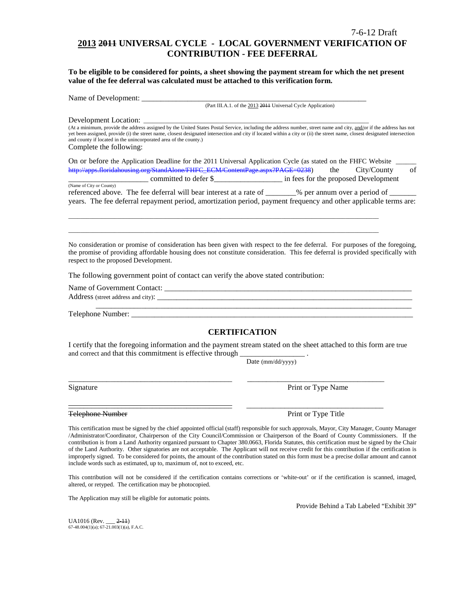#### 7-6-12 Draft

# **2013 2011 UNIVERSAL CYCLE - LOCAL GOVERNMENT VERIFICATION OF CONTRIBUTION - FEE DEFERRAL**

**To be eligible to be considered for points, a sheet showing the payment stream for which the net present value of the fee deferral was calculated must be attached to this verification form.**

Name of Development: \_\_\_\_\_\_\_\_\_\_\_\_\_\_\_\_\_\_\_\_\_\_\_\_\_\_\_\_\_\_\_\_\_\_\_\_\_\_\_\_\_\_\_\_\_\_\_\_\_\_\_\_\_\_\_\_\_\_\_

(Part III.A.1. of the 2013 2011 Universal Cycle Application)

Development Location:

(At a minimum, provide the address assigned by the United States Postal Service, including the address number, street name and city, and/or if the address has not yet been assigned, provide (i) the street name, closest designated intersection and city if located within a city or (ii) the street name, closest designated intersection and county if located in the unincorporated area of the county.) Complete the following:

| On or before the Application Deadline for the 2011 Universal Application Cycle (as stated on the FHFC Website |     |                                      |    |
|---------------------------------------------------------------------------------------------------------------|-----|--------------------------------------|----|
| http://apps.floridahousing.org/StandAlone/FHFC_ECM/ContentPage.aspx?PAGE=0238)                                | the | City/County                          | of |
| committed to defer \$                                                                                         |     | in fees for the proposed Development |    |

(Name of City or County) referenced above. The fee deferral will bear interest at a rate of \_\_\_\_\_\_\_% per annum over a period of \_\_ years. The fee deferral repayment period, amortization period, payment frequency and other applicable terms are:

\_\_\_\_\_\_\_\_\_\_\_\_\_\_\_\_\_\_\_\_\_\_\_\_\_\_\_\_\_\_\_\_\_\_\_\_\_\_\_\_\_\_\_\_\_\_\_\_\_\_\_\_\_\_\_\_\_\_\_\_\_\_\_\_\_\_\_\_\_\_\_\_\_\_\_\_\_\_\_\_\_\_\_\_\_\_\_\_\_\_\_\_\_\_\_\_\_\_\_\_\_\_ \_\_\_\_\_\_\_\_\_\_\_\_\_\_\_\_\_\_\_\_\_\_\_\_\_\_\_\_\_\_\_\_\_\_\_\_\_\_\_\_\_\_\_\_\_\_\_\_\_\_\_\_\_\_\_\_\_\_\_\_\_\_\_\_\_\_\_\_\_\_\_\_\_\_\_\_\_\_\_\_\_\_\_\_\_\_\_\_\_\_\_\_\_\_\_\_\_\_\_\_\_\_

No consideration or promise of consideration has been given with respect to the fee deferral. For purposes of the foregoing, the promise of providing affordable housing does not constitute consideration. This fee deferral is provided specifically with respect to the proposed Development.

The following government point of contact can verify the above stated contribution:

Name of Government Contact: \_\_\_\_\_\_\_\_\_\_\_\_\_\_\_\_\_\_\_\_\_\_\_\_\_\_\_\_\_\_\_\_\_\_\_\_\_\_\_\_\_\_\_\_\_\_\_\_\_\_\_\_\_\_\_\_\_\_\_\_\_\_\_\_\_ Address (street address and city): \_\_\_\_\_\_\_\_\_\_\_\_\_\_\_\_\_\_\_\_\_\_\_\_\_\_\_\_\_\_\_\_\_\_\_\_\_\_\_\_\_\_\_\_\_\_\_\_\_\_\_\_\_\_\_\_\_\_\_\_\_\_\_\_\_\_\_ \_\_\_\_\_\_\_\_\_\_\_\_\_\_\_\_\_\_\_\_\_\_\_\_\_\_\_\_\_\_\_\_\_\_\_\_\_\_\_\_\_\_\_\_\_\_\_\_\_\_\_\_\_\_\_\_\_\_\_\_\_\_\_\_\_\_\_\_\_\_\_\_\_\_\_\_\_\_\_\_\_\_\_

Telephone Number: \_\_\_\_\_\_\_\_\_\_\_\_\_\_\_\_\_\_\_\_\_\_\_\_\_\_\_\_\_\_\_\_\_\_\_\_\_\_\_\_\_\_\_\_\_\_\_\_\_\_\_\_\_\_\_\_\_\_\_\_\_\_\_\_\_\_\_\_\_\_\_\_\_\_

### **CERTIFICATION**

I certify that the foregoing information and the payment stream stated on the sheet attached to this form are true and correct and that this commitment is effective through

\_\_\_\_\_\_\_\_\_\_\_\_\_\_\_\_\_\_\_\_\_\_\_\_\_\_\_\_\_\_\_\_\_\_\_\_\_\_\_\_\_\_\_ \_\_\_\_\_\_\_\_\_\_\_\_\_\_\_\_\_\_\_\_\_\_\_\_\_\_\_\_\_\_\_\_\_\_\_\_

\_\_\_\_\_\_\_\_\_\_\_\_\_\_\_\_\_\_\_\_\_\_\_\_\_\_\_\_\_\_\_\_\_\_\_\_\_\_\_\_\_\_\_ \_\_\_\_\_\_\_\_\_\_\_\_\_\_\_\_\_\_\_\_\_\_\_\_\_\_\_\_\_\_\_\_\_\_\_\_

Date (mm/dd/yyyy)

Signature Print or Type Name

Telephone Number **Print or Type Title** 

This certification must be signed by the chief appointed official (staff) responsible for such approvals, Mayor, City Manager, County Manager /Administrator/Coordinator, Chairperson of the City Council/Commission or Chairperson of the Board of County Commissioners. If the contribution is from a Land Authority organized pursuant to Chapter 380.0663, Florida Statutes, this certification must be signed by the Chair of the Land Authority. Other signatories are not acceptable. The Applicant will not receive credit for this contribution if the certification is improperly signed. To be considered for points, the amount of the contribution stated on this form must be a precise dollar amount and cannot include words such as estimated, up to, maximum of, not to exceed, etc.

This contribution will not be considered if the certification contains corrections or 'white-out' or if the certification is scanned, imaged, altered, or retyped. The certification may be photocopied.

The Application may still be eligible for automatic points.

Provide Behind a Tab Labeled "Exhibit 39"

UA1016 (Rev. \_\_\_ 2-11) 67-48.004(1)(a); 67-21.003(1)(a), F.A.C.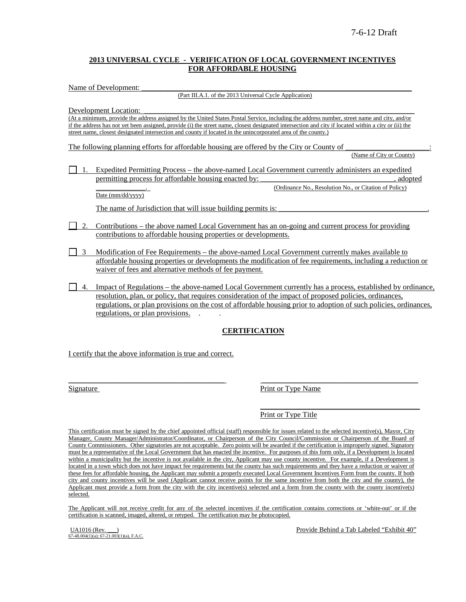### **2013 UNIVERSAL CYCLE - VERIFICATION OF LOCAL GOVERNMENT INCENTIVES FOR AFFORDABLE HOUSING**

Name of Development:

(Part III.A.1. of the 2013 Universal Cycle Application)

Development Location:

(At a minimum, provide the address assigned by the United States Postal Service, including the address number, street name and city, and/or if the address has not yet been assigned, provide (i) the street name, closest designated intersection and city if located within a city or (ii) the street name, closest designated intersection and county if located in the unincorporated area of the county.)

The following planning efforts for affordable housing are offered by the City or County of (Name of City or County)

1. Expedited Permitting Process – the above-named Local Government currently administers an expedited permitting process for affordable housing enacted by:  $\qquad \qquad$ , adopted (Ordinance No., Resolution No., or Citation of Policy)

Date (mm/dd/yyyy)

The name of Jurisdiction that will issue building permits is:

- 2. Contributions the above named Local Government has an on-going and current process for providing contributions to affordable housing properties or developments.
- 3 Modification of Fee Requirements the above-named Local Government currently makes available to affordable housing properties or developments the modification of fee requirements, including a reduction or waiver of fees and alternative methods of fee payment.
- 4. Impact of Regulations the above-named Local Government currently has a process, established by ordinance, resolution, plan, or policy, that requires consideration of the impact of proposed policies, ordinances, regulations, or plan provisions on the cost of affordable housing prior to adoption of such policies, ordinances, regulations, or plan provisions. . .

### **CERTIFICATION**

I certify that the above information is true and correct.

Signature Print or Type Name

 $\overline{\phantom{a}}$  , where the contract of the contract of the contract of the contract of the contract of the contract of the contract of the contract of the contract of the contract of the contract of the contract of the contr Print or Type Title

This certification must be signed by the chief appointed official (staff) responsible for issues related to the selected incentive(s), Mayor, City Manager, County Manager/Administrator/Coordinator, or Chairperson of the City Council/Commission or Chairperson of the Board of County Commissioners. Other signatories are not acceptable. Zero points will be awarded if the certification is improperly signed. Signatory must be a representative of the Local Government that has enacted the incentive. For purposes of this form only, if a Development is located within a municipality but the incentive is not available in the city, Applicant may use county incentive. For example, if a Development is located in a town which does not have impact fee requirements but the county has such requirements and they have a reduction or waiver of these fees for affordable housing, the Applicant may submit a properly executed Local Government Incentives Form from the county. If both city and county incentives will be used (Applicant cannot receive points for the same incentive from both the city and the county), the Applicant must provide a form from the city with the city incentive(s) selected and a form from the county with the county incentive(s) selected.

 $\overline{\phantom{a}}$  , and the contribution of the contribution of the contribution of the contribution of the contribution of the contribution of the contribution of the contribution of the contribution of the contribution of the

The Applicant will not receive credit for any of the selected incentives if the certification contains corrections or 'white-out' or if the certification is scanned, imaged, altered, or retyped. The certification may be photocopied.

 $\overrightarrow{67-48.004(1)(a)}$ ;  $\overrightarrow{67-21.003(1)(a)}$ , F.A.C.

UA1016 (Rev. \_\_\_) Provide Behind a Tab Labeled "Exhibit 40"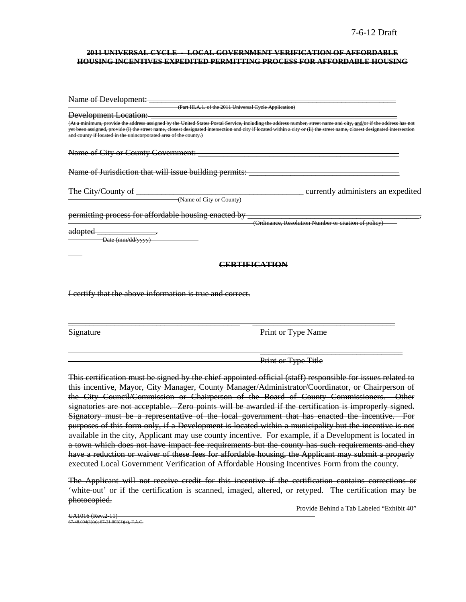#### **2011 UNIVERSAL CYCLE - LOCAL GOVERNMENT VERIFICATION OF AFFORDABLE HOUSING INCENTIVES EXPEDITED PERMITTING PROCESS FOR AFFORDABLE HOUSING**

| Name of Development:                                             |                                                                                                                                                                                                                                                                                                                                                  |
|------------------------------------------------------------------|--------------------------------------------------------------------------------------------------------------------------------------------------------------------------------------------------------------------------------------------------------------------------------------------------------------------------------------------------|
|                                                                  | (Part III.A.1. of the 2011 Universal Cycle Application)                                                                                                                                                                                                                                                                                          |
| <b>Development Location:</b>                                     |                                                                                                                                                                                                                                                                                                                                                  |
| and county if located in the unincorporated area of the county.) | (At a minimum, provide the address assigned by the United States Postal Service, including the address number, street name and city, and/or if the address has not<br>yet been assigned, provide (i) the street name, closest designated intersection and city if located within a city or (ii) the street name, closest designated intersection |
| Name of City or County Government:                               |                                                                                                                                                                                                                                                                                                                                                  |
| Name of Jurisdiction that will issue building permits:           |                                                                                                                                                                                                                                                                                                                                                  |
| The City/County of                                               | currently administers an expedited                                                                                                                                                                                                                                                                                                               |
| (Name of City or County)                                         |                                                                                                                                                                                                                                                                                                                                                  |
| permitting process for affordable housing enacted by             |                                                                                                                                                                                                                                                                                                                                                  |
|                                                                  | (Ordinance, Resolution Number or citation of policy)                                                                                                                                                                                                                                                                                             |
| adopted<br>-Date (mm/dd/yyyy)                                    |                                                                                                                                                                                                                                                                                                                                                  |
|                                                                  | errtification                                                                                                                                                                                                                                                                                                                                    |
|                                                                  |                                                                                                                                                                                                                                                                                                                                                  |
| I certify that the above information is true and correct.        |                                                                                                                                                                                                                                                                                                                                                  |
|                                                                  |                                                                                                                                                                                                                                                                                                                                                  |
| <u>Signature</u>                                                 | Print or Type Name                                                                                                                                                                                                                                                                                                                               |

 $\overline{\phantom{a}}$  , and the contract of the contract of the contract of the contract of the contract of the contract of the contract of the contract of the contract of the contract of the contract of the contract of the contrac Print or Type Title

This certification must be signed by the chief appointed official (staff) responsible for issues related to this incentive, Mayor, City Manager, County Manager/Administrator/Coordinator, or Chairperson of the City Council/Commission or Chairperson of the Board of County Commissioners. Other signatories are not acceptable. Zero points will be awarded if the certification is improperly signed. Signatory must be a representative of the local government that has enacted the incentive. For purposes of this form only, if a Development is located within a municipality but the incentive is not available in the city, Applicant may use county incentive. For example, if a Development is located in a town which does not have impact fee requirements but the county has such requirements and they have a reduction or waiver of these fees for affordable housing, the Applicant may submit a properly executed Local Government Verification of Affordable Housing Incentives Form from the county.

The Applicant will not receive credit for this incentive if the certification contains corrections or 'white-out' or if the certification is scanned, imaged, altered, or retyped. The certification may be photocopied.

Provide Behind a Tab Labeled "Exhibit 40"

UA1016 (Rev.2-11)  $7-48.004(1)(a)$ ; 67-21.003(1)(a), F.A.C.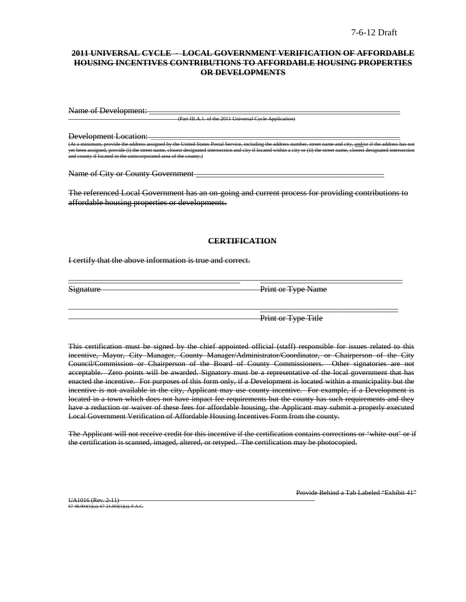### **2011 UNIVERSAL CYCLE - LOCAL GOVERNMENT VERIFICATION OF AFFORDABLE HOUSING INCENTIVES CONTRIBUTIONS TO AFFORDABLE HOUSING PROPERTIES OR DEVELOPMENTS**

Name of Development:

(Part III.A.1. of the 2011 Universal Cycle Application)

Development Location:

d by the United States Postal Service, including the address number, street name and city, and city, and and c ide (i) the street name, closest designated intersection and city if located within a city or (ii) the and county if located in the unincorporated area of the county.)

Name of City or County Government **example 2** 

The referenced Local Government has an on-going and current process for providing contributions to affordable housing properties or developments.

### **CERTIFICATION**

\_\_\_\_\_\_\_\_\_\_\_\_\_\_\_\_\_\_\_\_\_\_\_\_\_\_\_\_\_\_\_\_\_\_\_\_\_\_\_\_\_ \_\_\_\_\_\_\_\_\_\_\_\_\_\_\_\_\_\_\_\_\_\_\_\_\_\_\_\_\_\_\_\_\_\_

I certify that the above information is true and correct.

Signature Print or Type Name

Print or Type Title

 $\overline{\phantom{a}}$  , which is a set of the set of the set of the set of the set of the set of the set of the set of the set of the set of the set of the set of the set of the set of the set of the set of the set of the set of th

This certification must be signed by the chief appointed official (staff) responsible for issues related to this incentive, Mayor, City Manager, County Manager/Administrator/Coordinator, or Chairperson of the City Council/Commission or Chairperson of the Board of County Commissioners. Other signatories are not acceptable. Zero points will be awarded. Signatory must be a representative of the local government that has enacted the incentive. For purposes of this form only, if a Development is located within a municipality but the incentive is not available in the city, Applicant may use county incentive. For example, if a Development is located in a town which does not have impact fee requirements but the county has such requirements and they have a reduction or waiver of these fees for affordable housing, the Applicant may submit a properly executed Local Government Verification of Affordable Housing Incentives Form from the county.

The Applicant will not receive credit for this incentive if the certification contains corrections or 'white-out' or if the certification is scanned, imaged, altered, or retyped. The certification may be photocopied.

UA1016 (Rev. 2-11) 67-48.004(1)(a); 67-21.003(1)(a), F.A.C. Provide Behind a Tab Labeled "Exhibit 41"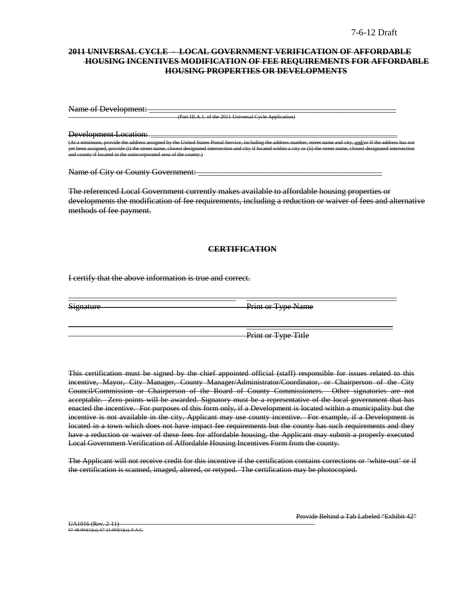### **2011 UNIVERSAL CYCLE - LOCAL GOVERNMENT VERIFICATION OF AFFORDABLE HOUSING INCENTIVES MODIFICATION OF FEE REQUIREMENTS FOR AFFORDABLE HOUSING PROPERTIES OR DEVELOPMENTS**

Name of Development: \_

(Part III.A.1. of the 2011 Universal Cycle Application)

Development Location: \_\_\_\_\_\_\_\_\_\_\_\_\_\_\_\_\_\_\_\_\_\_\_\_\_\_\_\_\_\_\_\_\_\_\_\_\_\_\_\_\_\_\_\_\_\_\_\_\_\_\_\_\_\_\_\_\_\_\_\_\_\_\_\_\_\_\_\_\_\_\_\_\_\_\_\_\_\_\_\_\_ m, provide the address assigned by the United States Postal Service, including the address number, not if the a yrovide (i) the street name, closest designated intersection and city if located within a city or (iii) the street name, closest designated intersection and city if located within a  $m$  in and comporated area of the county.)

Name of City or County Government:

The referenced Local Government currently makes available to affordable housing properties or developments the modification of fee requirements, including a reduction or waiver of fees and alternative methods of fee payment.

#### **CERTIFICATION**

\_\_\_\_\_\_\_\_\_\_\_\_\_\_\_\_\_\_\_\_\_\_\_\_\_\_\_\_\_\_\_\_\_\_\_\_\_\_\_\_ \_\_\_\_\_\_\_\_\_\_\_\_\_\_\_\_\_\_\_\_\_\_\_\_\_\_\_\_\_\_\_\_\_\_\_\_

I certify that the above information is true and correct.

Signature Print or Type Name

Print or Type Title

 $\overline{\phantom{a}}$  , and the contract of the contract of the contract of the contract of the contract of the contract of the contract of the contract of the contract of the contract of the contract of the contract of the contrac

This certification must be signed by the chief appointed official (staff) responsible for issues related to this incentive, Mayor, City Manager, County Manager/Administrator/Coordinator, or Chairperson of the City Council/Commission or Chairperson of the Board of County Commissioners. Other signatories are not acceptable. Zero points will be awarded. Signatory must be a representative of the local government that has enacted the incentive. For purposes of this form only, if a Development is located within a municipality but the incentive is not available in the city, Applicant may use county incentive. For example, if a Development is located in a town which does not have impact fee requirements but the county has such requirements and they have a reduction or waiver of these fees for affordable housing, the Applicant may submit a properly executed Local Government Verification of Affordable Housing Incentives Form from the county.

The Applicant will not receive credit for this incentive if the certification contains corrections or 'white out' or if the certification is scanned, imaged, altered, or retyped. The certification may be photocopied.

Provide Behind a Tab Labeled "Exhibit 42"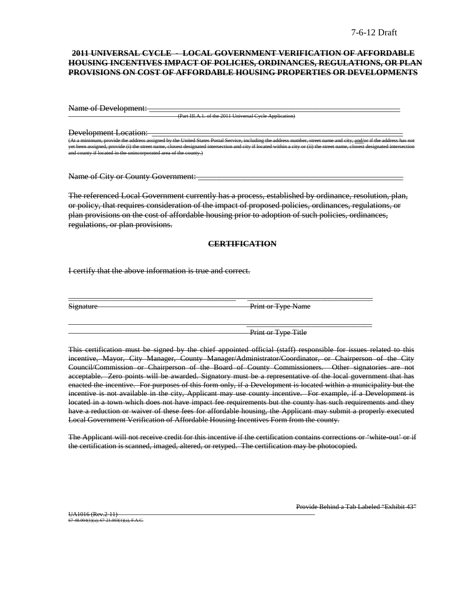### **2011 UNIVERSAL CYCLE - LOCAL GOVERNMENT VERIFICATION OF AFFORDABLE HOUSING INCENTIVES IMPACT OF POLICIES, ORDINANCES, REGULATIONS, OR PLAN PROVISIONS ON COST OF AFFORDABLE HOUSING PROPERTIES OR DEVELOPMENTS**

Name of Development:

(Part III.A.1. of the 2011 Universal Cycle Appli

Development Location:

(United States Postal Service, including United States Postal Service, including the address number, including the address number, and  $\frac{1}{n}$  the address of the address of the address of the address has not the address yet been assigned, provide (i) the street name, closest designated intersection and city if located within a city or (ii) the street name, closest designated intersection and county if located in the unincorporated area of the county.)

Name of City or County Government:

The referenced Local Government currently has a process, established by ordinance, resolution, plan, or policy, that requires consideration of the impact of proposed policies, ordinances, regulations, or plan provisions on the cost of affordable housing prior to adoption of such policies, ordinances, regulations, or plan provisions.

### **CERTIFICATION**

\_\_\_\_\_\_\_\_\_\_\_\_\_\_\_\_\_\_\_\_\_\_\_\_\_\_\_\_\_\_\_\_\_\_\_\_\_\_\_\_\_\_\_\_ \_\_\_\_\_\_\_\_\_\_\_\_\_\_\_\_\_\_\_\_\_\_\_\_\_\_\_\_\_\_\_\_\_

I certify that the above information is true and correct.

Signature Print or Type Name

Print or Type Title

\_\_\_\_\_\_\_\_\_\_\_\_\_\_\_\_\_\_\_\_\_\_\_\_\_\_\_\_\_\_\_\_\_

This certification must be signed by the chief appointed official (staff) responsible for issues related to this incentive, Mayor, City Manager, County Manager/Administrator/Coordinator, or Chairperson of the City Council/Commission or Chairperson of the Board of County Commissioners. Other signatories are not acceptable. Zero points will be awarded. Signatory must be a representative of the local government that has enacted the incentive. For purposes of this form only, if a Development is located within a municipality but the incentive is not available in the city, Applicant may use county incentive. For example, if a Development is located in a town which does not have impact fee requirements but the county has such requirements and they have a reduction or waiver of these fees for affordable housing, the Applicant may submit a properly executed Local Government Verification of Affordable Housing Incentives Form from the county.

The Applicant will not receive credit for this incentive if the certification contains corrections or 'white-out' or if the certification is scanned, imaged, altered, or retyped. The certification may be photocopied.

UA1016 (Rev. 2-11) 67-48.004(1)(a); 67-21.003(1)(a), F.A.C. Provide Behind a Tab Labeled "Exhibit 43"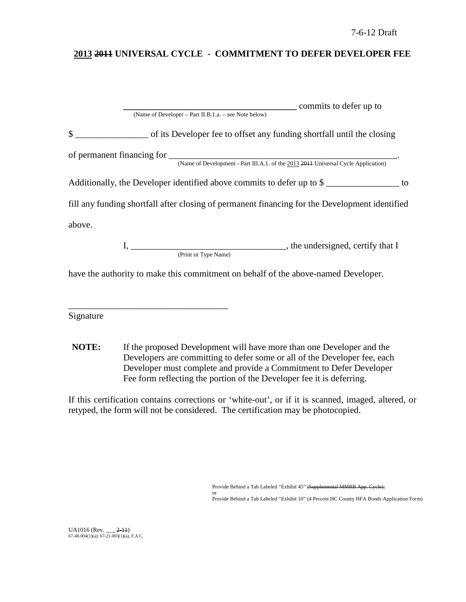# **2013 2011 UNIVERSAL CYCLE - COMMITMENT TO DEFER DEVELOPER FEE**

| commits to defer up to                                                                         |
|------------------------------------------------------------------------------------------------|
| (Name of Developer – Part II.B.1.a. – see Note below)                                          |
| \$<br>of its Developer fee to offset any funding shortfall until the closing                   |
|                                                                                                |
| Additionally, the Developer identified above commits to defer up to \$                         |
| fill any funding shortfall after closing of permanent financing for the Development identified |
| above.                                                                                         |
| the undersigned, certify that I<br>(Print or Type Name)                                        |
| have the authority to make this commitment on behalf of the above-named Developer.             |

Signature

\_\_\_\_\_\_\_\_\_\_\_\_\_\_\_\_\_\_\_\_\_\_\_\_\_\_\_\_\_\_\_\_\_\_\_

**NOTE:** If the proposed Development will have more than one Developer and the Developers are committing to defer some or all of the Developer fee, each Developer must complete and provide a Commitment to Defer Developer Fee form reflecting the portion of the Developer fee it is deferring.

If this certification contains corrections or 'white-out', or if it is scanned, imaged, altered, or retyped, the form will not be considered. The certification may be photocopied.

Provide Behind a Tab Labeled "Exhibit 45" (Supplemental MMRB App. Cycle);

or Provide Behind a Tab Labeled "Exhibit 10" (4 Percent HC County HFA Bonds Application Form)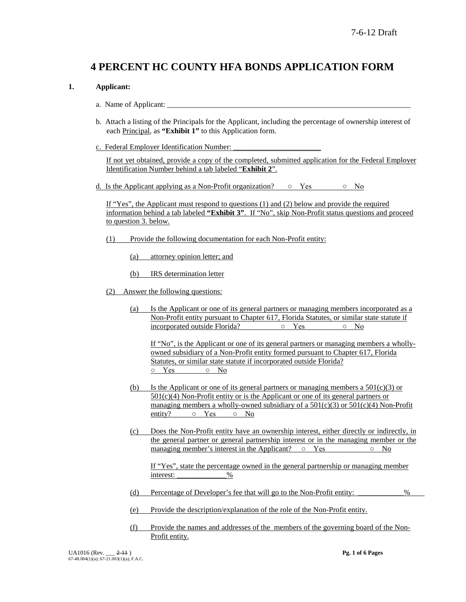# **4 PERCENT HC COUNTY HFA BONDS APPLICATION FORM**

### **1. Applicant:**

- a. Name of Applicant:
- b. Attach a listing of the Principals for the Applicant, including the percentage of ownership interest of each Principal, as **"Exhibit 1"** to this Application form.
- c. Federal Employer Identification Number:

If not yet obtained, provide a copy of the completed, submitted application for the Federal Employer Identification Number behind a tab labeled "**Exhibit 2**".

d. Is the Applicant applying as a Non-Profit organization?  $\circ$  Yes  $\circ$  No

If "Yes", the Applicant must respond to questions (1) and (2) below and provide the required information behind a tab labeled **"Exhibit 3"**. If "No", skip Non-Profit status questions and proceed to question 3. below.

- (1) Provide the following documentation for each Non-Profit entity:
	- (a) attorney opinion letter; and
	- (b) IRS determination letter
- (2) Answer the following questions:
	- (a) Is the Applicant or one of its general partners or managing members incorporated as a Non-Profit entity pursuant to Chapter 617, Florida Statutes, or similar state statute if incorporated outside Florida? ○ Yes ○ No

If "No", is the Applicant or one of its general partners or managing members a whollyowned subsidiary of a Non-Profit entity formed pursuant to Chapter 617, Florida Statutes, or similar state statute if incorporated outside Florida? ○ Yes ○ No

- (b) Is the Applicant or one of its general partners or managing members a  $501(c)(3)$  or  $501(c)(4)$  Non-Profit entity or is the Applicant or one of its general partners or managing members a wholly-owned subsidiary of a  $501(c)(3)$  or  $501(c)(4)$  Non-Profit entity?  $\circ$  Yes  $\circ$  No
- (c) Does the Non-Profit entity have an ownership interest, either directly or indirectly, in the general partner or general partnership interest or in the managing member or the managing member's interest in the Applicant?  $\circ$  Yes  $\circ$  No

If "Yes", state the percentage owned in the general partnership or managing member interest:  $\%$ 

- (d) Percentage of Developer's fee that will go to the Non-Profit entity: \_\_\_\_\_\_\_\_\_\_\_\_%
- (e) Provide the description/explanation of the role of the Non-Profit entity.
- (f) Provide the names and addresses of the members of the governing board of the Non-Profit entity.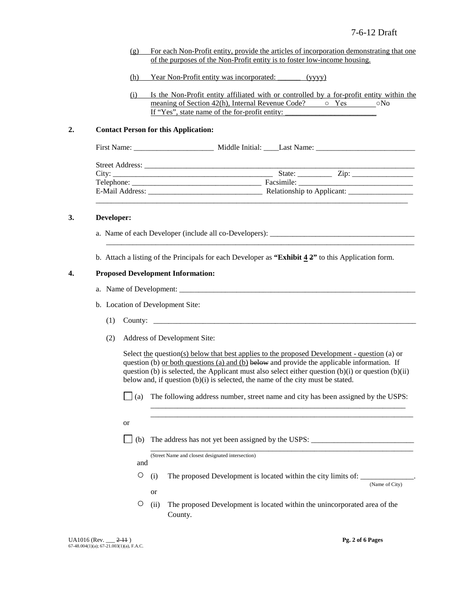- (g) For each Non-Profit entity, provide the articles of incorporation demonstrating that one of the purposes of the Non-Profit entity is to foster low-income housing.
- (h) Year Non-Profit entity was incorporated: \_\_\_\_\_\_ (yyyy)
- (i) Is the Non-Profit entity affiliated with or controlled by a for-profit entity within the meaning of Section 42(h), Internal Revenue Code?  $\circ$  Yes  $\circ$  No If "Yes", state name of the for-profit entity:

#### **2. Contact Person for this Application:**

|  | State: $\frac{Zip:\_$ |  |
|--|-----------------------|--|
|  |                       |  |
|  |                       |  |
|  |                       |  |

#### **3. Developer:**

- a. Name of each Developer (include all co-Developers): \_\_\_\_\_\_\_\_\_\_\_\_\_\_\_\_\_\_\_\_\_\_\_\_\_
- b. Attach a listing of the Principals for each Developer as **"Exhibit 4 2"** to this Application form.

\_\_\_\_\_\_\_\_\_\_\_\_\_\_\_\_\_\_\_\_\_\_\_\_\_\_\_\_\_\_\_\_\_\_\_\_\_\_\_\_\_\_\_\_\_\_\_\_\_\_\_\_\_\_\_\_\_\_\_\_\_\_\_\_\_\_\_\_\_\_\_\_\_\_\_\_\_\_\_\_\_

#### **4. Proposed Development Information:**

- a. Name of Development:
- b. Location of Development Site:
	- $(1)$  County:  $\Box$
	- (2) Address of Development Site:

Select <u>the</u> question(s) below that best applies to the proposed Development - question (a) or question (b) or both questions (a) and (b) below and provide the applicable information. If question (b) is selected, the Applicant must also select either question  $(b)(i)$  or question  $(b)(ii)$ below and, if question (b)(i) is selected, the name of the city must be stated.

 $\Box$  (a) The following address number, street name and city has been assigned by the USPS:

\_\_\_\_\_\_\_\_\_\_\_\_\_\_\_\_\_\_\_\_\_\_\_\_\_\_\_\_\_\_\_\_\_\_\_\_\_\_\_\_\_\_\_\_\_\_\_\_\_\_\_\_\_\_\_\_\_\_\_\_\_\_\_\_\_\_\_ \_\_\_\_\_\_\_\_\_\_\_\_\_\_\_\_\_\_\_\_\_\_\_\_\_\_\_\_\_\_\_\_\_\_\_\_\_\_\_\_\_\_\_\_\_\_\_\_\_\_\_\_\_\_\_\_\_\_\_\_\_\_\_\_\_\_\_\_\_

\_\_\_\_\_\_\_\_\_\_\_\_\_\_\_\_\_\_\_\_\_\_\_\_\_\_\_\_\_\_\_\_\_\_\_\_\_\_\_\_\_\_\_\_\_\_\_\_\_\_\_\_\_\_\_\_\_\_\_\_\_\_\_\_\_\_\_\_\_

- or
- (b) The address has not yet been assigned by the USPS: \_\_\_\_\_\_\_\_\_\_\_\_\_\_\_\_\_\_\_\_\_\_\_\_\_\_\_

(Street Name and closest designated intersection)

and

or

 $\circ$  (i) The proposed Development is located within the city limits of:

(Name of City)

○ (ii) The proposed Development is located within the unincorporated area of the County.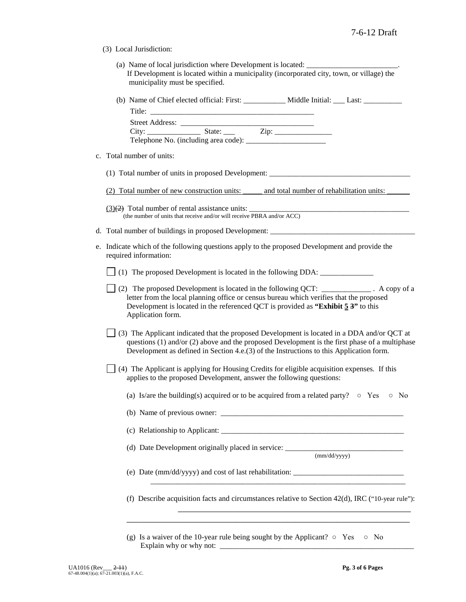(3) Local Jurisdiction:

| (a) Name of local jurisdiction where Development is located:                              |  |
|-------------------------------------------------------------------------------------------|--|
| If Development is located within a municipality (incorporated city, town, or village) the |  |
| municipality must be specified.                                                           |  |

| (b) Name of Chief elected official: First: | Middle Initial: | Last <sup>-</sup> |
|--------------------------------------------|-----------------|-------------------|
| Title:                                     |                 |                   |

| <b>Street Address:</b> |                                          |      |  |
|------------------------|------------------------------------------|------|--|
| City:                  | State:                                   | Zip: |  |
|                        | Telephone No. (including area code): ___ |      |  |

c. Total number of units:

(1) Total number of units in proposed Development: \_\_\_\_\_\_\_\_\_\_\_\_\_\_\_\_\_\_\_\_\_\_\_\_\_\_\_\_\_

 $(3)(2)$  Total number of rental assistance units: (the number of units that receive and/or will receive PBRA and/or ACC)

- d. Total number of buildings in proposed Development:
- e. Indicate which of the following questions apply to the proposed Development and provide the required information:

(1) The proposed Development is located in the following DDA: \_\_\_\_\_\_\_\_\_\_\_\_\_\_

- (2) The proposed Development is located in the following QCT: \_\_\_\_\_\_\_\_\_\_\_\_\_\_\_\_. A copy of a letter from the local planning office or census bureau which verifies that the proposed Development is located in the referenced QCT is provided as **"Exhibit 5 3"** to this Application form.
- $\vert$  (3) The Applicant indicated that the proposed Development is located in a DDA and/or QCT at questions (1) and/or (2) above and the proposed Development is the first phase of a multiphase Development as defined in Section 4.e.(3) of the Instructions to this Application form.
- (4) The Applicant is applying for Housing Credits for eligible acquisition expenses*.* If this applies to the proposed Development, answer the following questions:
	- (a) Is/are the building(s) acquired or to be acquired from a related party?  $\circ$  Yes  $\circ$  No

(b) Name of previous owner: \_\_\_\_\_\_\_\_\_\_\_\_\_\_\_\_\_\_\_\_\_\_\_\_\_\_\_\_\_\_\_\_\_\_\_\_\_\_\_\_\_\_\_\_\_\_\_\_

(c) Relationship to Applicant: \_\_\_\_\_\_\_\_\_\_\_\_\_\_\_\_\_\_\_\_\_\_\_\_\_\_\_\_\_\_\_\_\_\_\_\_\_\_\_\_\_\_\_\_\_\_\_\_

(d) Date Development originally placed in service: \_\_\_\_\_\_\_\_\_\_\_\_\_\_\_\_\_\_\_\_\_\_\_\_\_\_\_\_\_

(mm/dd/yyyy)

(e) Date (mm/dd/yyyy) and cost of last rehabilitation: \_\_\_\_\_\_\_\_\_\_\_\_\_\_\_\_\_\_\_\_\_\_\_\_\_\_\_\_\_

(f) Describe acquisition facts and circumstances relative to Section  $42(d)$ , IRC ("10-year rule"):

\_\_\_\_\_\_\_\_\_\_\_\_\_\_\_\_\_\_\_\_\_\_\_\_\_\_\_\_\_\_\_\_\_\_\_\_\_\_\_\_\_\_\_\_\_\_\_\_\_\_\_\_\_\_\_\_\_\_\_\_\_\_

\_\_\_\_\_\_\_\_\_\_\_\_\_\_\_\_\_\_\_\_\_\_\_\_\_\_\_\_\_\_\_\_\_\_\_\_\_\_\_\_\_\_\_\_\_\_\_\_\_\_\_\_\_\_\_\_\_\_\_\_\_\_\_\_\_\_\_

\_\_\_\_\_\_\_\_\_\_\_\_\_\_\_\_\_\_\_\_\_\_\_\_\_\_\_\_\_\_\_\_\_\_\_\_\_\_\_\_\_\_\_\_\_\_\_\_\_\_\_

(g) Is a waiver of the 10-year rule being sought by the Applicant?  $\circ$  Yes  $\circ$  No Explain why or why not: \_\_\_\_\_\_\_\_\_\_\_\_\_\_\_\_\_\_\_\_\_\_\_\_\_\_\_\_\_\_\_\_\_\_\_\_\_\_\_\_\_\_\_\_\_\_\_\_\_\_\_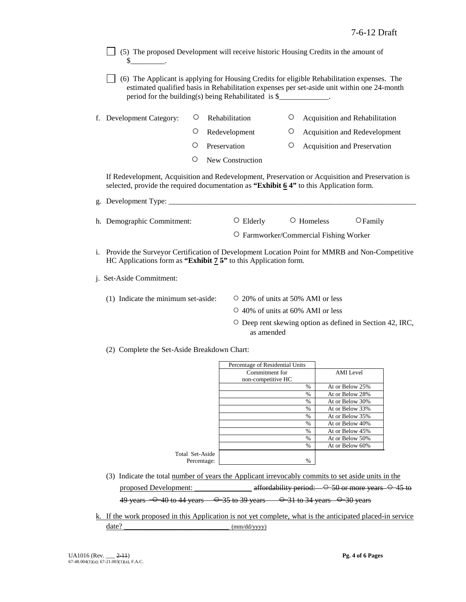- $\Box$  (5) The proposed Development will receive historic Housing Credits in the amount of  $\mathbb{S}_-$
- (6) The Applicant is applying for Housing Credits for eligible Rehabilitation expenses. The estimated qualified basis in Rehabilitation expenses per set-aside unit within one 24-month period for the building(s) being Rehabilitated is  $\$
- f. Development Category:  $\circ$  Rehabilitation  $\circ$  Acquisition and Rehabilitation
	- Redevelopment Acquisition and Redevelopment
	- O Preservation <sup>O</sup> Acquisition and Preservation
	- New Construction

If Redevelopment, Acquisition and Redevelopment, Preservation or Acquisition and Preservation is selected, provide the required documentation as **"Exhibit 6 4"** to this Application form.

| g. Development Type:       |                 |                                        |                   |  |
|----------------------------|-----------------|----------------------------------------|-------------------|--|
|                            |                 |                                        |                   |  |
| h. Demographic Commitment: | $\circ$ Elderly | $\circ$ Homeless                       | $\bigcirc$ Family |  |
|                            |                 | O Farmworker/Commercial Fishing Worker |                   |  |

- i. Provide the Surveyor Certification of Development Location Point for MMRB and Non-Competitive HC Applications form as **"Exhibit 7 5"** to this Application form.
- j. Set-Aside Commitment:
	- (1) Indicate the minimum set-aside:  $\qquad \qquad \circ$  20% of units at 50% AMI or less
		-
		- 40% of units at 60% AMI or less
		- Deep rent skewing option as defined in Section 42, IRC, as amended
	- (2) Complete the Set-Aside Breakdown Chart:

|                 | Percentage of Residential Units |               |                 |
|-----------------|---------------------------------|---------------|-----------------|
|                 | Commitment for                  |               | AMI Level       |
|                 | non-competitive HC              |               |                 |
|                 |                                 | $\%$          | At or Below 25% |
|                 |                                 | $\%$          | At or Below 28% |
|                 |                                 | $\%$          | At or Below 30% |
|                 |                                 | $\%$          | At or Below 33% |
|                 |                                 | $\frac{0}{0}$ | At or Below 35% |
|                 |                                 | $\frac{0}{0}$ | At or Below 40% |
|                 |                                 | $\%$          | At or Below 45% |
|                 |                                 | $\frac{0}{0}$ | At or Below 50% |
|                 |                                 | $\%$          | At or Below 60% |
| Total Set-Aside |                                 |               |                 |
| Percentage:     |                                 | $\frac{0}{0}$ |                 |

- (3) Indicate the total number of years the Applicant irrevocably commits to set aside units in the proposed Development:  $\alpha$  affordability period:  $\rightarrow$  50 or more years  $\rightarrow$  45 to 49 years  $-$  0 40 to 44 years  $-$  0 35 to 39 years  $-$  0 31 to 34 years  $-$  0 30 years
- k. If the work proposed in this Application is not yet complete, what is the anticipated placed-in service date? \_\_\_\_\_\_\_\_\_\_\_\_\_\_\_\_\_\_\_\_\_\_\_ (mm/dd/yyyy)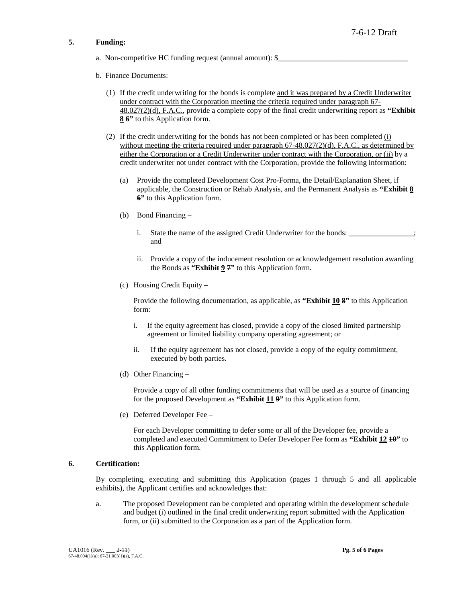### **5. Funding:**

- a. Non-competitive HC funding request (annual amount):  $\$
- b. Finance Documents:
	- (1) If the credit underwriting for the bonds is complete and it was prepared by a Credit Underwriter under contract with the Corporation meeting the criteria required under paragraph 67- 48.027(2)(d), F.A.C., provide a complete copy of the final credit underwriting report as **"Exhibit 8 6"** to this Application form.
	- (2) If the credit underwriting for the bonds has not been completed or has been completed (i) without meeting the criteria required under paragraph  $67-48.027(2)(d)$ , F.A.C., as determined by either the Corporation or a Credit Underwriter under contract with the Corporation, or (ii) by a credit underwriter not under contract with the Corporation, provide the following information:
		- (a) Provide the completed Development Cost Pro-Forma, the Detail/Explanation Sheet, if applicable, the Construction or Rehab Analysis, and the Permanent Analysis as **"Exhibit 8 6"** to this Application form.
		- (b) Bond Financing
			- i. State the name of the assigned Credit Underwriter for the bonds: and
			- ii. Provide a copy of the inducement resolution or acknowledgement resolution awarding the Bonds as **"Exhibit 9 7"** to this Application form.
		- (c) Housing Credit Equity –

Provide the following documentation, as applicable, as **"Exhibit 10 8"** to this Application form:

- i. If the equity agreement has closed, provide a copy of the closed limited partnership agreement or limited liability company operating agreement; or
- ii. If the equity agreement has not closed, provide a copy of the equity commitment, executed by both parties.
- (d) Other Financing –

Provide a copy of all other funding commitments that will be used as a source of financing for the proposed Development as **"Exhibit 11 9"** to this Application form.

(e) Deferred Developer Fee –

For each Developer committing to defer some or all of the Developer fee, provide a completed and executed Commitment to Defer Developer Fee form as **"Exhibit 12 10"** to this Application form.

### **6. Certification:**

By completing, executing and submitting this Application (pages 1 through 5 and all applicable exhibits), the Applicant certifies and acknowledges that:

a. The proposed Development can be completed and operating within the development schedule and budget (i) outlined in the final credit underwriting report submitted with the Application form, or (ii) submitted to the Corporation as a part of the Application form.